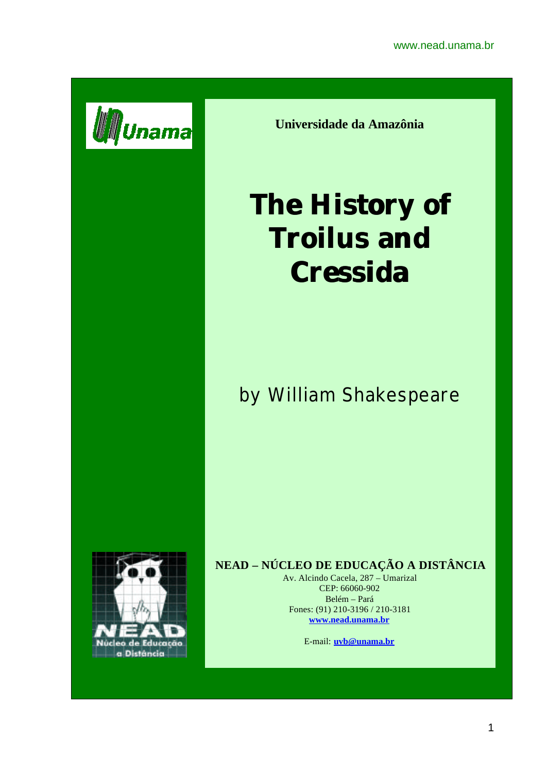

**Universidade da Amazônia**

# **The History of Troilus and Cressida**

by William Shakespeare



## **NEAD – NÚCLEO DE EDUCAÇÃO A DISTÂNCIA**

Av. Alcindo Cacela, 287 – Umarizal CEP: 66060-902 Belém – Pará Fones: (91) 210-3196 / 210-3181 **www.nead.unama.br**

E-mail: **uvb@unama.br**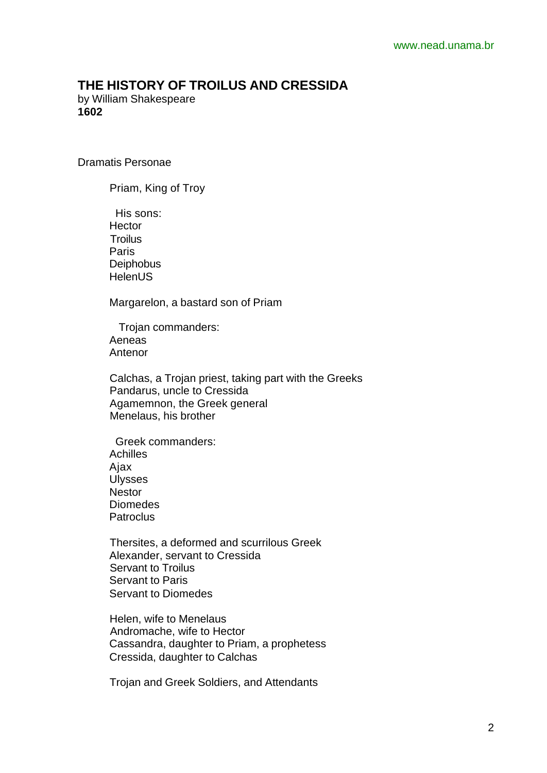### **THE HISTORY OF TROILUS AND CRESSIDA**

by William Shakespeare **1602**

Dramatis Personae

Priam, King of Troy

 His sons: **Hector Troilus**  Paris **Deiphobus HelenUS** 

Margarelon, a bastard son of Priam

 Trojan commanders: Aeneas Antenor

 Calchas, a Trojan priest, taking part with the Greeks Pandarus, uncle to Cressida Agamemnon, the Greek general Menelaus, his brother

 Greek commanders: Achilles Ajax Ulysses **Nestor**  Diomedes **Patroclus** 

 Thersites, a deformed and scurrilous Greek Alexander, servant to Cressida Servant to Troilus Servant to Paris Servant to Diomedes

 Helen, wife to Menelaus Andromache, wife to Hector Cassandra, daughter to Priam, a prophetess Cressida, daughter to Calchas

Trojan and Greek Soldiers, and Attendants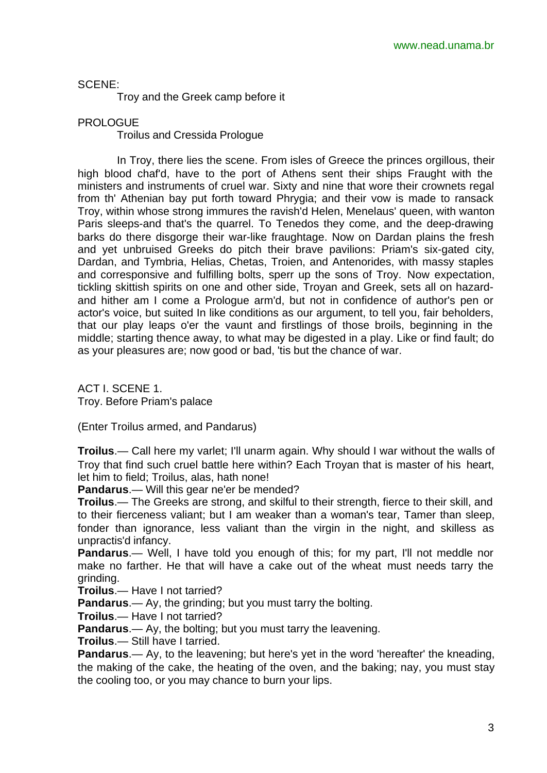#### SCENE:

Troy and the Greek camp before it

#### PROLOGUE

Troilus and Cressida Prologue

In Troy, there lies the scene. From isles of Greece the princes orgillous, their high blood chaf'd, have to the port of Athens sent their ships Fraught with the ministers and instruments of cruel war. Sixty and nine that wore their crownets regal from th' Athenian bay put forth toward Phrygia; and their vow is made to ransack Troy, within whose strong immures the ravish'd Helen, Menelaus' queen, with wanton Paris sleeps-and that's the quarrel. To Tenedos they come, and the deep-drawing barks do there disgorge their war-like fraughtage. Now on Dardan plains the fresh and yet unbruised Greeks do pitch their brave pavilions: Priam's six-gated city, Dardan, and Tymbria, Helias, Chetas, Troien, and Antenorides, with massy staples and corresponsive and fulfilling bolts, sperr up the sons of Troy. Now expectation, tickling skittish spirits on one and other side, Troyan and Greek, sets all on hazardand hither am I come a Prologue arm'd, but not in confidence of author's pen or actor's voice, but suited In like conditions as our argument, to tell you, fair beholders, that our play leaps o'er the vaunt and firstlings of those broils, beginning in the middle; starting thence away, to what may be digested in a play. Like or find fault; do as your pleasures are; now good or bad, 'tis but the chance of war.

ACT I. SCENE 1. Troy. Before Priam's palace

(Enter Troilus armed, and Pandarus)

**Troilus**.— Call here my varlet; I'll unarm again. Why should I war without the walls of Troy that find such cruel battle here within? Each Troyan that is master of his heart, let him to field; Troilus, alas, hath none!

**Pandarus**.— Will this gear ne'er be mended?

**Troilus**.— The Greeks are strong, and skilful to their strength, fierce to their skill, and to their fierceness valiant; but I am weaker than a woman's tear, Tamer than sleep, fonder than ignorance, less valiant than the virgin in the night, and skilless as unpractis'd infancy.

**Pandarus**.— Well, I have told you enough of this; for my part, I'll not meddle nor make no farther. He that will have a cake out of the wheat must needs tarry the grinding.

**Troilus**.— Have I not tarried?

**Pandarus**.— Ay, the grinding; but you must tarry the bolting.

**Troilus**.— Have I not tarried?

**Pandarus**.— Ay, the bolting; but you must tarry the leavening.

**Troilus**.— Still have I tarried.

**Pandarus**.— Ay, to the leavening; but here's yet in the word 'hereafter' the kneading, the making of the cake, the heating of the oven, and the baking; nay, you must stay the cooling too, or you may chance to burn your lips.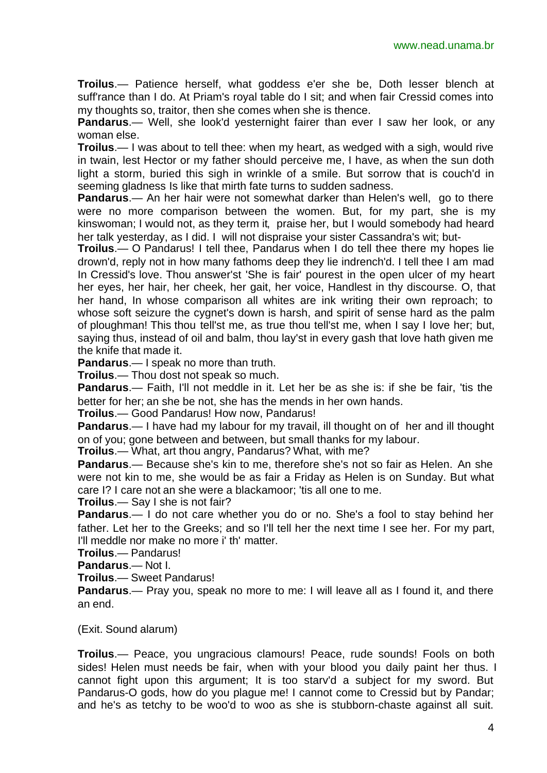www.nead.unama.br

**Troilus**.— Patience herself, what goddess e'er she be, Doth lesser blench at suff'rance than I do. At Priam's royal table do I sit; and when fair Cressid comes into my thoughts so, traitor, then she comes when she is thence.

**Pandarus**.— Well, she look'd yesternight fairer than ever I saw her look, or any woman else.

**Troilus**.— I was about to tell thee: when my heart, as wedged with a sigh, would rive in twain, lest Hector or my father should perceive me, I have, as when the sun doth light a storm, buried this sigh in wrinkle of a smile. But sorrow that is couch'd in seeming gladness Is like that mirth fate turns to sudden sadness.

**Pandarus.**— An her hair were not somewhat darker than Helen's well, go to there were no more comparison between the women. But, for my part, she is my kinswoman; I would not, as they term it, praise her, but I would somebody had heard her talk yesterday, as I did. I will not dispraise your sister Cassandra's wit; but-

**Troilus**.— O Pandarus! I tell thee, Pandarus when I do tell thee there my hopes lie drown'd, reply not in how many fathoms deep they lie indrench'd. I tell thee I am mad In Cressid's love. Thou answer'st 'She is fair' pourest in the open ulcer of my heart her eyes, her hair, her cheek, her gait, her voice, Handlest in thy discourse. O, that her hand, In whose comparison all whites are ink writing their own reproach; to whose soft seizure the cygnet's down is harsh, and spirit of sense hard as the palm of ploughman! This thou tell'st me, as true thou tell'st me, when I say I love her; but, saying thus, instead of oil and balm, thou lay'st in every gash that love hath given me the knife that made it.

**Pandarus**.— I speak no more than truth.

**Troilus**.— Thou dost not speak so much.

**Pandarus**.— Faith, I'll not meddle in it. Let her be as she is: if she be fair, 'tis the better for her; an she be not, she has the mends in her own hands.

**Troilus**.— Good Pandarus! How now, Pandarus!

**Pandarus**.— I have had my labour for my travail, ill thought on of her and ill thought on of you; gone between and between, but small thanks for my labour.

**Troilus**.— What, art thou angry, Pandarus? What, with me?

**Pandarus**.— Because she's kin to me, therefore she's not so fair as Helen. An she were not kin to me, she would be as fair a Friday as Helen is on Sunday. But what care I? I care not an she were a blackamoor; 'tis all one to me.

**Troilus**.— Say I she is not fair?

**Pandarus**.— I do not care whether you do or no. She's a fool to stay behind her father. Let her to the Greeks: and so I'll tell her the next time I see her. For my part, I'll meddle nor make no more i' th' matter.

**Troilus**.— Pandarus!

**Pandarus**.— Not I.

**Troilus**.— Sweet Pandarus!

**Pandarus.**— Pray you, speak no more to me: I will leave all as I found it, and there an end.

(Exit. Sound alarum)

**Troilus**.— Peace, you ungracious clamours! Peace, rude sounds! Fools on both sides! Helen must needs be fair, when with your blood you daily paint her thus. I cannot fight upon this argument; It is too starv'd a subject for my sword. But Pandarus-O gods, how do you plague me! I cannot come to Cressid but by Pandar; and he's as tetchy to be woo'd to woo as she is stubborn-chaste against all suit.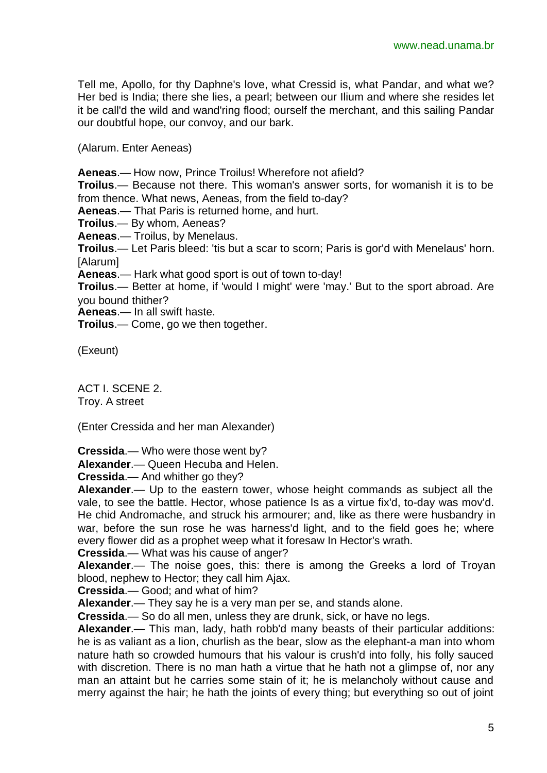Tell me, Apollo, for thy Daphne's love, what Cressid is, what Pandar, and what we? Her bed is India; there she lies, a pearl; between our Ilium and where she resides let it be call'd the wild and wand'ring flood; ourself the merchant, and this sailing Pandar our doubtful hope, our convoy, and our bark.

(Alarum. Enter Aeneas)

**Aeneas**.— How now, Prince Troilus! Wherefore not afield?

**Troilus**.— Because not there. This woman's answer sorts, for womanish it is to be from thence. What news, Aeneas, from the field to-day?

**Aeneas**.— That Paris is returned home, and hurt.

**Troilus**.— By whom, Aeneas?

**Aeneas**.— Troilus, by Menelaus.

**Troilus**.— Let Paris bleed: 'tis but a scar to scorn; Paris is gor'd with Menelaus' horn. [Alarum]

**Aeneas**.— Hark what good sport is out of town to-day!

**Troilus**.— Better at home, if 'would I might' were 'may.' But to the sport abroad. Are you bound thither?

**Aeneas**.— In all swift haste.

**Troilus**.— Come, go we then together.

(Exeunt)

ACT I. SCENE 2. Troy. A street

(Enter Cressida and her man Alexander)

**Cressida**.— Who were those went by?

**Alexander**.— Queen Hecuba and Helen.

**Cressida**.— And whither go they?

**Alexander**.— Up to the eastern tower, whose height commands as subject all the vale, to see the battle. Hector, whose patience Is as a virtue fix'd, to-day was mov'd. He chid Andromache, and struck his armourer; and, like as there were husbandry in war, before the sun rose he was harness'd light, and to the field goes he; where every flower did as a prophet weep what it foresaw In Hector's wrath.

**Cressida**.— What was his cause of anger?

**Alexander**.— The noise goes, this: there is among the Greeks a lord of Troyan blood, nephew to Hector; they call him Ajax.

**Cressida**.— Good; and what of him?

**Alexander**.— They say he is a very man per se, and stands alone.

**Cressida**.— So do all men, unless they are drunk, sick, or have no legs.

**Alexander**.— This man, lady, hath robb'd many beasts of their particular additions: he is as valiant as a lion, churlish as the bear, slow as the elephant-a man into whom nature hath so crowded humours that his valour is crush'd into folly, his folly sauced with discretion. There is no man hath a virtue that he hath not a glimpse of, nor any man an attaint but he carries some stain of it; he is melancholy without cause and merry against the hair; he hath the joints of every thing; but everything so out of joint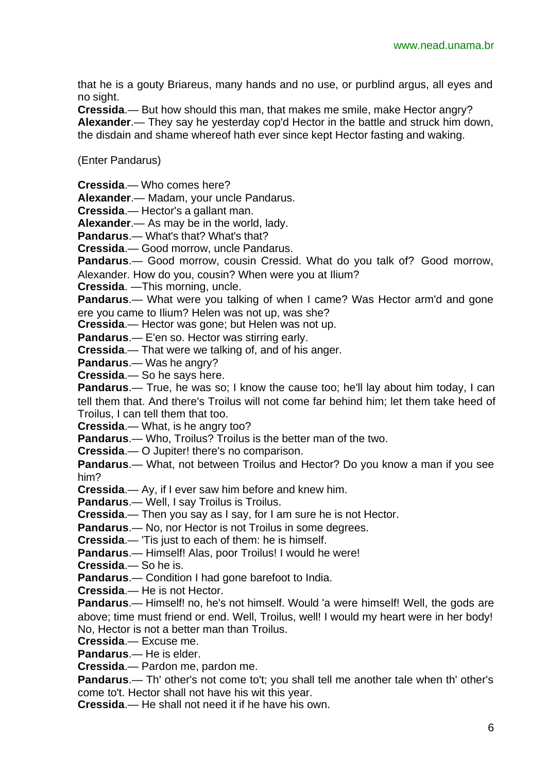that he is a gouty Briareus, many hands and no use, or purblind argus, all eyes and no sight.

**Cressida**.— But how should this man, that makes me smile, make Hector angry? **Alexander**.— They say he yesterday cop'd Hector in the battle and struck him down, the disdain and shame whereof hath ever since kept Hector fasting and waking.

(Enter Pandarus)

**Cressida**.— Who comes here?

**Alexander**.— Madam, your uncle Pandarus.

**Cressida**.— Hector's a gallant man.

**Alexander**.— As may be in the world, lady.

**Pandarus**.— What's that? What's that?

**Cressida**.— Good morrow, uncle Pandarus.

**Pandarus**.— Good morrow, cousin Cressid. What do you talk of? Good morrow, Alexander. How do you, cousin? When were you at Ilium?

**Cressida**. —This morning, uncle.

**Pandarus.**— What were you talking of when I came? Was Hector arm'd and gone ere you came to Ilium? Helen was not up, was she?

**Cressida**.— Hector was gone; but Helen was not up.

**Pandarus**.— E'en so. Hector was stirring early.

**Cressida**.— That were we talking of, and of his anger.

**Pandarus**.— Was he angry?

**Cressida**.— So he says here.

**Pandarus**.— True, he was so; I know the cause too; he'll lay about him today, I can tell them that. And there's Troilus will not come far behind him; let them take heed of Troilus, I can tell them that too.

**Cressida**.— What, is he angry too?

**Pandarus**.— Who, Troilus? Troilus is the better man of the two.

**Cressida**.— O Jupiter! there's no comparison.

**Pandarus**.— What, not between Troilus and Hector? Do you know a man if you see him?

**Cressida**.— Ay, if I ever saw him before and knew him.

**Pandarus**.— Well, I say Troilus is Troilus.

**Cressida**.— Then you say as I say, for I am sure he is not Hector.

**Pandarus**.— No, nor Hector is not Troilus in some degrees.

**Cressida**.— 'Tis just to each of them: he is himself.

**Pandarus**.— Himself! Alas, poor Troilus! I would he were!

**Cressida**.— So he is.

**Pandarus**.— Condition I had gone barefoot to India.

**Cressida**.— He is not Hector.

**Pandarus**.— Himself! no, he's not himself. Would 'a were himself! Well, the gods are above; time must friend or end. Well, Troilus, well! I would my heart were in her body! No, Hector is not a better man than Troilus.

**Cressida**.— Excuse me.

**Pandarus**.— He is elder.

**Cressida**.— Pardon me, pardon me.

**Pandarus**.— Th' other's not come to't; you shall tell me another tale when th' other's come to't. Hector shall not have his wit this year.

**Cressida**.— He shall not need it if he have his own.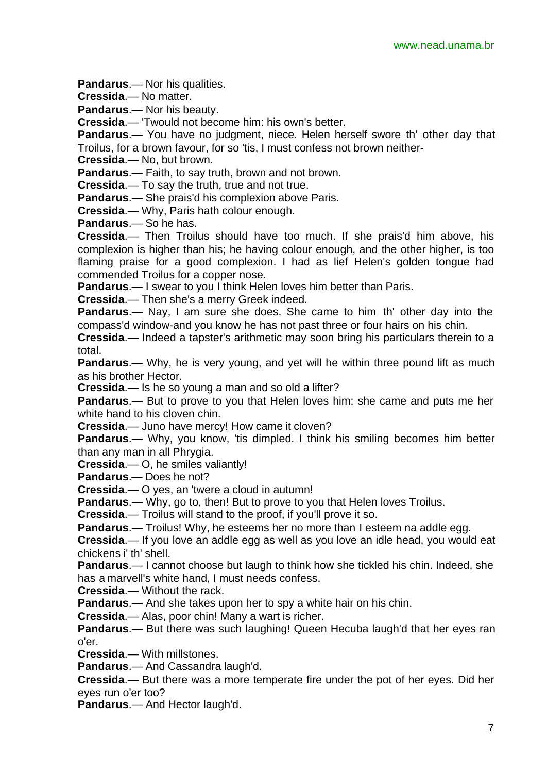**Pandarus**.— Nor his qualities.

**Cressida**.— No matter.

**Pandarus**.— Nor his beauty.

**Cressida**.— 'Twould not become him: his own's better.

**Pandarus**.— You have no judgment, niece. Helen herself swore th' other day that Troilus, for a brown favour, for so 'tis, I must confess not brown neither-

**Cressida**.— No, but brown.

**Pandarus**.— Faith, to say truth, brown and not brown.

**Cressida**.— To say the truth, true and not true.

**Pandarus**.— She prais'd his complexion above Paris.

**Cressida**.— Why, Paris hath colour enough.

**Pandarus**.— So he has.

**Cressida**.— Then Troilus should have too much. If she prais'd him above, his complexion is higher than his; he having colour enough, and the other higher, is too flaming praise for a good complexion. I had as lief Helen's golden tongue had commended Troilus for a copper nose.

**Pandarus**.— I swear to you I think Helen loves him better than Paris.

**Cressida**.— Then she's a merry Greek indeed.

**Pandarus**.— Nay, I am sure she does. She came to him th' other day into the compass'd window-and you know he has not past three or four hairs on his chin.

**Cressida**.— Indeed a tapster's arithmetic may soon bring his particulars therein to a total.

**Pandarus**.— Why, he is very young, and yet will he within three pound lift as much as his brother Hector.

**Cressida**.— Is he so young a man and so old a lifter?

**Pandarus**.— But to prove to you that Helen loves him: she came and puts me her white hand to his cloven chin.

**Cressida**.— Juno have mercy! How came it cloven?

**Pandarus.**— Why, you know, 'tis dimpled. I think his smiling becomes him better than any man in all Phrygia.

**Cressida**.— O, he smiles valiantly!

**Pandarus**.— Does he not?

**Cressida**.— O yes, an 'twere a cloud in autumn!

**Pandarus**.— Why, go to, then! But to prove to you that Helen loves Troilus.

**Cressida**.— Troilus will stand to the proof, if you'll prove it so.

**Pandarus.**— Troilus! Why, he esteems her no more than I esteem na addle egg.

**Cressida**.— If you love an addle egg as well as you love an idle head, you would eat chickens i' th' shell.

**Pandarus**.— I cannot choose but laugh to think how she tickled his chin. Indeed, she has a marvell's white hand, I must needs confess.

**Cressida**.— Without the rack.

**Pandarus**.— And she takes upon her to spy a white hair on his chin.

**Cressida**.— Alas, poor chin! Many a wart is richer.

**Pandarus**.— But there was such laughing! Queen Hecuba laugh'd that her eyes ran o'er.

**Cressida**.— With millstones.

**Pandarus**.— And Cassandra laugh'd.

**Cressida**.— But there was a more temperate fire under the pot of her eyes. Did her eyes run o'er too?

**Pandarus**.— And Hector laugh'd.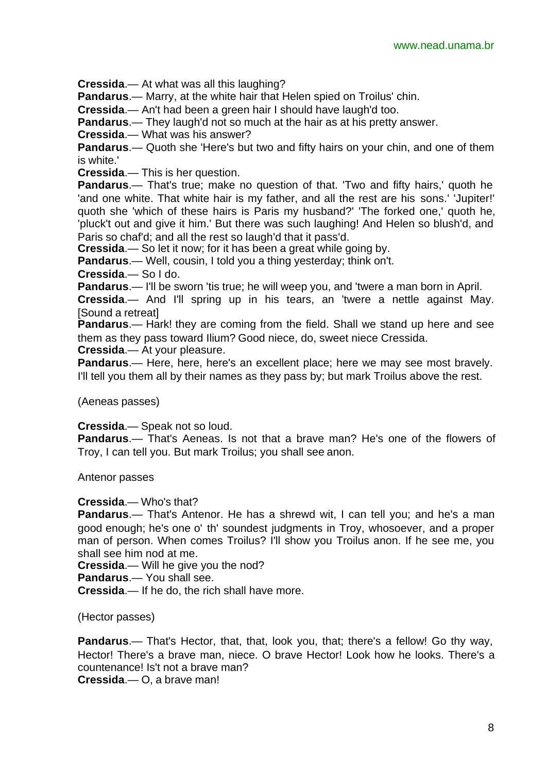**Cressida**.— At what was all this laughing?

**Pandarus**.— Marry, at the white hair that Helen spied on Troilus' chin.

**Cressida**.— An't had been a green hair I should have laugh'd too.

**Pandarus**.— They laugh'd not so much at the hair as at his pretty answer.

**Cressida**.— What was his answer?

**Pandarus**.— Quoth she 'Here's but two and fifty hairs on your chin, and one of them is white.'

**Cressida**.— This is her question.

**Pandarus**.— That's true; make no question of that. 'Two and fifty hairs,' quoth he 'and one white. That white hair is my father, and all the rest are his sons.' 'Jupiter!' quoth she 'which of these hairs is Paris my husband?' 'The forked one,' quoth he, 'pluck't out and give it him.' But there was such laughing! And Helen so blush'd, and Paris so chaf'd; and all the rest so laugh'd that it pass'd.

**Cressida**.— So let it now; for it has been a great while going by.

**Pandarus**.— Well, cousin, I told you a thing yesterday; think on't.

**Cressida**.— So I do.

**Pandarus.**— I'll be sworn 'tis true; he will weep you, and 'twere a man born in April.

**Cressida**.— And I'll spring up in his tears, an 'twere a nettle against May. [Sound a retreat]

**Pandarus**.— Hark! they are coming from the field. Shall we stand up here and see them as they pass toward Ilium? Good niece, do, sweet niece Cressida.

**Cressida**.— At your pleasure.

**Pandarus**.— Here, here, here's an excellent place; here we may see most bravely. I'll tell you them all by their names as they pass by; but mark Troilus above the rest.

(Aeneas passes)

**Cressida**.— Speak not so loud.

**Pandarus**.— That's Aeneas. Is not that a brave man? He's one of the flowers of Troy, I can tell you. But mark Troilus; you shall see anon.

Antenor passes

**Cressida**.— Who's that?

**Pandarus**.— That's Antenor. He has a shrewd wit, I can tell you; and he's a man good enough; he's one o' th' soundest judgments in Troy, whosoever, and a proper man of person. When comes Troilus? I'll show you Troilus anon. If he see me, you shall see him nod at me.

**Cressida**.— Will he give you the nod?

**Pandarus**.— You shall see.

**Cressida**.— If he do, the rich shall have more.

(Hector passes)

**Pandarus**.— That's Hector, that, that, look you, that; there's a fellow! Go thy way, Hector! There's a brave man, niece. O brave Hector! Look how he looks. There's a countenance! Is't not a brave man? **Cressida**.— O, a brave man!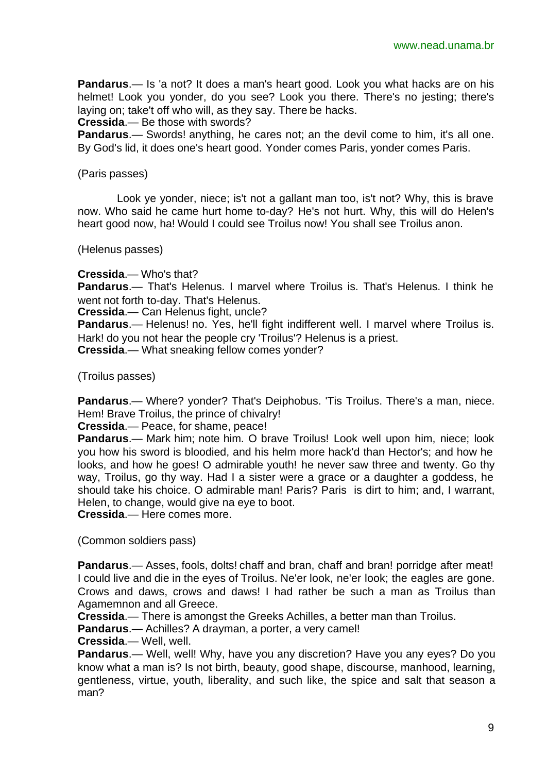**Pandarus**.— Is 'a not? It does a man's heart good. Look you what hacks are on his helmet! Look you yonder, do you see? Look you there. There's no jesting; there's laying on; take't off who will, as they say. There be hacks.

**Cressida**.— Be those with swords?

**Pandarus**.— Swords! anything, he cares not; an the devil come to him, it's all one. By God's lid, it does one's heart good. Yonder comes Paris, yonder comes Paris.

#### (Paris passes)

Look ye yonder, niece; is't not a gallant man too, is't not? Why, this is brave now. Who said he came hurt home to-day? He's not hurt. Why, this will do Helen's heart good now, ha! Would I could see Troilus now! You shall see Troilus anon.

(Helenus passes)

**Cressida**.— Who's that?

**Pandarus**.— That's Helenus. I marvel where Troilus is. That's Helenus. I think he went not forth to-day. That's Helenus.

**Cressida**.— Can Helenus fight, uncle?

**Pandarus**.— Helenus! no. Yes, he'll fight indifferent well. I marvel where Troilus is. Hark! do you not hear the people cry 'Troilus'? Helenus is a priest. **Cressida**.— What sneaking fellow comes yonder?

(Troilus passes)

**Pandarus**.— Where? yonder? That's Deiphobus. 'Tis Troilus. There's a man, niece. Hem! Brave Troilus, the prince of chivalry!

**Cressida**.— Peace, for shame, peace!

**Pandarus**.— Mark him; note him. O brave Troilus! Look well upon him, niece; look you how his sword is bloodied, and his helm more hack'd than Hector's; and how he looks, and how he goes! O admirable youth! he never saw three and twenty. Go thy way, Troilus, go thy way. Had I a sister were a grace or a daughter a goddess, he should take his choice. O admirable man! Paris? Paris is dirt to him; and, I warrant, Helen, to change, would give na eye to boot.

**Cressida**.— Here comes more.

(Common soldiers pass)

**Pandarus**.— Asses, fools, dolts! chaff and bran, chaff and bran! porridge after meat! I could live and die in the eyes of Troilus. Ne'er look, ne'er look; the eagles are gone. Crows and daws, crows and daws! I had rather be such a man as Troilus than Agamemnon and all Greece.

**Cressida**.— There is amongst the Greeks Achilles, a better man than Troilus.

**Pandarus**.— Achilles? A drayman, a porter, a very camel!

**Cressida**.— Well, well.

**Pandarus**.— Well, well! Why, have you any discretion? Have you any eyes? Do you know what a man is? Is not birth, beauty, good shape, discourse, manhood, learning, gentleness, virtue, youth, liberality, and such like, the spice and salt that season a man?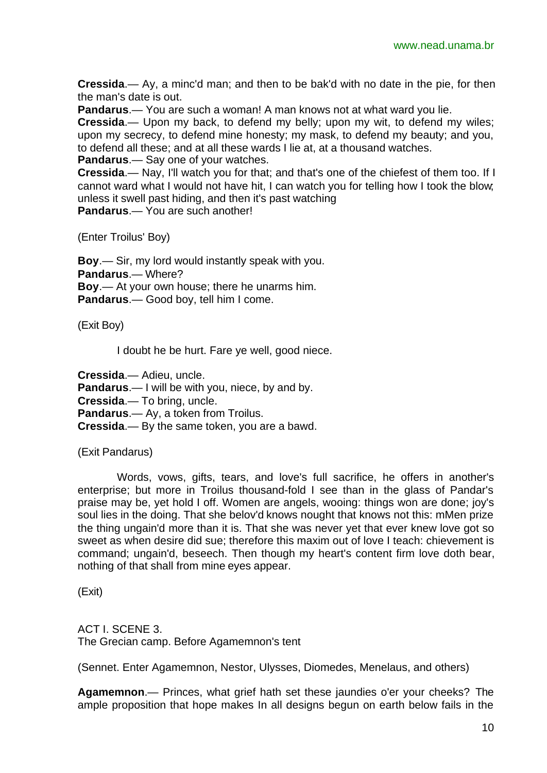**Cressida**.— Ay, a minc'd man; and then to be bak'd with no date in the pie, for then the man's date is out.

**Pandarus**.— You are such a woman! A man knows not at what ward you lie.

**Cressida**.— Upon my back, to defend my belly; upon my wit, to defend my wiles; upon my secrecy, to defend mine honesty; my mask, to defend my beauty; and you, to defend all these; and at all these wards I lie at, at a thousand watches.

**Pandarus**.— Say one of your watches.

**Cressida**.— Nay, I'll watch you for that; and that's one of the chiefest of them too. If I cannot ward what I would not have hit, I can watch you for telling how I took the blow; unless it swell past hiding, and then it's past watching **Pandarus**.— You are such another!

(Enter Troilus' Boy)

**Boy**.— Sir, my lord would instantly speak with you. **Pandarus**.— Where? **Boy**.— At your own house; there he unarms him. **Pandarus**.— Good boy, tell him I come.

(Exit Boy)

I doubt he be hurt. Fare ye well, good niece.

**Cressida**.— Adieu, uncle. **Pandarus**.— I will be with you, niece, by and by. **Cressida**.— To bring, uncle. **Pandarus**.— Ay, a token from Troilus. **Cressida**.— By the same token, you are a bawd.

(Exit Pandarus)

Words, vows, gifts, tears, and love's full sacrifice, he offers in another's enterprise; but more in Troilus thousand-fold I see than in the glass of Pandar's praise may be, yet hold I off. Women are angels, wooing: things won are done; joy's soul lies in the doing. That she belov'd knows nought that knows not this: mMen prize the thing ungain'd more than it is. That she was never yet that ever knew love got so sweet as when desire did sue; therefore this maxim out of love I teach: chievement is command; ungain'd, beseech. Then though my heart's content firm love doth bear, nothing of that shall from mine eyes appear.

(Exit)

ACT I. SCENE 3. The Grecian camp. Before Agamemnon's tent

(Sennet. Enter Agamemnon, Nestor, Ulysses, Diomedes, Menelaus, and others)

**Agamemnon**.— Princes, what grief hath set these jaundies o'er your cheeks? The ample proposition that hope makes In all designs begun on earth below fails in the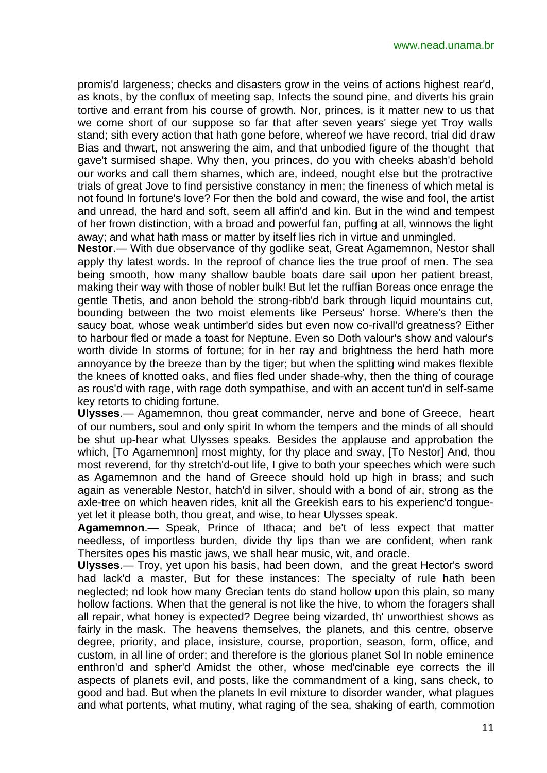promis'd largeness; checks and disasters grow in the veins of actions highest rear'd, as knots, by the conflux of meeting sap, Infects the sound pine, and diverts his grain tortive and errant from his course of growth. Nor, princes, is it matter new to us that we come short of our suppose so far that after seven years' siege yet Troy walls stand; sith every action that hath gone before, whereof we have record, trial did draw Bias and thwart, not answering the aim, and that unbodied figure of the thought that gave't surmised shape. Why then, you princes, do you with cheeks abash'd behold our works and call them shames, which are, indeed, nought else but the protractive trials of great Jove to find persistive constancy in men; the fineness of which metal is not found In fortune's love? For then the bold and coward, the wise and fool, the artist and unread, the hard and soft, seem all affin'd and kin. But in the wind and tempest of her frown distinction, with a broad and powerful fan, puffing at all, winnows the light away; and what hath mass or matter by itself lies rich in virtue and unmingled.

**Nestor**.— With due observance of thy godlike seat, Great Agamemnon, Nestor shall apply thy latest words. In the reproof of chance lies the true proof of men. The sea being smooth, how many shallow bauble boats dare sail upon her patient breast, making their way with those of nobler bulk! But let the ruffian Boreas once enrage the gentle Thetis, and anon behold the strong-ribb'd bark through liquid mountains cut, bounding between the two moist elements like Perseus' horse. Where's then the saucy boat, whose weak untimber'd sides but even now co-rivall'd greatness? Either to harbour fled or made a toast for Neptune. Even so Doth valour's show and valour's worth divide In storms of fortune; for in her ray and brightness the herd hath more annoyance by the breeze than by the tiger; but when the splitting wind makes flexible the knees of knotted oaks, and flies fled under shade-why, then the thing of courage as rous'd with rage, with rage doth sympathise, and with an accent tun'd in self-same key retorts to chiding fortune.

**Ulysses**.— Agamemnon, thou great commander, nerve and bone of Greece, heart of our numbers, soul and only spirit In whom the tempers and the minds of all should be shut up-hear what Ulysses speaks. Besides the applause and approbation the which, [To Agamemnon] most mighty, for thy place and sway, [To Nestor] And, thou most reverend, for thy stretch'd-out life, I give to both your speeches which were such as Agamemnon and the hand of Greece should hold up high in brass; and such again as venerable Nestor, hatch'd in silver, should with a bond of air, strong as the axle-tree on which heaven rides, knit all the Greekish ears to his experienc'd tongueyet let it please both, thou great, and wise, to hear Ulysses speak.

**Agamemnon**.— Speak, Prince of Ithaca; and be't of less expect that matter needless, of importless burden, divide thy lips than we are confident, when rank Thersites opes his mastic jaws, we shall hear music, wit, and oracle.

**Ulysses**.— Troy, yet upon his basis, had been down, and the great Hector's sword had lack'd a master, But for these instances: The specialty of rule hath been neglected; nd look how many Grecian tents do stand hollow upon this plain, so many hollow factions. When that the general is not like the hive, to whom the foragers shall all repair, what honey is expected? Degree being vizarded, th' unworthiest shows as fairly in the mask. The heavens themselves, the planets, and this centre, observe degree, priority, and place, insisture, course, proportion, season, form, office, and custom, in all line of order; and therefore is the glorious planet Sol In noble eminence enthron'd and spher'd Amidst the other, whose med'cinable eye corrects the ill aspects of planets evil, and posts, like the commandment of a king, sans check, to good and bad. But when the planets In evil mixture to disorder wander, what plagues and what portents, what mutiny, what raging of the sea, shaking of earth, commotion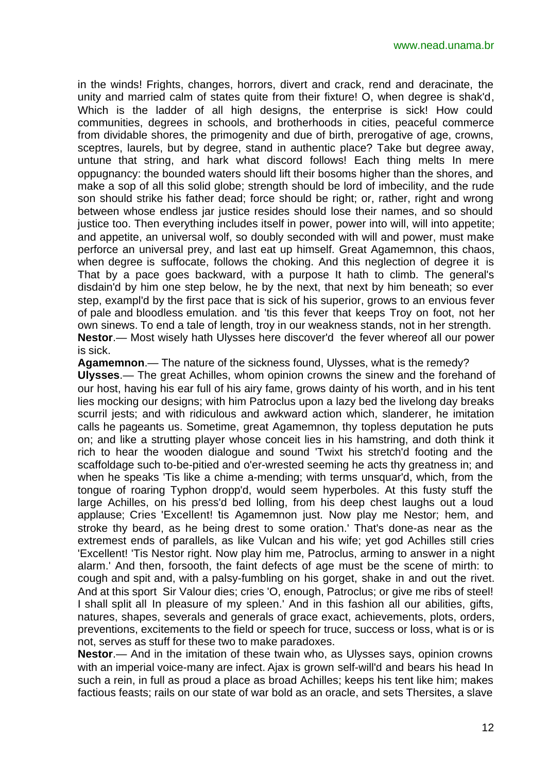in the winds! Frights, changes, horrors, divert and crack, rend and deracinate, the unity and married calm of states quite from their fixture! O, when degree is shak'd, Which is the ladder of all high designs, the enterprise is sick! How could communities, degrees in schools, and brotherhoods in cities, peaceful commerce from dividable shores, the primogenity and due of birth, prerogative of age, crowns, sceptres, laurels, but by degree, stand in authentic place? Take but degree away, untune that string, and hark what discord follows! Each thing melts In mere oppugnancy: the bounded waters should lift their bosoms higher than the shores, and make a sop of all this solid globe; strength should be lord of imbecility, and the rude son should strike his father dead; force should be right; or, rather, right and wrong between whose endless jar justice resides should lose their names, and so should justice too. Then everything includes itself in power, power into will, will into appetite; and appetite, an universal wolf, so doubly seconded with will and power, must make perforce an universal prey, and last eat up himself. Great Agamemnon, this chaos, when degree is suffocate, follows the choking. And this neglection of degree it is That by a pace goes backward, with a purpose It hath to climb. The general's disdain'd by him one step below, he by the next, that next by him beneath; so ever step, exampl'd by the first pace that is sick of his superior, grows to an envious fever of pale and bloodless emulation. and 'tis this fever that keeps Troy on foot, not her own sinews. To end a tale of length, troy in our weakness stands, not in her strength. **Nestor**.— Most wisely hath Ulysses here discover'd the fever whereof all our power is sick.

**Agamemnon**.— The nature of the sickness found, Ulysses, what is the remedy?

**Ulysses**.— The great Achilles, whom opinion crowns the sinew and the forehand of our host, having his ear full of his airy fame, grows dainty of his worth, and in his tent lies mocking our designs; with him Patroclus upon a lazy bed the livelong day breaks scurril jests; and with ridiculous and awkward action which, slanderer, he imitation calls he pageants us. Sometime, great Agamemnon, thy topless deputation he puts on; and like a strutting player whose conceit lies in his hamstring, and doth think it rich to hear the wooden dialogue and sound 'Twixt his stretch'd footing and the scaffoldage such to-be-pitied and o'er-wrested seeming he acts thy greatness in; and when he speaks 'Tis like a chime a-mending; with terms unsquar'd, which, from the tongue of roaring Typhon dropp'd, would seem hyperboles. At this fusty stuff the large Achilles, on his press'd bed lolling, from his deep chest laughs out a loud applause; Cries 'Excellent! tis Agamemnon just. Now play me Nestor; hem, and stroke thy beard, as he being drest to some oration.' That's done-as near as the extremest ends of parallels, as like Vulcan and his wife; yet god Achilles still cries 'Excellent! 'Tis Nestor right. Now play him me, Patroclus, arming to answer in a night alarm.' And then, forsooth, the faint defects of age must be the scene of mirth: to cough and spit and, with a palsy-fumbling on his gorget, shake in and out the rivet. And at this sport Sir Valour dies; cries 'O, enough, Patroclus; or give me ribs of steel! I shall split all In pleasure of my spleen.' And in this fashion all our abilities, gifts, natures, shapes, severals and generals of grace exact, achievements, plots, orders, preventions, excitements to the field or speech for truce, success or loss, what is or is not, serves as stuff for these two to make paradoxes.

**Nestor**.— And in the imitation of these twain who, as Ulysses says, opinion crowns with an imperial voice-many are infect. Ajax is grown self-will'd and bears his head In such a rein, in full as proud a place as broad Achilles; keeps his tent like him; makes factious feasts; rails on our state of war bold as an oracle, and sets Thersites, a slave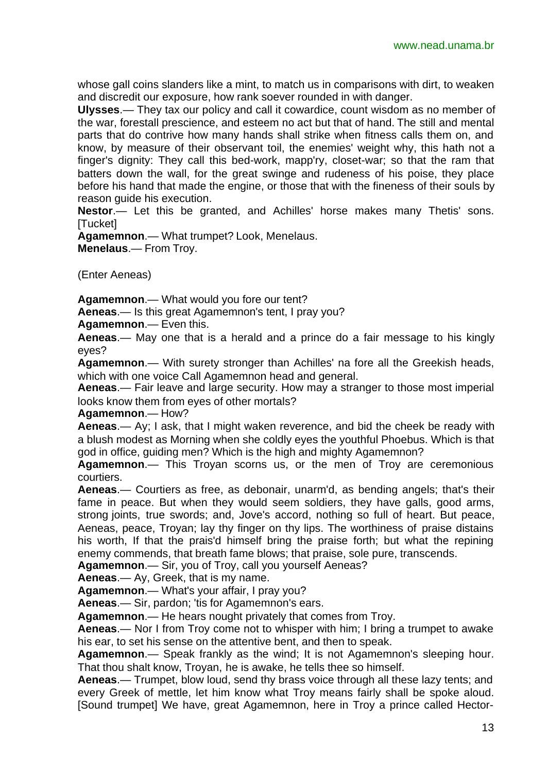whose gall coins slanders like a mint, to match us in comparisons with dirt, to weaken and discredit our exposure, how rank soever rounded in with danger.

**Ulysses**.— They tax our policy and call it cowardice, count wisdom as no member of the war, forestall prescience, and esteem no act but that of hand. The still and mental parts that do contrive how many hands shall strike when fitness calls them on, and know, by measure of their observant toil, the enemies' weight why, this hath not a finger's dignity: They call this bed-work, mapp'ry, closet-war; so that the ram that batters down the wall, for the great swinge and rudeness of his poise, they place before his hand that made the engine, or those that with the fineness of their souls by reason guide his execution.

**Nestor**.— Let this be granted, and Achilles' horse makes many Thetis' sons. [Tucket]

**Agamemnon**.— What trumpet? Look, Menelaus. **Menelaus**.— From Troy.

(Enter Aeneas)

**Agamemnon**.— What would you fore our tent?

**Aeneas**.— Is this great Agamemnon's tent, I pray you?

**Agamemnon**.— Even this.

**Aeneas**.— May one that is a herald and a prince do a fair message to his kingly eyes?

**Agamemnon**.— With surety stronger than Achilles' na fore all the Greekish heads, which with one voice Call Agamemnon head and general.

**Aeneas**.— Fair leave and large security. How may a stranger to those most imperial looks know them from eyes of other mortals?

**Agamemnon**.— How?

**Aeneas**.— Ay; I ask, that I might waken reverence, and bid the cheek be ready with a blush modest as Morning when she coldly eyes the youthful Phoebus. Which is that god in office, guiding men? Which is the high and mighty Agamemnon?

**Agamemnon**.— This Troyan scorns us, or the men of Troy are ceremonious courtiers.

**Aeneas**.— Courtiers as free, as debonair, unarm'd, as bending angels; that's their fame in peace. But when they would seem soldiers, they have galls, good arms, strong joints, true swords; and, Jove's accord, nothing so full of heart. But peace, Aeneas, peace, Troyan; lay thy finger on thy lips. The worthiness of praise distains his worth, If that the prais'd himself bring the praise forth; but what the repining enemy commends, that breath fame blows; that praise, sole pure, transcends.

**Agamemnon**.— Sir, you of Troy, call you yourself Aeneas?

**Aeneas**.— Ay, Greek, that is my name.

**Agamemnon**.— What's your affair, I pray you?

**Aeneas**.— Sir, pardon; 'tis for Agamemnon's ears.

**Agamemnon**.— He hears nought privately that comes from Troy.

**Aeneas**.— Nor I from Troy come not to whisper with him; I bring a trumpet to awake his ear, to set his sense on the attentive bent, and then to speak.

**Agamemnon**.— Speak frankly as the wind; It is not Agamemnon's sleeping hour. That thou shalt know, Troyan, he is awake, he tells thee so himself.

**Aeneas**.— Trumpet, blow loud, send thy brass voice through all these lazy tents; and every Greek of mettle, let him know what Troy means fairly shall be spoke aloud. [Sound trumpet] We have, great Agamemnon, here in Troy a prince called Hector-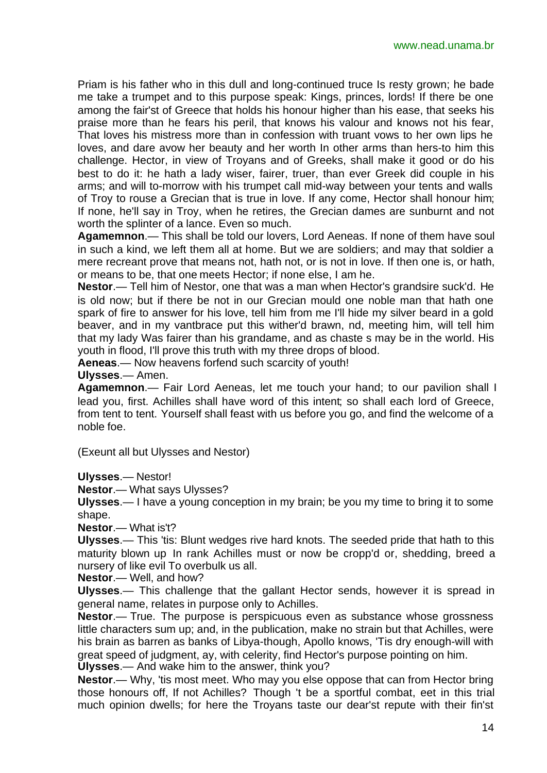Priam is his father who in this dull and long-continued truce Is resty grown; he bade me take a trumpet and to this purpose speak: Kings, princes, lords! If there be one among the fair'st of Greece that holds his honour higher than his ease, that seeks his praise more than he fears his peril, that knows his valour and knows not his fear, That loves his mistress more than in confession with truant vows to her own lips he loves, and dare avow her beauty and her worth In other arms than hers-to him this challenge. Hector, in view of Troyans and of Greeks, shall make it good or do his best to do it: he hath a lady wiser, fairer, truer, than ever Greek did couple in his arms; and will to-morrow with his trumpet call mid-way between your tents and walls of Troy to rouse a Grecian that is true in love. If any come, Hector shall honour him; If none, he'll say in Troy, when he retires, the Grecian dames are sunburnt and not worth the splinter of a lance. Even so much.

**Agamemnon**.— This shall be told our lovers, Lord Aeneas. If none of them have soul in such a kind, we left them all at home. But we are soldiers; and may that soldier a mere recreant prove that means not, hath not, or is not in love. If then one is, or hath, or means to be, that one meets Hector; if none else, I am he.

**Nestor**.— Tell him of Nestor, one that was a man when Hector's grandsire suck'd. He is old now; but if there be not in our Grecian mould one noble man that hath one spark of fire to answer for his love, tell him from me I'll hide my silver beard in a gold beaver, and in my vantbrace put this wither'd brawn, nd, meeting him, will tell him that my lady Was fairer than his grandame, and as chaste s may be in the world. His youth in flood, I'll prove this truth with my three drops of blood.

**Aeneas**.— Now heavens forfend such scarcity of youth!

**Ulysses**.— Amen.

**Agamemnon**.— Fair Lord Aeneas, let me touch your hand; to our pavilion shall I lead you, first. Achilles shall have word of this intent; so shall each lord of Greece, from tent to tent. Yourself shall feast with us before you go, and find the welcome of a noble foe.

(Exeunt all but Ulysses and Nestor)

**Ulysses**.— Nestor!

**Nestor**.— What says Ulysses?

**Ulysses**.— I have a young conception in my brain; be you my time to bring it to some shape.

**Nestor**.— What is't?

**Ulysses**.— This 'tis: Blunt wedges rive hard knots. The seeded pride that hath to this maturity blown up In rank Achilles must or now be cropp'd or, shedding, breed a nursery of like evil To overbulk us all.

**Nestor**.— Well, and how?

**Ulysses**.— This challenge that the gallant Hector sends, however it is spread in general name, relates in purpose only to Achilles.

**Nestor**.— True. The purpose is perspicuous even as substance whose grossness little characters sum up; and, in the publication, make no strain but that Achilles, were his brain as barren as banks of Libya-though, Apollo knows, 'Tis dry enough-will with great speed of judgment, ay, with celerity, find Hector's purpose pointing on him. **Ulysses**.— And wake him to the answer, think you?

**Nestor**.— Why, 'tis most meet. Who may you else oppose that can from Hector bring those honours off, If not Achilles? Though 't be a sportful combat, eet in this trial much opinion dwells; for here the Troyans taste our dear'st repute with their fin'st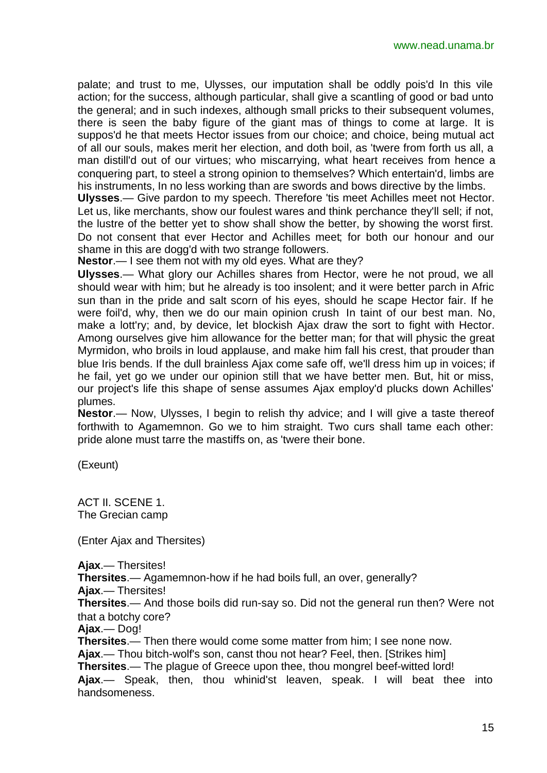palate; and trust to me, Ulysses, our imputation shall be oddly pois'd In this vile action; for the success, although particular, shall give a scantling of good or bad unto the general; and in such indexes, although small pricks to their subsequent volumes, there is seen the baby figure of the giant mas of things to come at large. It is suppos'd he that meets Hector issues from our choice; and choice, being mutual act of all our souls, makes merit her election, and doth boil, as 'twere from forth us all, a man distill'd out of our virtues; who miscarrying, what heart receives from hence a conquering part, to steel a strong opinion to themselves? Which entertain'd, limbs are his instruments, In no less working than are swords and bows directive by the limbs.

**Ulysses**.— Give pardon to my speech. Therefore 'tis meet Achilles meet not Hector. Let us, like merchants, show our foulest wares and think perchance they'll sell; if not, the lustre of the better yet to show shall show the better, by showing the worst first. Do not consent that ever Hector and Achilles meet; for both our honour and our shame in this are dogg'd with two strange followers.

**Nestor**.— I see them not with my old eyes. What are they?

**Ulysses**.— What glory our Achilles shares from Hector, were he not proud, we all should wear with him; but he already is too insolent; and it were better parch in Afric sun than in the pride and salt scorn of his eyes, should he scape Hector fair. If he were foil'd, why, then we do our main opinion crush In taint of our best man. No, make a lott'ry; and, by device, let blockish Ajax draw the sort to fight with Hector. Among ourselves give him allowance for the better man; for that will physic the great Myrmidon, who broils in loud applause, and make him fall his crest, that prouder than blue Iris bends. If the dull brainless Ajax come safe off, we'll dress him up in voices; if he fail, yet go we under our opinion still that we have better men. But, hit or miss, our project's life this shape of sense assumes Ajax employ'd plucks down Achilles' plumes.

**Nestor**.— Now, Ulysses, I begin to relish thy advice; and I will give a taste thereof forthwith to Agamemnon. Go we to him straight. Two curs shall tame each other: pride alone must tarre the mastiffs on, as 'twere their bone.

(Exeunt)

ACT II. SCENE 1. The Grecian camp

(Enter Ajax and Thersites)

**Ajax**.— Thersites!

**Thersites**.— Agamemnon-how if he had boils full, an over, generally?

**Ajax**.— Thersites!

**Thersites**.— And those boils did run-say so. Did not the general run then? Were not that a botchy core?

**Ajax**.— Dog!

**Thersites**.— Then there would come some matter from him; I see none now. **Ajax**.— Thou bitch-wolf's son, canst thou not hear? Feel, then. [Strikes him] **Thersites**.— The plague of Greece upon thee, thou mongrel beef-witted lord! **Ajax**.— Speak, then, thou whinid'st leaven, speak. I will beat thee into handsomeness.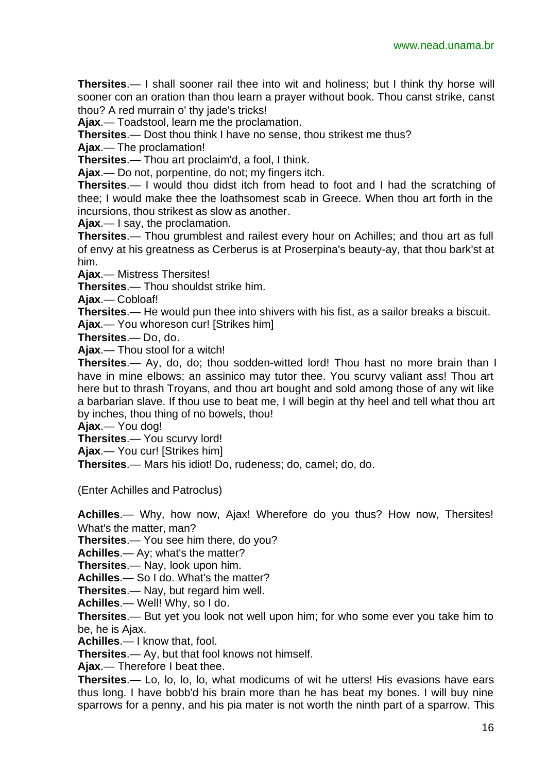**Thersites**.— I shall sooner rail thee into wit and holiness; but I think thy horse will sooner con an oration than thou learn a prayer without book. Thou canst strike, canst thou? A red murrain o' thy jade's tricks!

**Ajax**.— Toadstool, learn me the proclamation.

**Thersites**.— Dost thou think I have no sense, thou strikest me thus?

**Ajax**.— The proclamation!

**Thersites**.— Thou art proclaim'd, a fool, I think.

**Ajax**.— Do not, porpentine, do not; my fingers itch.

**Thersites**.— I would thou didst itch from head to foot and I had the scratching of thee; I would make thee the loathsomest scab in Greece. When thou art forth in the incursions, thou strikest as slow as another.

**Ajax**.— I say, the proclamation.

**Thersites**.— Thou grumblest and railest every hour on Achilles; and thou art as full of envy at his greatness as Cerberus is at Proserpina's beauty-ay, that thou bark'st at him.

**Ajax**.— Mistress Thersites!

**Thersites**.— Thou shouldst strike him.

**Ajax**.— Cobloaf!

**Thersites**.— He would pun thee into shivers with his fist, as a sailor breaks a biscuit. **Ajax**.— You whoreson cur! [Strikes him]

**Thersites**.— Do, do.

**Ajax**.— Thou stool for a witch!

**Thersites**.— Ay, do, do; thou sodden-witted lord! Thou hast no more brain than I have in mine elbows; an assinico may tutor thee. You scurvy valiant ass! Thou art here but to thrash Troyans, and thou art bought and sold among those of any wit like a barbarian slave. If thou use to beat me, I will begin at thy heel and tell what thou art by inches, thou thing of no bowels, thou!

**Ajax**.— You dog!

**Thersites**.— You scurvy lord!

**Ajax**.— You cur! [Strikes him]

**Thersites**.— Mars his idiot! Do, rudeness; do, camel; do, do.

(Enter Achilles and Patroclus)

**Achilles**.— Why, how now, Ajax! Wherefore do you thus? How now, Thersites! What's the matter, man?

**Thersites**.— You see him there, do you?

**Achilles**.— Ay; what's the matter?

**Thersites**.— Nay, look upon him.

**Achilles**.— So I do. What's the matter?

**Thersites**.— Nay, but regard him well.

**Achilles**.— Well! Why, so I do.

**Thersites**.— But yet you look not well upon him; for who some ever you take him to be, he is Ajax.

**Achilles**.— I know that, fool.

**Thersites**.— Ay, but that fool knows not himself.

**Ajax**.— Therefore I beat thee.

**Thersites**.— Lo, lo, lo, lo, what modicums of wit he utters! His evasions have ears thus long. I have bobb'd his brain more than he has beat my bones. I will buy nine sparrows for a penny, and his pia mater is not worth the ninth part of a sparrow. This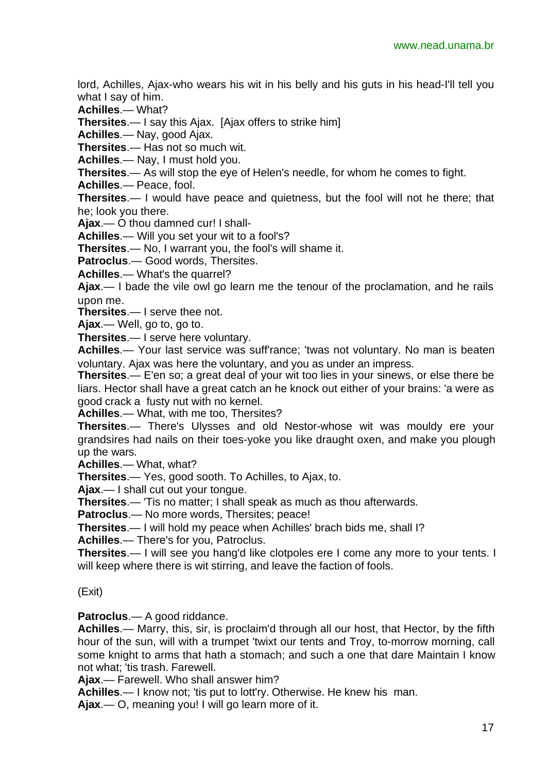lord, Achilles, Ajax-who wears his wit in his belly and his guts in his head-I'll tell you what I say of him.

**Achilles**.— What?

**Thersites**.— I say this Ajax. [Ajax offers to strike him]

**Achilles**.— Nay, good Ajax.

**Thersites**.— Has not so much wit.

**Achilles**.— Nay, I must hold you.

**Thersites**.— As will stop the eye of Helen's needle, for whom he comes to fight.

**Achilles**.— Peace, fool.

**Thersites**.— I would have peace and quietness, but the fool will not he there; that he; look you there.

**Ajax**.— O thou damned cur! I shall-

**Achilles**.— Will you set your wit to a fool's?

**Thersites**.— No, I warrant you, the fool's will shame it.

**Patroclus**.— Good words, Thersites.

**Achilles**.— What's the quarrel?

**Ajax**.— I bade the vile owl go learn me the tenour of the proclamation, and he rails upon me.

**Thersites**.— I serve thee not.

**Ajax**.— Well, go to, go to.

**Thersites**.— I serve here voluntary.

**Achilles**.— Your last service was suff'rance; 'twas not voluntary. No man is beaten voluntary. Ajax was here the voluntary, and you as under an impress.

**Thersites**.— E'en so; a great deal of your wit too lies in your sinews, or else there be liars. Hector shall have a great catch an he knock out either of your brains: 'a were as good crack a fusty nut with no kernel.

**Achilles**.— What, with me too, Thersites?

**Thersites**.— There's Ulysses and old Nestor-whose wit was mouldy ere your grandsires had nails on their toes-yoke you like draught oxen, and make you plough up the wars.

**Achilles**.— What, what?

**Thersites**.— Yes, good sooth. To Achilles, to Ajax, to.

**Ajax**.— I shall cut out your tongue.

**Thersites**.— 'Tis no matter; I shall speak as much as thou afterwards.

**Patroclus**.— No more words, Thersites; peace!

**Thersites**.— I will hold my peace when Achilles' brach bids me, shall I?

**Achilles**.— There's for you, Patroclus.

**Thersites**.— I will see you hang'd like clotpoles ere I come any more to your tents. I will keep where there is wit stirring, and leave the faction of fools.

(Exit)

**Patroclus**.— A good riddance.

**Achilles**.— Marry, this, sir, is proclaim'd through all our host, that Hector, by the fifth hour of the sun, will with a trumpet 'twixt our tents and Troy, to-morrow morning, call some knight to arms that hath a stomach; and such a one that dare Maintain I know not what; 'tis trash. Farewell.

**Ajax**.— Farewell. Who shall answer him?

**Achilles**.— I know not; 'tis put to lott'ry. Otherwise. He knew his man.

**Ajax**.— O, meaning you! I will go learn more of it.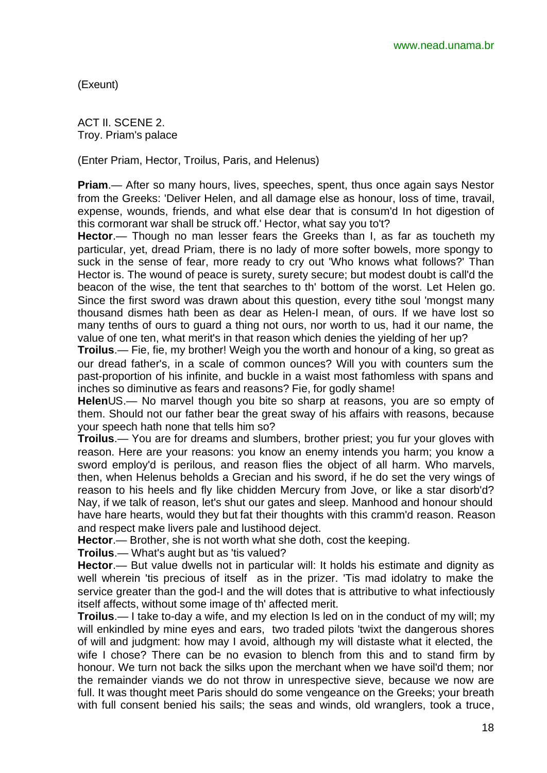(Exeunt)

ACT II. SCENE 2. Troy. Priam's palace

(Enter Priam, Hector, Troilus, Paris, and Helenus)

**Priam**.— After so many hours, lives, speeches, spent, thus once again says Nestor from the Greeks: 'Deliver Helen, and all damage else as honour, loss of time, travail, expense, wounds, friends, and what else dear that is consum'd In hot digestion of this cormorant war shall be struck off.' Hector, what say you to't?

**Hector**.— Though no man lesser fears the Greeks than I, as far as toucheth my particular, yet, dread Priam, there is no lady of more softer bowels, more spongy to suck in the sense of fear, more ready to cry out 'Who knows what follows?' Than Hector is. The wound of peace is surety, surety secure; but modest doubt is call'd the beacon of the wise, the tent that searches to th' bottom of the worst. Let Helen go. Since the first sword was drawn about this question, every tithe soul 'mongst many thousand dismes hath been as dear as Helen-I mean, of ours. If we have lost so many tenths of ours to guard a thing not ours, nor worth to us, had it our name, the value of one ten, what merit's in that reason which denies the yielding of her up?

**Troilus**.— Fie, fie, my brother! Weigh you the worth and honour of a king, so great as our dread father's, in a scale of common ounces? Will you with counters sum the past-proportion of his infinite, and buckle in a waist most fathomless with spans and inches so diminutive as fears and reasons? Fie, for godly shame!

**Helen**US.— No marvel though you bite so sharp at reasons, you are so empty of them. Should not our father bear the great sway of his affairs with reasons, because your speech hath none that tells him so?

**Troilus**.— You are for dreams and slumbers, brother priest; you fur your gloves with reason. Here are your reasons: you know an enemy intends you harm; you know a sword employ'd is perilous, and reason flies the obiect of all harm. Who marvels. then, when Helenus beholds a Grecian and his sword, if he do set the very wings of reason to his heels and fly like chidden Mercury from Jove, or like a star disorb'd? Nay, if we talk of reason, let's shut our gates and sleep. Manhood and honour should have hare hearts, would they but fat their thoughts with this cramm'd reason. Reason and respect make livers pale and lustihood deject.

**Hector**.— Brother, she is not worth what she doth, cost the keeping.

**Troilus**.— What's aught but as 'tis valued?

**Hector**.— But value dwells not in particular will: It holds his estimate and dignity as well wherein 'tis precious of itself as in the prizer. 'Tis mad idolatry to make the service greater than the god-I and the will dotes that is attributive to what infectiously itself affects, without some image of th' affected merit.

**Troilus**.— I take to-day a wife, and my election Is led on in the conduct of my will; my will enkindled by mine eyes and ears, two traded pilots 'twixt the dangerous shores of will and judgment: how may I avoid, although my will distaste what it elected, the wife I chose? There can be no evasion to blench from this and to stand firm by honour. We turn not back the silks upon the merchant when we have soil'd them; nor the remainder viands we do not throw in unrespective sieve, because we now are full. It was thought meet Paris should do some vengeance on the Greeks; your breath with full consent benied his sails; the seas and winds, old wranglers, took a truce,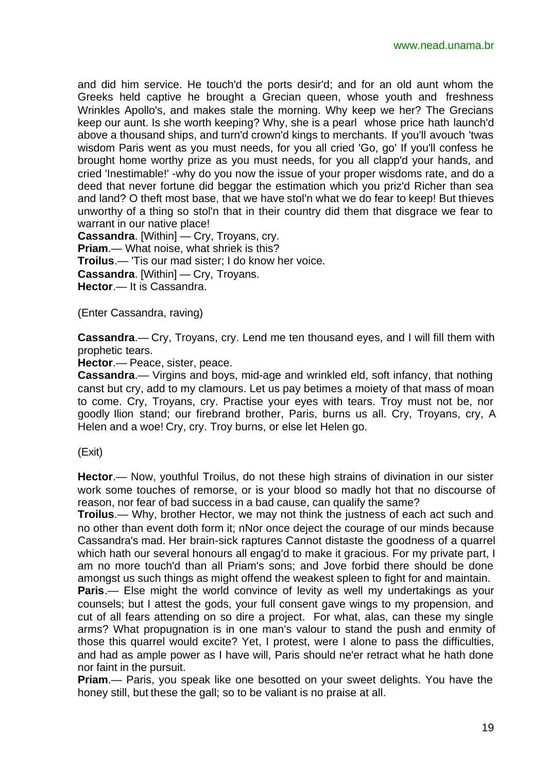and did him service. He touch'd the ports desir'd; and for an old aunt whom the Greeks held captive he brought a Grecian queen, whose youth and freshness Wrinkles Apollo's, and makes stale the morning. Why keep we her? The Grecians keep our aunt. Is she worth keeping? Why, she is a pearl whose price hath launch'd above a thousand ships, and turn'd crown'd kings to merchants. If you'll avouch 'twas wisdom Paris went as you must needs, for you all cried 'Go, go' If you'll confess he brought home worthy prize as you must needs, for you all clapp'd your hands, and cried 'Inestimable!' -why do you now the issue of your proper wisdoms rate, and do a deed that never fortune did beggar the estimation which you priz'd Richer than sea and land? O theft most base, that we have stol'n what we do fear to keep! But thieves unworthy of a thing so stol'n that in their country did them that disgrace we fear to warrant in our native place!

**Cassandra**. [Within] — Cry, Troyans, cry. **Priam**.— What noise, what shriek is this? **Troilus**.— 'Tis our mad sister; I do know her voice. **Cassandra**. [Within] — Cry, Troyans. **Hector**.— It is Cassandra.

(Enter Cassandra, raving)

**Cassandra**.— Cry, Troyans, cry. Lend me ten thousand eyes, and I will fill them with prophetic tears.

**Hector**.— Peace, sister, peace.

**Cassandra**.— Virgins and boys, mid-age and wrinkled eld, soft infancy, that nothing canst but cry, add to my clamours. Let us pay betimes a moiety of that mass of moan to come. Cry, Troyans, cry. Practise your eyes with tears. Troy must not be, nor goodly Ilion stand; our firebrand brother, Paris, burns us all. Cry, Troyans, cry, A Helen and a woe! Cry, cry. Troy burns, or else let Helen go.

(Exit)

**Hector**.— Now, youthful Troilus, do not these high strains of divination in our sister work some touches of remorse, or is your blood so madly hot that no discourse of reason, nor fear of bad success in a bad cause, can qualify the same?

**Troilus**.— Why, brother Hector, we may not think the justness of each act such and no other than event doth form it; nNor once deject the courage of our minds because Cassandra's mad. Her brain-sick raptures Cannot distaste the goodness of a quarrel which hath our several honours all engag'd to make it gracious. For my private part, I am no more touch'd than all Priam's sons; and Jove forbid there should be done amongst us such things as might offend the weakest spleen to fight for and maintain.

**Paris.**— Else might the world convince of levity as well my undertakings as your counsels; but I attest the gods, your full consent gave wings to my propension, and cut of all fears attending on so dire a project. For what, alas, can these my single arms? What propugnation is in one man's valour to stand the push and enmity of those this quarrel would excite? Yet, I protest, were I alone to pass the difficulties, and had as ample power as I have will, Paris should ne'er retract what he hath done nor faint in the pursuit.

**Priam**.— Paris, you speak like one besotted on your sweet delights. You have the honey still, but these the gall; so to be valiant is no praise at all.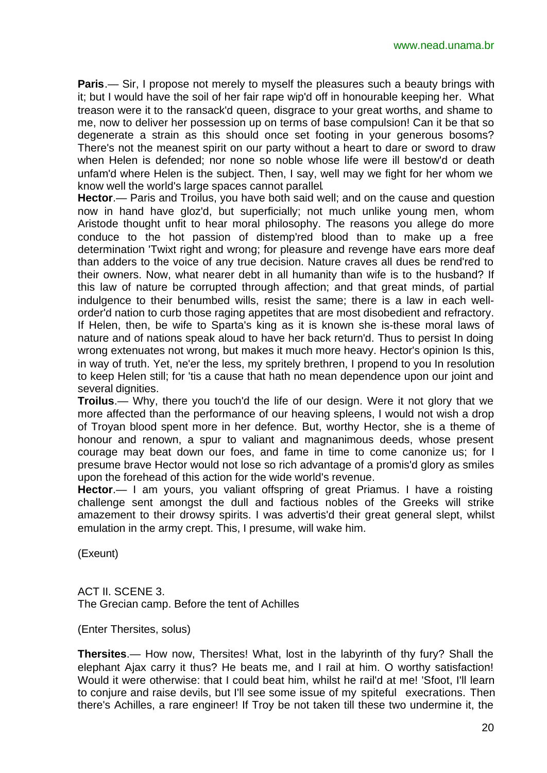**Paris**.— Sir, I propose not merely to myself the pleasures such a beauty brings with it; but I would have the soil of her fair rape wip'd off in honourable keeping her. What treason were it to the ransack'd queen, disgrace to your great worths, and shame to me, now to deliver her possession up on terms of base compulsion! Can it be that so degenerate a strain as this should once set footing in your generous bosoms? There's not the meanest spirit on our party without a heart to dare or sword to draw when Helen is defended; nor none so noble whose life were ill bestow'd or death unfam'd where Helen is the subject. Then, I say, well may we fight for her whom we know well the world's large spaces cannot parallel.

**Hector**.— Paris and Troilus, you have both said well; and on the cause and question now in hand have gloz'd, but superficially; not much unlike young men, whom Aristode thought unfit to hear moral philosophy. The reasons you allege do more conduce to the hot passion of distemp'red blood than to make up a free determination 'Twixt right and wrong; for pleasure and revenge have ears more deaf than adders to the voice of any true decision. Nature craves all dues be rend'red to their owners. Now, what nearer debt in all humanity than wife is to the husband? If this law of nature be corrupted through affection; and that great minds, of partial indulgence to their benumbed wills, resist the same; there is a law in each wellorder'd nation to curb those raging appetites that are most disobedient and refractory. If Helen, then, be wife to Sparta's king as it is known she is-these moral laws of nature and of nations speak aloud to have her back return'd. Thus to persist In doing wrong extenuates not wrong, but makes it much more heavy. Hector's opinion Is this, in way of truth. Yet, ne'er the less, my spritely brethren, I propend to you In resolution to keep Helen still; for 'tis a cause that hath no mean dependence upon our joint and several dignities.

**Troilus**.— Why, there you touch'd the life of our design. Were it not glory that we more affected than the performance of our heaving spleens, I would not wish a drop of Troyan blood spent more in her defence. But, worthy Hector, she is a theme of honour and renown, a spur to valiant and magnanimous deeds, whose present courage may beat down our foes, and fame in time to come canonize us; for I presume brave Hector would not lose so rich advantage of a promis'd glory as smiles upon the forehead of this action for the wide world's revenue.

**Hector**.— I am yours, you valiant offspring of great Priamus. I have a roisting challenge sent amongst the dull and factious nobles of the Greeks will strike amazement to their drowsy spirits. I was advertis'd their great general slept, whilst emulation in the army crept. This, I presume, will wake him.

(Exeunt)

ACT II. SCENE 3. The Grecian camp. Before the tent of Achilles

(Enter Thersites, solus)

**Thersites**.— How now, Thersites! What, lost in the labyrinth of thy fury? Shall the elephant Ajax carry it thus? He beats me, and I rail at him. O worthy satisfaction! Would it were otherwise: that I could beat him, whilst he rail'd at me! 'Sfoot, I'll learn to conjure and raise devils, but I'll see some issue of my spiteful execrations. Then there's Achilles, a rare engineer! If Troy be not taken till these two undermine it, the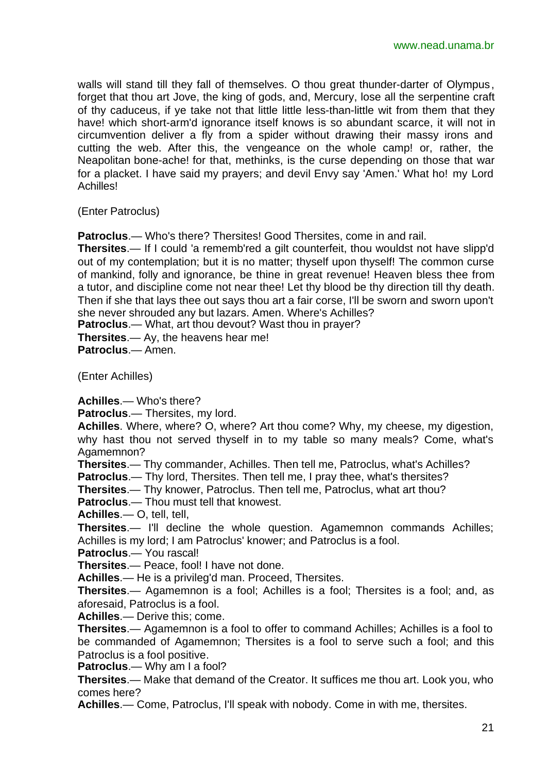walls will stand till they fall of themselves. O thou great thunder-darter of Olympus, forget that thou art Jove, the king of gods, and, Mercury, lose all the serpentine craft of thy caduceus, if ye take not that little little less-than-little wit from them that they have! which short-arm'd ignorance itself knows is so abundant scarce, it will not in circumvention deliver a fly from a spider without drawing their massy irons and cutting the web. After this, the vengeance on the whole camp! or, rather, the Neapolitan bone-ache! for that, methinks, is the curse depending on those that war for a placket. I have said my prayers; and devil Envy say 'Amen.' What ho! my Lord Achilles!

(Enter Patroclus)

**Patroclus.**— Who's there? Thersites! Good Thersites, come in and rail.

**Thersites**.— If I could 'a rememb'red a gilt counterfeit, thou wouldst not have slipp'd out of my contemplation; but it is no matter; thyself upon thyself! The common curse of mankind, folly and ignorance, be thine in great revenue! Heaven bless thee from a tutor, and discipline come not near thee! Let thy blood be thy direction till thy death. Then if she that lays thee out says thou art a fair corse, I'll be sworn and sworn upon't she never shrouded any but lazars. Amen. Where's Achilles?

**Patroclus**.— What, art thou devout? Wast thou in prayer?

**Thersites**.— Ay, the heavens hear me!

**Patroclus**.— Amen.

(Enter Achilles)

**Achilles**.— Who's there?

**Patroclus**.— Thersites, my lord.

**Achilles**. Where, where? O, where? Art thou come? Why, my cheese, my digestion, why hast thou not served thyself in to my table so many meals? Come, what's Agamemnon?

**Thersites**.— Thy commander, Achilles. Then tell me, Patroclus, what's Achilles?

**Patroclus**.— Thy lord, Thersites. Then tell me, I pray thee, what's thersites?

**Thersites**.— Thy knower, Patroclus. Then tell me, Patroclus, what art thou?

**Patroclus**.— Thou must tell that knowest.

**Achilles**.— O, tell, tell,

**Thersites**.— I'll decline the whole question. Agamemnon commands Achilles; Achilles is my lord; I am Patroclus' knower; and Patroclus is a fool.

**Patroclus**.— You rascal!

**Thersites**.— Peace, fool! I have not done.

**Achilles**.— He is a privileg'd man. Proceed, Thersites.

**Thersites**.— Agamemnon is a fool; Achilles is a fool; Thersites is a fool; and, as aforesaid, Patroclus is a fool.

**Achilles**.— Derive this; come.

**Thersites**.— Agamemnon is a fool to offer to command Achilles; Achilles is a fool to be commanded of Agamemnon; Thersites is a fool to serve such a fool; and this Patroclus is a fool positive.

**Patroclus**.— Why am I a fool?

**Thersites**.— Make that demand of the Creator. It suffices me thou art. Look you, who comes here?

**Achilles**.— Come, Patroclus, I'll speak with nobody. Come in with me, thersites.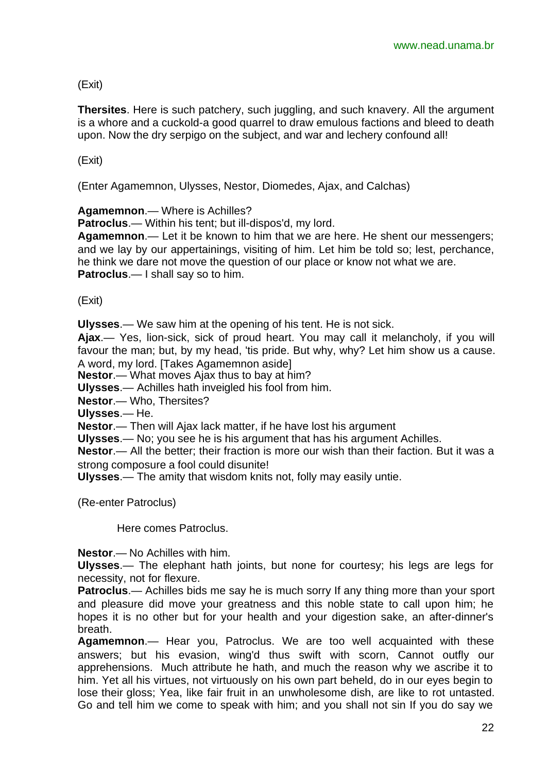(Exit)

**Thersites**. Here is such patchery, such juggling, and such knavery. All the argument is a whore and a cuckold-a good quarrel to draw emulous factions and bleed to death upon. Now the dry serpigo on the subject, and war and lechery confound all!

(Exit)

(Enter Agamemnon, Ulysses, Nestor, Diomedes, Ajax, and Calchas)

**Agamemnon**.— Where is Achilles?

**Patroclus**.— Within his tent; but ill-dispos'd, my lord.

**Agamemnon**.— Let it be known to him that we are here. He shent our messengers; and we lay by our appertainings, visiting of him. Let him be told so; lest, perchance, he think we dare not move the question of our place or know not what we are. **Patroclus**.— I shall say so to him.

(Exit)

**Ulysses**.— We saw him at the opening of his tent. He is not sick.

**Ajax**.— Yes, lion-sick, sick of proud heart. You may call it melancholy, if you will favour the man; but, by my head, 'tis pride. But why, why? Let him show us a cause. A word, my lord. [Takes Agamemnon aside]

**Nestor**.— What moves Ajax thus to bay at him?

**Ulysses**.— Achilles hath inveigled his fool from him.

**Nestor**.— Who, Thersites?

**Ulysses**.— He.

**Nestor**.— Then will Ajax lack matter, if he have lost his argument

**Ulysses**.— No; you see he is his argument that has his argument Achilles.

**Nestor**.— All the better; their fraction is more our wish than their faction. But it was a strong composure a fool could disunite!

**Ulysses**.— The amity that wisdom knits not, folly may easily untie.

(Re-enter Patroclus)

Here comes Patroclus.

**Nestor**.— No Achilles with him.

**Ulysses**.— The elephant hath joints, but none for courtesy; his legs are legs for necessity, not for flexure.

**Patroclus**.— Achilles bids me say he is much sorry If any thing more than your sport and pleasure did move your greatness and this noble state to call upon him; he hopes it is no other but for your health and your digestion sake, an after-dinner's breath.

**Agamemnon**.— Hear you, Patroclus. We are too well acquainted with these answers; but his evasion, wing'd thus swift with scorn, Cannot outfly our apprehensions. Much attribute he hath, and much the reason why we ascribe it to him. Yet all his virtues, not virtuously on his own part beheld, do in our eyes begin to lose their gloss; Yea, like fair fruit in an unwholesome dish, are like to rot untasted. Go and tell him we come to speak with him; and you shall not sin If you do say we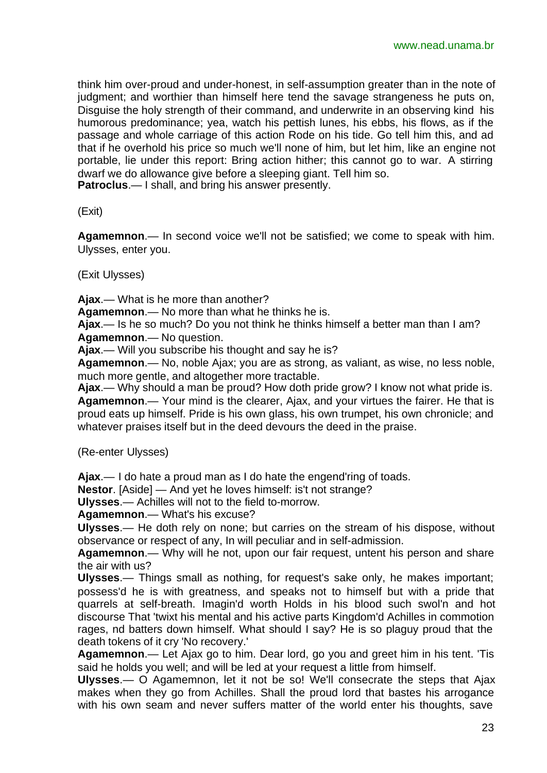think him over-proud and under-honest, in self-assumption greater than in the note of judgment; and worthier than himself here tend the savage strangeness he puts on, Disguise the holy strength of their command, and underwrite in an observing kind his humorous predominance; yea, watch his pettish lunes, his ebbs, his flows, as if the passage and whole carriage of this action Rode on his tide. Go tell him this, and ad that if he overhold his price so much we'll none of him, but let him, like an engine not portable, lie under this report: Bring action hither; this cannot go to war. A stirring dwarf we do allowance give before a sleeping giant. Tell him so. **Patroclus**.— I shall, and bring his answer presently.

(Exit)

**Agamemnon**.— In second voice we'll not be satisfied; we come to speak with him. Ulysses, enter you.

(Exit Ulysses)

**Ajax**.— What is he more than another?

**Agamemnon**.— No more than what he thinks he is.

**Ajax**.— Is he so much? Do you not think he thinks himself a better man than I am? **Agamemnon**.— No question.

**Ajax**.— Will you subscribe his thought and say he is?

**Agamemnon**.— No, noble Ajax; you are as strong, as valiant, as wise, no less noble, much more gentle, and altogether more tractable.

**Ajax**.— Why should a man be proud? How doth pride grow? I know not what pride is. **Agamemnon**.— Your mind is the clearer, Ajax, and your virtues the fairer. He that is proud eats up himself. Pride is his own glass, his own trumpet, his own chronicle; and whatever praises itself but in the deed devours the deed in the praise.

(Re-enter Ulysses)

**Ajax**.— I do hate a proud man as I do hate the engend'ring of toads.

**Nestor**. [Aside] — And yet he loves himself: is't not strange?

**Ulysses**.— Achilles will not to the field to-morrow.

**Agamemnon**.— What's his excuse?

**Ulysses**.— He doth rely on none; but carries on the stream of his dispose, without observance or respect of any, In will peculiar and in self-admission.

**Agamemnon**.— Why will he not, upon our fair request, untent his person and share the air with us?

**Ulysses**.— Things small as nothing, for request's sake only, he makes important; possess'd he is with greatness, and speaks not to himself but with a pride that quarrels at self-breath. Imagin'd worth Holds in his blood such swol'n and hot discourse That 'twixt his mental and his active parts Kingdom'd Achilles in commotion rages, nd batters down himself. What should I say? He is so plaguy proud that the death tokens of it cry 'No recovery.'

**Agamemnon**.— Let Ajax go to him. Dear lord, go you and greet him in his tent. 'Tis said he holds you well; and will be led at your request a little from himself.

**Ulysses**.— O Agamemnon, let it not be so! We'll consecrate the steps that Ajax makes when they go from Achilles. Shall the proud lord that bastes his arrogance with his own seam and never suffers matter of the world enter his thoughts, save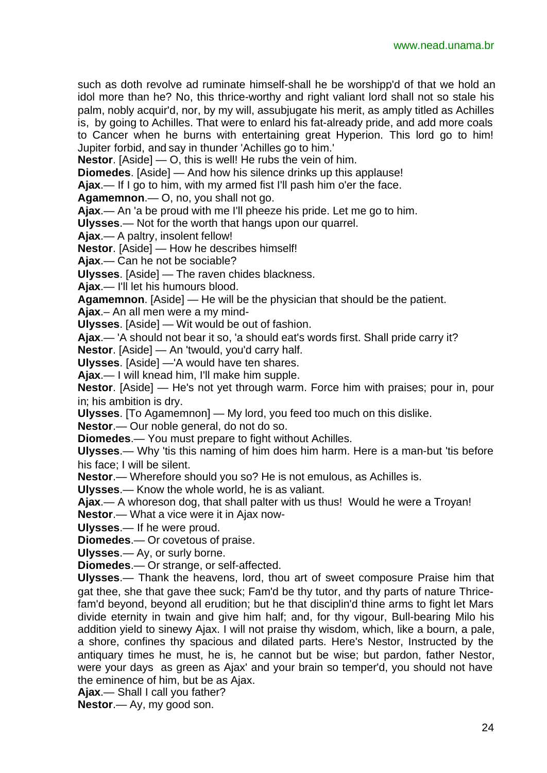such as doth revolve ad ruminate himself-shall he be worshipp'd of that we hold an idol more than he? No, this thrice-worthy and right valiant lord shall not so stale his palm, nobly acquir'd, nor, by my will, assubjugate his merit, as amply titled as Achilles is, by going to Achilles. That were to enlard his fat-already pride, and add more coals to Cancer when he burns with entertaining great Hyperion. This lord go to him! Jupiter forbid, and say in thunder 'Achilles go to him.'

**Nestor**. [Aside] — O, this is well! He rubs the vein of him.

**Diomedes**. [Aside] — And how his silence drinks up this applause!

**Ajax**.— If I go to him, with my armed fist I'll pash him o'er the face.

**Agamemnon**.— O, no, you shall not go.

**Ajax**.— An 'a be proud with me I'll pheeze his pride. Let me go to him.

**Ulysses**.— Not for the worth that hangs upon our quarrel.

**Ajax**.— A paltry, insolent fellow!

**Nestor**. [Aside] — How he describes himself!

**Ajax**.— Can he not be sociable?

**Ulysses**. [Aside] — The raven chides blackness.

**Ajax**.— I'll let his humours blood.

**Agamemnon**. [Aside] — He will be the physician that should be the patient.

**Ajax**.– An all men were a my mind-

**Ulysses**. [Aside] — Wit would be out of fashion.

**Ajax**.— 'A should not bear it so, 'a should eat's words first. Shall pride carry it?

**Nestor**. [Aside] — An 'twould, you'd carry half.

**Ulysses**. [Aside] —'A would have ten shares.

**Ajax**.— I will knead him, I'll make him supple.

**Nestor**. [Aside] — He's not yet through warm. Force him with praises; pour in, pour in; his ambition is dry.

**Ulysses**. [To Agamemnon] — My lord, you feed too much on this dislike.

**Nestor**.— Our noble general, do not do so.

**Diomedes**.— You must prepare to fight without Achilles.

**Ulysses**.— Why 'tis this naming of him does him harm. Here is a man-but 'tis before his face; I will be silent.

**Nestor**.— Wherefore should you so? He is not emulous, as Achilles is.

**Ulysses**.— Know the whole world, he is as valiant.

**Ajax**.— A whoreson dog, that shall palter with us thus! Would he were a Troyan!

**Nestor**.— What a vice were it in Ajax now-

**Ulysses**.— If he were proud.

**Diomedes**.— Or covetous of praise.

**Ulysses**.— Ay, or surly borne.

**Diomedes**.— Or strange, or self-affected.

**Ulysses**.— Thank the heavens, lord, thou art of sweet composure Praise him that gat thee, she that gave thee suck; Fam'd be thy tutor, and thy parts of nature Thricefam'd beyond, beyond all erudition; but he that disciplin'd thine arms to fight let Mars divide eternity in twain and give him half; and, for thy vigour, Bull-bearing Milo his addition yield to sinewy Ajax. I will not praise thy wisdom, which, like a bourn, a pale, a shore, confines thy spacious and dilated parts. Here's Nestor, Instructed by the antiquary times he must, he is, he cannot but be wise; but pardon, father Nestor, were your days as green as Ajax' and your brain so temper'd, you should not have the eminence of him, but be as Ajax.

**Ajax**.— Shall I call you father?

**Nestor**.— Ay, my good son.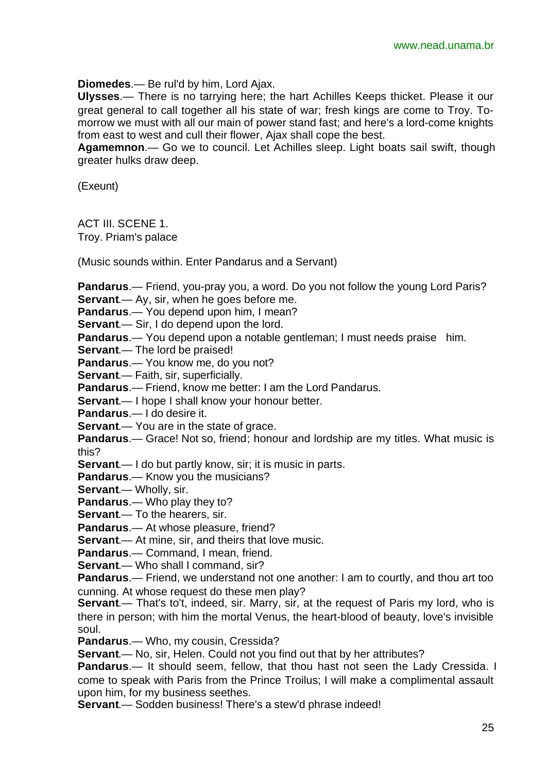**Diomedes**.— Be rul'd by him, Lord Ajax.

**Ulysses**.— There is no tarrying here; the hart Achilles Keeps thicket. Please it our great general to call together all his state of war; fresh kings are come to Troy. Tomorrow we must with all our main of power stand fast; and here's a lord-come knights from east to west and cull their flower, Ajax shall cope the best.

**Agamemnon**.— Go we to council. Let Achilles sleep. Light boats sail swift, though greater hulks draw deep.

(Exeunt)

ACT III. SCENE 1.

Troy. Priam's palace

(Music sounds within. Enter Pandarus and a Servant)

**Pandarus**.— Friend, you-pray you, a word. Do you not follow the young Lord Paris? **Servant**.— Ay, sir, when he goes before me.

**Pandarus**.— You depend upon him, I mean?

**Servant.**— Sir, I do depend upon the lord.

**Pandarus**.— You depend upon a notable gentleman; I must needs praise him.

**Servant**.— The lord be praised!

**Pandarus**.— You know me, do you not?

**Servant**.— Faith, sir, superficially.

**Pandarus**.— Friend, know me better: I am the Lord Pandarus.

**Servant**.— I hope I shall know your honour better.

**Pandarus**.— I do desire it.

**Servant.**— You are in the state of grace.

**Pandarus**.— Grace! Not so, friend; honour and lordship are my titles. What music is this?

**Servant.**— I do but partly know, sir; it is music in parts.

**Pandarus**.— Know you the musicians?

**Servant**.— Wholly, sir.

**Pandarus**.— Who play they to?

**Servant**.— To the hearers, sir.

**Pandarus**.— At whose pleasure, friend?

**Servant**.— At mine, sir, and theirs that love music.

**Pandarus**.— Command, I mean, friend.

**Servant.**— Who shall I command, sir?

**Pandarus**.— Friend, we understand not one another: I am to courtly, and thou art too cunning. At whose request do these men play?

**Servant**.— That's to't, indeed, sir. Marry, sir, at the request of Paris my lord, who is there in person; with him the mortal Venus, the heart-blood of beauty, love's invisible soul.

**Pandarus**.— Who, my cousin, Cressida?

**Servant.**— No, sir, Helen. Could not you find out that by her attributes?

**Pandarus**.— It should seem, fellow, that thou hast not seen the Lady Cressida. I come to speak with Paris from the Prince Troilus; I will make a complimental assault upon him, for my business seethes.

**Servant**.— Sodden business! There's a stew'd phrase indeed!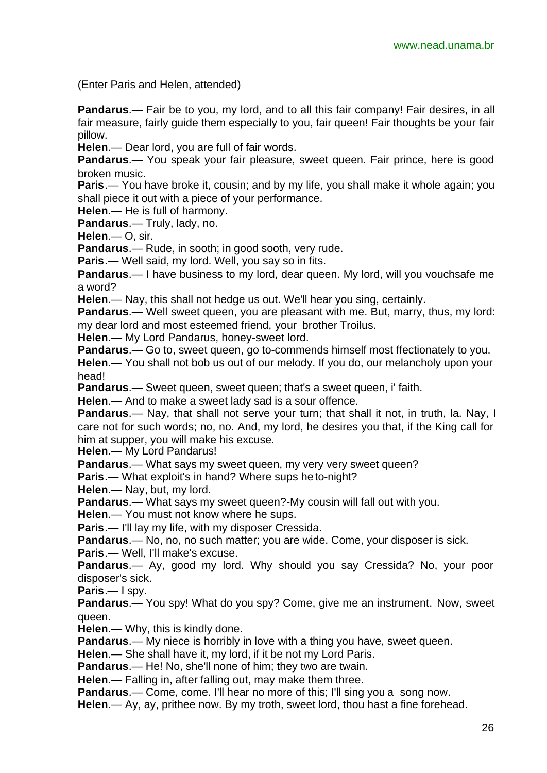(Enter Paris and Helen, attended)

**Pandarus.**— Fair be to you, my lord, and to all this fair company! Fair desires, in all fair measure, fairly guide them especially to you, fair queen! Fair thoughts be your fair pillow.

**Helen**.— Dear lord, you are full of fair words.

Pandarus.- You speak your fair pleasure, sweet queen. Fair prince, here is good broken music.

**Paris.**— You have broke it, cousin; and by my life, you shall make it whole again; you shall piece it out with a piece of your performance.

**Helen**.— He is full of harmony.

**Pandarus**.— Truly, lady, no.

**Helen**.— O, sir.

**Pandarus**.— Rude, in sooth; in good sooth, very rude.

**Paris**.— Well said, my lord. Well, you say so in fits.

**Pandarus**.— I have business to my lord, dear queen. My lord, will you vouchsafe me a word?

**Helen**.— Nay, this shall not hedge us out. We'll hear you sing, certainly.

**Pandarus**.— Well sweet queen, you are pleasant with me. But, marry, thus, my lord: my dear lord and most esteemed friend, your brother Troilus.

**Helen**.— My Lord Pandarus, honey-sweet lord.

**Pandarus**.— Go to, sweet queen, go to-commends himself most ffectionately to you.

**Helen**.— You shall not bob us out of our melody. If you do, our melancholy upon your head!

**Pandarus**.— Sweet queen, sweet queen; that's a sweet queen, i' faith.

**Helen**.— And to make a sweet lady sad is a sour offence.

**Pandarus**.— Nay, that shall not serve your turn; that shall it not, in truth, la. Nay, I care not for such words; no, no. And, my lord, he desires you that, if the King call for him at supper, you will make his excuse.

**Helen**.— My Lord Pandarus!

**Pandarus.**— What says my sweet queen, my very very sweet queen?

**Paris**.— What exploit's in hand? Where sups he to-night?

**Helen**.— Nay, but, my lord.

**Pandarus**.— What says my sweet queen?-My cousin will fall out with you.

**Helen**.— You must not know where he sups.

**Paris**.— I'll lay my life, with my disposer Cressida.

**Pandarus**.— No, no, no such matter; you are wide. Come, your disposer is sick.

**Paris**.— Well, I'll make's excuse.

**Pandarus**.— Ay, good my lord. Why should you say Cressida? No, your poor disposer's sick.

**Paris**.— I spy.

**Pandarus**.— You spy! What do you spy? Come, give me an instrument. Now, sweet queen.

**Helen**.— Why, this is kindly done.

**Pandarus.**— My niece is horribly in love with a thing you have, sweet queen.

**Helen**.— She shall have it, my lord, if it be not my Lord Paris.

**Pandarus**.— He! No, she'll none of him; they two are twain.

**Helen**.— Falling in, after falling out, may make them three.

**Pandarus.**— Come, come. I'll hear no more of this; I'll sing you a song now.

**Helen**.— Ay, ay, prithee now. By my troth, sweet lord, thou hast a fine forehead.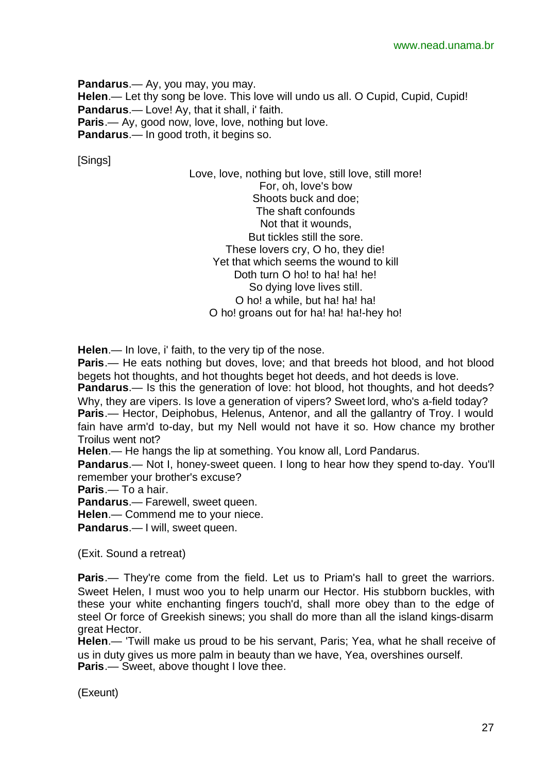**Pandarus**.— Ay, you may, you may. **Helen**.— Let thy song be love. This love will undo us all. O Cupid, Cupid, Cupid! **Pandarus**.— Love! Ay, that it shall, i' faith. **Paris**.— Ay, good now, love, love, nothing but love. **Pandarus**.— In good troth, it begins so.

[Sings]

Love, love, nothing but love, still love, still more! For, oh, love's bow Shoots buck and doe; The shaft confounds Not that it wounds, But tickles still the sore. These lovers cry, O ho, they die! Yet that which seems the wound to kill Doth turn O ho! to ha! ha! he! So dying love lives still. O ho! a while, but ha! ha! ha! O ho! groans out for ha! ha! ha!-hey ho!

**Helen**.— In love, i' faith, to the very tip of the nose.

**Paris**.— He eats nothing but doves, love; and that breeds hot blood, and hot blood begets hot thoughts, and hot thoughts beget hot deeds, and hot deeds is love.

**Pandarus**.— Is this the generation of love: hot blood, hot thoughts, and hot deeds? Why, they are vipers. Is love a generation of vipers? Sweet lord, who's a-field today?

**Paris**.— Hector, Deiphobus, Helenus, Antenor, and all the gallantry of Troy. I would fain have arm'd to-day, but my Nell would not have it so. How chance my brother Troilus went not?

**Helen**.— He hangs the lip at something. You know all, Lord Pandarus.

**Pandarus**.— Not I, honey-sweet queen. I long to hear how they spend to-day. You'll remember your brother's excuse?

**Paris**.— To a hair.

**Pandarus**.— Farewell, sweet queen.

**Helen**.— Commend me to your niece.

**Pandarus.**— I will, sweet queen.

(Exit. Sound a retreat)

**Paris**.— They're come from the field. Let us to Priam's hall to greet the warriors. Sweet Helen, I must woo you to help unarm our Hector. His stubborn buckles, with these your white enchanting fingers touch'd, shall more obey than to the edge of steel Or force of Greekish sinews; you shall do more than all the island kings-disarm great Hector.

**Helen**.— 'Twill make us proud to be his servant, Paris; Yea, what he shall receive of us in duty gives us more palm in beauty than we have, Yea, overshines ourself. **Paris.**— Sweet, above thought I love thee.

(Exeunt)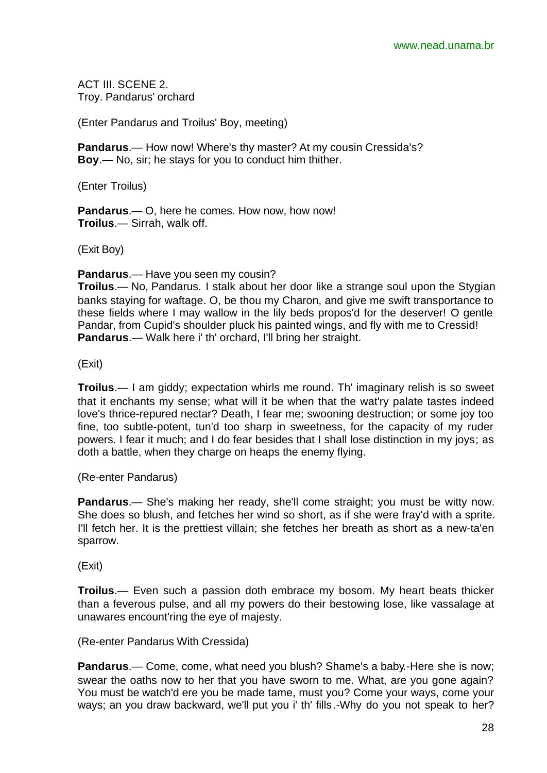ACT III. SCENE 2. Troy. Pandarus' orchard

(Enter Pandarus and Troilus' Boy, meeting)

**Pandarus**.— How now! Where's thy master? At my cousin Cressida's? **Boy**.— No, sir; he stays for you to conduct him thither.

(Enter Troilus)

**Pandarus**.— O, here he comes. How now, how now! **Troilus**.— Sirrah, walk off.

(Exit Boy)

**Pandarus**.— Have you seen my cousin?

**Troilus**.— No, Pandarus. I stalk about her door like a strange soul upon the Stygian banks staying for waftage. O, be thou my Charon, and give me swift transportance to these fields where I may wallow in the lily beds propos'd for the deserver! O gentle Pandar, from Cupid's shoulder pluck his painted wings, and fly with me to Cressid! **Pandarus**.— Walk here i' th' orchard, I'll bring her straight.

(Exit)

**Troilus**.— I am giddy; expectation whirls me round. Th' imaginary relish is so sweet that it enchants my sense; what will it be when that the wat'ry palate tastes indeed love's thrice-repured nectar? Death, I fear me; swooning destruction; or some joy too fine, too subtle-potent, tun'd too sharp in sweetness, for the capacity of my ruder powers. I fear it much; and I do fear besides that I shall lose distinction in my joys; as doth a battle, when they charge on heaps the enemy flying.

(Re-enter Pandarus)

**Pandarus**.— She's making her ready, she'll come straight; you must be witty now. She does so blush, and fetches her wind so short, as if she were fray'd with a sprite. I'll fetch her. It is the prettiest villain; she fetches her breath as short as a new-ta'en sparrow.

(Exit)

**Troilus**.— Even such a passion doth embrace my bosom. My heart beats thicker than a feverous pulse, and all my powers do their bestowing lose, like vassalage at unawares encount'ring the eye of majesty.

(Re-enter Pandarus With Cressida)

**Pandarus**.— Come, come, what need you blush? Shame's a baby.-Here she is now; swear the oaths now to her that you have sworn to me. What, are you gone again? You must be watch'd ere you be made tame, must you? Come your ways, come your ways; an you draw backward, we'll put you i' th' fills.-Why do you not speak to her?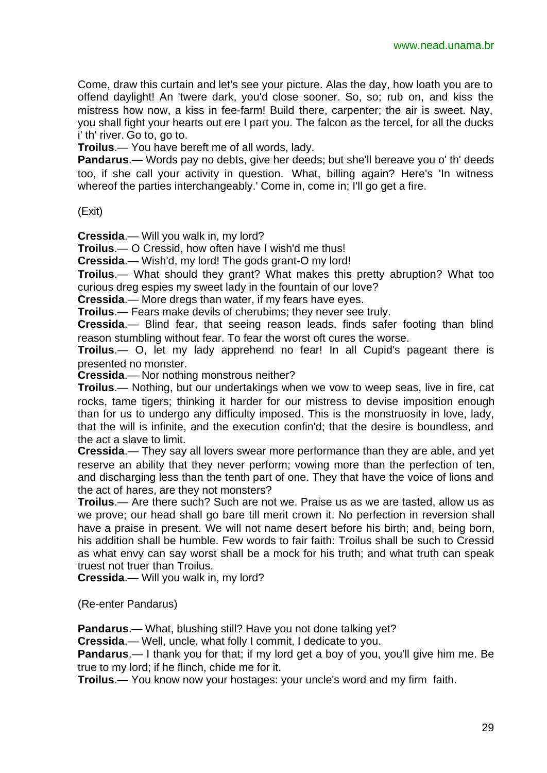Come, draw this curtain and let's see your picture. Alas the day, how loath you are to offend daylight! An 'twere dark, you'd close sooner. So, so; rub on, and kiss the mistress how now, a kiss in fee-farm! Build there, carpenter; the air is sweet. Nay, you shall fight your hearts out ere I part you. The falcon as the tercel, for all the ducks i' th' river. Go to, go to.

**Troilus**.— You have bereft me of all words, lady.

**Pandarus**.— Words pay no debts, give her deeds; but she'll bereave you o' th' deeds too, if she call your activity in question. What, billing again? Here's 'In witness whereof the parties interchangeably.' Come in, come in; I'll go get a fire.

(Exit)

**Cressida**.— Will you walk in, my lord?

**Troilus**.— O Cressid, how often have I wish'd me thus!

**Cressida**.— Wish'd, my lord! The gods grant-O my lord!

**Troilus**.— What should they grant? What makes this pretty abruption? What too curious dreg espies my sweet lady in the fountain of our love?

**Cressida**.— More dregs than water, if my fears have eyes.

**Troilus**.— Fears make devils of cherubims; they never see truly.

**Cressida**.— Blind fear, that seeing reason leads, finds safer footing than blind reason stumbling without fear. To fear the worst oft cures the worse.

**Troilus**.— O, let my lady apprehend no fear! In all Cupid's pageant there is presented no monster.

**Cressida**.— Nor nothing monstrous neither?

**Troilus**.— Nothing, but our undertakings when we vow to weep seas, live in fire, cat rocks, tame tigers; thinking it harder for our mistress to devise imposition enough than for us to undergo any difficulty imposed. This is the monstruosity in love, lady, that the will is infinite, and the execution confin'd; that the desire is boundless, and the act a slave to limit.

**Cressida**.— They say all lovers swear more performance than they are able, and yet reserve an ability that they never perform; vowing more than the perfection of ten, and discharging less than the tenth part of one. They that have the voice of lions and the act of hares, are they not monsters?

**Troilus**.— Are there such? Such are not we. Praise us as we are tasted, allow us as we prove; our head shall go bare till merit crown it. No perfection in reversion shall have a praise in present. We will not name desert before his birth; and, being born, his addition shall be humble. Few words to fair faith: Troilus shall be such to Cressid as what envy can say worst shall be a mock for his truth; and what truth can speak truest not truer than Troilus.

**Cressida**.— Will you walk in, my lord?

(Re-enter Pandarus)

**Pandarus**.— What, blushing still? Have you not done talking yet?

**Cressida**.— Well, uncle, what folly I commit, I dedicate to you.

**Pandarus**.— I thank you for that; if my lord get a boy of you, you'll give him me. Be true to my lord; if he flinch, chide me for it.

**Troilus**.— You know now your hostages: your uncle's word and my firm faith.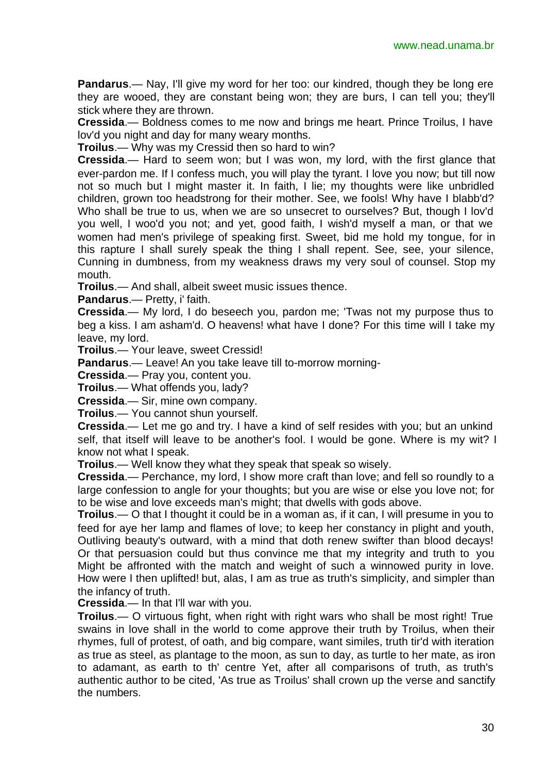**Pandarus**.— Nay, I'll give my word for her too: our kindred, though they be long ere they are wooed, they are constant being won; they are burs, I can tell you; they'll stick where they are thrown.

**Cressida**.— Boldness comes to me now and brings me heart. Prince Troilus, I have lov'd you night and day for many weary months.

**Troilus**.— Why was my Cressid then so hard to win?

**Cressida**.— Hard to seem won; but I was won, my lord, with the first glance that ever-pardon me. If I confess much, you will play the tyrant. I love you now; but till now not so much but I might master it. In faith, I lie; my thoughts were like unbridled children, grown too headstrong for their mother. See, we fools! Why have I blabb'd? Who shall be true to us, when we are so unsecret to ourselves? But, though I lov'd you well, I woo'd you not; and yet, good faith, I wish'd myself a man, or that we women had men's privilege of speaking first. Sweet, bid me hold my tongue, for in this rapture I shall surely speak the thing I shall repent. See, see, your silence, Cunning in dumbness, from my weakness draws my very soul of counsel. Stop my mouth.

**Troilus**.— And shall, albeit sweet music issues thence.

**Pandarus**.— Pretty, i' faith.

**Cressida**.— My lord, I do beseech you, pardon me; 'Twas not my purpose thus to beg a kiss. I am asham'd. O heavens! what have I done? For this time will I take my leave, my lord.

**Troilus**.— Your leave, sweet Cressid!

**Pandarus**.— Leave! An you take leave till to-morrow morning-

**Cressida**.— Pray you, content you.

**Troilus**.— What offends you, lady?

**Cressida**.— Sir, mine own company.

**Troilus**.— You cannot shun yourself.

**Cressida**.— Let me go and try. I have a kind of self resides with you; but an unkind self, that itself will leave to be another's fool. I would be gone. Where is my wit? I know not what I speak.

**Troilus**.— Well know they what they speak that speak so wisely.

**Cressida**.— Perchance, my lord, I show more craft than love; and fell so roundly to a large confession to angle for your thoughts; but you are wise or else you love not; for to be wise and love exceeds man's might; that dwells with gods above.

**Troilus**.— O that I thought it could be in a woman as, if it can, I will presume in you to feed for aye her lamp and flames of love; to keep her constancy in plight and youth, Outliving beauty's outward, with a mind that doth renew swifter than blood decays! Or that persuasion could but thus convince me that my integrity and truth to you Might be affronted with the match and weight of such a winnowed purity in love. How were I then uplifted! but, alas, I am as true as truth's simplicity, and simpler than the infancy of truth.

**Cressida**.— In that I'll war with you.

**Troilus**.— O virtuous fight, when right with right wars who shall be most right! True swains in love shall in the world to come approve their truth by Troilus, when their rhymes, full of protest, of oath, and big compare, want similes, truth tir'd with iteration as true as steel, as plantage to the moon, as sun to day, as turtle to her mate, as iron to adamant, as earth to th' centre Yet, after all comparisons of truth, as truth's authentic author to be cited, 'As true as Troilus' shall crown up the verse and sanctify the numbers.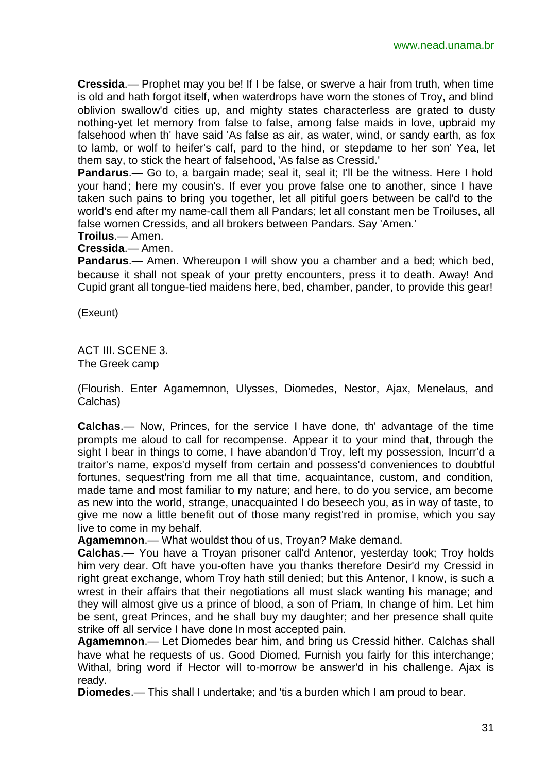**Cressida**.— Prophet may you be! If I be false, or swerve a hair from truth, when time is old and hath forgot itself, when waterdrops have worn the stones of Troy, and blind oblivion swallow'd cities up, and mighty states characterless are grated to dusty nothing-yet let memory from false to false, among false maids in love, upbraid my falsehood when th' have said 'As false as air, as water, wind, or sandy earth, as fox to lamb, or wolf to heifer's calf, pard to the hind, or stepdame to her son' Yea, let them say, to stick the heart of falsehood, 'As false as Cressid.'

**Pandarus**.— Go to, a bargain made; seal it, seal it; I'll be the witness. Here I hold your hand; here my cousin's. If ever you prove false one to another, since I have taken such pains to bring you together, let all pitiful goers between be call'd to the world's end after my name-call them all Pandars; let all constant men be Troiluses, all false women Cressids, and all brokers between Pandars. Say 'Amen.'

**Troilus**.— Amen.

**Cressida**.— Amen.

**Pandarus**.— Amen. Whereupon I will show you a chamber and a bed; which bed, because it shall not speak of your pretty encounters, press it to death. Away! And Cupid grant all tongue-tied maidens here, bed, chamber, pander, to provide this gear!

(Exeunt)

ACT III. SCENE 3. The Greek camp

(Flourish. Enter Agamemnon, Ulysses, Diomedes, Nestor, Ajax, Menelaus, and Calchas)

**Calchas**.— Now, Princes, for the service I have done, th' advantage of the time prompts me aloud to call for recompense. Appear it to your mind that, through the sight I bear in things to come, I have abandon'd Troy, left my possession, Incurr'd a traitor's name, expos'd myself from certain and possess'd conveniences to doubtful fortunes, sequest'ring from me all that time, acquaintance, custom, and condition, made tame and most familiar to my nature; and here, to do you service, am become as new into the world, strange, unacquainted I do beseech you, as in way of taste, to give me now a little benefit out of those many regist'red in promise, which you say live to come in my behalf.

**Agamemnon**.— What wouldst thou of us, Troyan? Make demand.

**Calchas**.— You have a Troyan prisoner call'd Antenor, yesterday took; Troy holds him very dear. Oft have you-often have you thanks therefore Desir'd my Cressid in right great exchange, whom Troy hath still denied; but this Antenor, I know, is such a wrest in their affairs that their negotiations all must slack wanting his manage; and they will almost give us a prince of blood, a son of Priam, In change of him. Let him be sent, great Princes, and he shall buy my daughter; and her presence shall quite strike off all service I have done In most accepted pain.

**Agamemnon**.— Let Diomedes bear him, and bring us Cressid hither. Calchas shall have what he requests of us. Good Diomed, Furnish you fairly for this interchange; Withal, bring word if Hector will to-morrow be answer'd in his challenge. Ajax is ready.

**Diomedes**.— This shall I undertake; and 'tis a burden which I am proud to bear.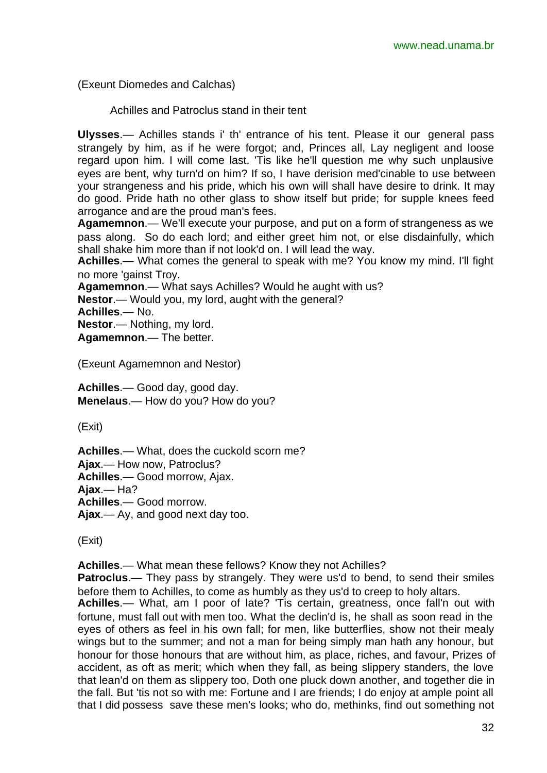(Exeunt Diomedes and Calchas)

Achilles and Patroclus stand in their tent

**Ulysses**.— Achilles stands i' th' entrance of his tent. Please it our general pass strangely by him, as if he were forgot; and, Princes all, Lay negligent and loose regard upon him. I will come last. 'Tis like he'll question me why such unplausive eyes are bent, why turn'd on him? If so, I have derision med'cinable to use between your strangeness and his pride, which his own will shall have desire to drink. It may do good. Pride hath no other glass to show itself but pride; for supple knees feed arrogance and are the proud man's fees.

**Agamemnon**.— We'll execute your purpose, and put on a form of strangeness as we pass along. So do each lord; and either greet him not, or else disdainfully, which shall shake him more than if not look'd on. I will lead the way.

**Achilles**.— What comes the general to speak with me? You know my mind. I'll fight no more 'gainst Troy.

**Agamemnon**.— What says Achilles? Would he aught with us?

**Nestor**.— Would you, my lord, aught with the general?

**Achilles**.— No.

**Nestor**.— Nothing, my lord.

**Agamemnon**.— The better.

(Exeunt Agamemnon and Nestor)

**Achilles**.— Good day, good day. **Menelaus**.— How do you? How do you?

(Exit)

**Achilles**.— What, does the cuckold scorn me? **Ajax**.— How now, Patroclus? **Achilles**.— Good morrow, Ajax. **Ajax**.— Ha? **Achilles**.— Good morrow. **Ajax**.— Ay, and good next day too.

(Exit)

**Achilles**.— What mean these fellows? Know they not Achilles?

**Patroclus.**— They pass by strangely. They were us'd to bend, to send their smiles before them to Achilles, to come as humbly as they us'd to creep to holy altars.

**Achilles**.— What, am I poor of late? 'Tis certain, greatness, once fall'n out with fortune, must fall out with men too. What the declin'd is, he shall as soon read in the eyes of others as feel in his own fall; for men, like butterflies, show not their mealy wings but to the summer; and not a man for being simply man hath any honour, but honour for those honours that are without him, as place, riches, and favour, Prizes of accident, as oft as merit; which when they fall, as being slippery standers, the love that lean'd on them as slippery too, Doth one pluck down another, and together die in the fall. But 'tis not so with me: Fortune and I are friends; I do enjoy at ample point all that I did possess save these men's looks; who do, methinks, find out something not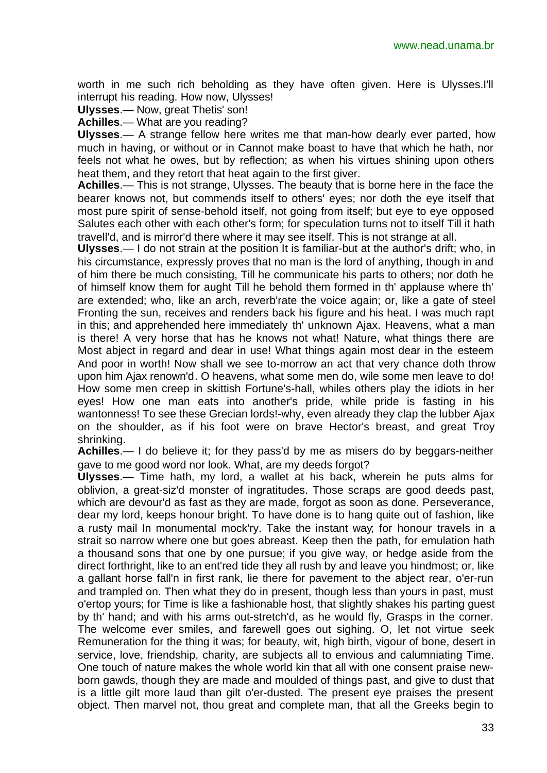worth in me such rich beholding as they have often given. Here is Ulysses.I'll interrupt his reading. How now, Ulysses!

**Ulysses**.— Now, great Thetis' son!

**Achilles**.— What are you reading?

**Ulysses**.— A strange fellow here writes me that man-how dearly ever parted, how much in having, or without or in Cannot make boast to have that which he hath, nor feels not what he owes, but by reflection; as when his virtues shining upon others heat them, and they retort that heat again to the first giver.

**Achilles**.— This is not strange, Ulysses. The beauty that is borne here in the face the bearer knows not, but commends itself to others' eyes; nor doth the eye itself that most pure spirit of sense-behold itself, not going from itself; but eye to eye opposed Salutes each other with each other's form; for speculation turns not to itself Till it hath travell'd, and is mirror'd there where it may see itself. This is not strange at all.

**Ulysses**.— I do not strain at the position It is familiar-but at the author's drift; who, in his circumstance, expressly proves that no man is the lord of anything, though in and of him there be much consisting, Till he communicate his parts to others; nor doth he of himself know them for aught Till he behold them formed in th' applause where th' are extended; who, like an arch, reverb'rate the voice again; or, like a gate of steel Fronting the sun, receives and renders back his figure and his heat. I was much rapt in this; and apprehended here immediately th' unknown Ajax. Heavens, what a man is there! A very horse that has he knows not what! Nature, what things there are Most abject in regard and dear in use! What things again most dear in the esteem And poor in worth! Now shall we see to-morrow an act that very chance doth throw upon him Ajax renown'd. O heavens, what some men do, wile some men leave to do! How some men creep in skittish Fortune's-hall, whiles others play the idiots in her eyes! How one man eats into another's pride, while pride is fasting in his wantonness! To see these Grecian lords!-why, even already they clap the lubber Ajax on the shoulder, as if his foot were on brave Hector's breast, and great Troy shrinking.

**Achilles**.— I do believe it; for they pass'd by me as misers do by beggars-neither gave to me good word nor look. What, are my deeds forgot?

**Ulysses**.— Time hath, my lord, a wallet at his back, wherein he puts alms for oblivion, a great-siz'd monster of ingratitudes. Those scraps are good deeds past, which are devour'd as fast as they are made, forgot as soon as done. Perseverance, dear my lord, keeps honour bright. To have done is to hang quite out of fashion, like a rusty mail In monumental mock'ry. Take the instant way; for honour travels in a strait so narrow where one but goes abreast. Keep then the path, for emulation hath a thousand sons that one by one pursue; if you give way, or hedge aside from the direct forthright, like to an ent'red tide they all rush by and leave you hindmost; or, like a gallant horse fall'n in first rank, lie there for pavement to the abject rear, o'er-run and trampled on. Then what they do in present, though less than yours in past, must o'ertop yours; for Time is like a fashionable host, that slightly shakes his parting guest by th' hand; and with his arms out-stretch'd, as he would fly, Grasps in the corner. The welcome ever smiles, and farewell goes out sighing. O, let not virtue seek Remuneration for the thing it was; for beauty, wit, high birth, vigour of bone, desert in service, love, friendship, charity, are subjects all to envious and calumniating Time. One touch of nature makes the whole world kin that all with one consent praise newborn gawds, though they are made and moulded of things past, and give to dust that is a little gilt more laud than gilt o'er-dusted. The present eye praises the present object. Then marvel not, thou great and complete man, that all the Greeks begin to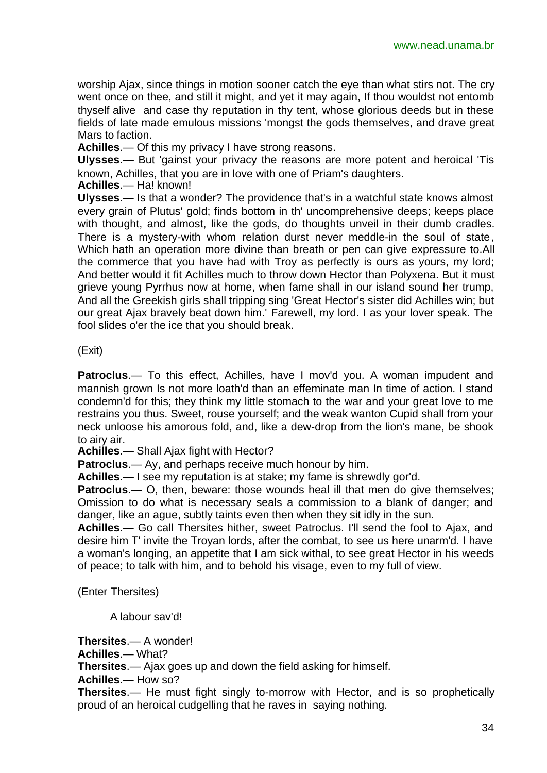worship Ajax, since things in motion sooner catch the eye than what stirs not. The cry went once on thee, and still it might, and yet it may again, If thou wouldst not entomb thyself alive and case thy reputation in thy tent, whose glorious deeds but in these fields of late made emulous missions 'mongst the gods themselves, and drave great Mars to faction.

**Achilles**.— Of this my privacy I have strong reasons.

**Ulysses**.— But 'gainst your privacy the reasons are more potent and heroical 'Tis known, Achilles, that you are in love with one of Priam's daughters.

**Achilles**.— Ha! known!

**Ulysses**.— Is that a wonder? The providence that's in a watchful state knows almost every grain of Plutus' gold; finds bottom in th' uncomprehensive deeps; keeps place with thought, and almost, like the gods, do thoughts unveil in their dumb cradles. There is a mystery-with whom relation durst never meddle-in the soul of state, Which hath an operation more divine than breath or pen can give expressure to.All the commerce that you have had with Troy as perfectly is ours as yours, my lord; And better would it fit Achilles much to throw down Hector than Polyxena. But it must grieve young Pyrrhus now at home, when fame shall in our island sound her trump, And all the Greekish girls shall tripping sing 'Great Hector's sister did Achilles win; but our great Ajax bravely beat down him.' Farewell, my lord. I as your lover speak. The fool slides o'er the ice that you should break.

#### (Exit)

**Patroclus**.— To this effect, Achilles, have I mov'd you. A woman impudent and mannish grown Is not more loath'd than an effeminate man In time of action. I stand condemn'd for this; they think my little stomach to the war and your great love to me restrains you thus. Sweet, rouse yourself; and the weak wanton Cupid shall from your neck unloose his amorous fold, and, like a dew-drop from the lion's mane, be shook to airy air.

**Achilles**.— Shall Ajax fight with Hector?

**Patroclus**.— Ay, and perhaps receive much honour by him.

**Achilles**.— I see my reputation is at stake; my fame is shrewdly gor'd.

**Patroclus.**— O, then, beware: those wounds heal ill that men do give themselves; Omission to do what is necessary seals a commission to a blank of danger; and danger, like an ague, subtly taints even then when they sit idly in the sun.

**Achilles**.— Go call Thersites hither, sweet Patroclus. I'll send the fool to Ajax, and desire him T' invite the Troyan lords, after the combat, to see us here unarm'd. I have a woman's longing, an appetite that I am sick withal, to see great Hector in his weeds of peace; to talk with him, and to behold his visage, even to my full of view.

(Enter Thersites)

A labour sav'd!

**Thersites**.— A wonder! **Achilles**.— What? **Thersites**.— Ajax goes up and down the field asking for himself.

**Achilles**.— How so?

**Thersites**.— He must fight singly to-morrow with Hector, and is so prophetically proud of an heroical cudgelling that he raves in saying nothing.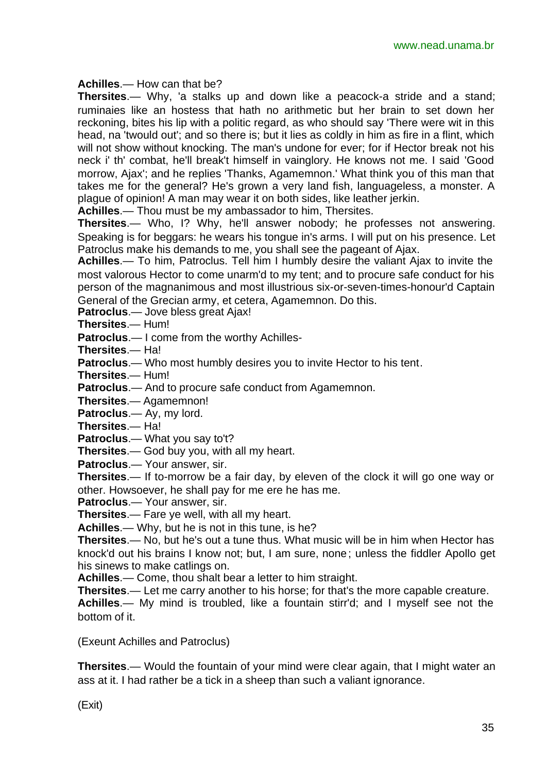#### **Achilles**.— How can that be?

**Thersites**.— Why, 'a stalks up and down like a peacock-a stride and a stand; ruminaies like an hostess that hath no arithmetic but her brain to set down her reckoning, bites his lip with a politic regard, as who should say 'There were wit in this head, na 'twould out'; and so there is; but it lies as coldly in him as fire in a flint, which will not show without knocking. The man's undone for ever; for if Hector break not his neck i' th' combat, he'll break't himself in vainglory. He knows not me. I said 'Good morrow, Ajax'; and he replies 'Thanks, Agamemnon.' What think you of this man that takes me for the general? He's grown a very land fish, languageless, a monster. A plague of opinion! A man may wear it on both sides, like leather jerkin.

**Achilles**.— Thou must be my ambassador to him, Thersites.

**Thersites**.— Who, I? Why, he'll answer nobody; he professes not answering. Speaking is for beggars: he wears his tongue in's arms. I will put on his presence. Let Patroclus make his demands to me, you shall see the pageant of Ajax.

**Achilles**.— To him, Patroclus. Tell him I humbly desire the valiant Ajax to invite the most valorous Hector to come unarm'd to my tent; and to procure safe conduct for his person of the magnanimous and most illustrious six-or-seven-times-honour'd Captain General of the Grecian army, et cetera, Agamemnon. Do this.

**Patroclus**.— Jove bless great Ajax!

**Thersites**.— Hum!

**Patroclus**.— I come from the worthy Achilles-

**Thersites**.— Ha!

**Patroclus**.— Who most humbly desires you to invite Hector to his tent.

**Thersites**.— Hum!

**Patroclus**.— And to procure safe conduct from Agamemnon.

**Thersites**.— Agamemnon!

**Patroclus**.— Ay, my lord.

**Thersites**.— Ha!

**Patroclus**.— What you say to't?

**Thersites**.— God buy you, with all my heart.

**Patroclus**.— Your answer, sir.

**Thersites**.— If to-morrow be a fair day, by eleven of the clock it will go one way or other. Howsoever, he shall pay for me ere he has me.

**Patroclus**.— Your answer, sir.

**Thersites**.— Fare ye well, with all my heart.

**Achilles**.— Why, but he is not in this tune, is he?

**Thersites**.— No, but he's out a tune thus. What music will be in him when Hector has knock'd out his brains I know not; but, I am sure, none; unless the fiddler Apollo get his sinews to make catlings on.

**Achilles**.— Come, thou shalt bear a letter to him straight.

**Thersites**.— Let me carry another to his horse; for that's the more capable creature.

**Achilles**.— My mind is troubled, like a fountain stirr'd; and I myself see not the bottom of it.

(Exeunt Achilles and Patroclus)

**Thersites**.— Would the fountain of your mind were clear again, that I might water an ass at it. I had rather be a tick in a sheep than such a valiant ignorance.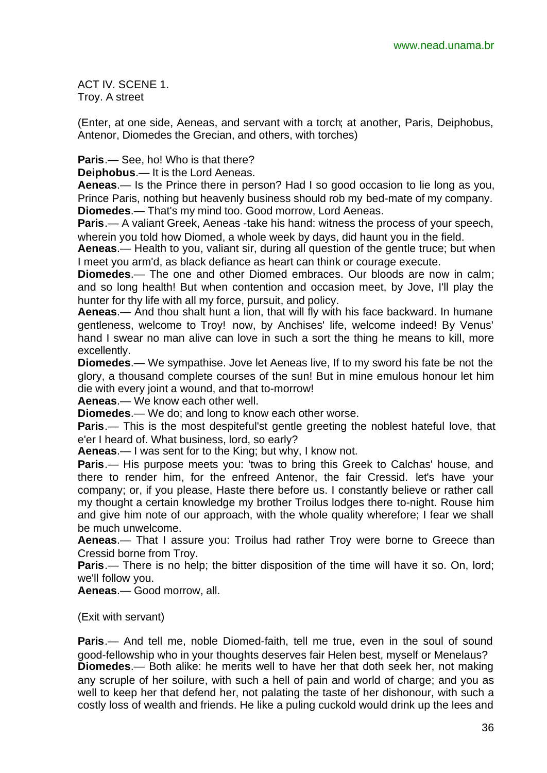ACT IV. SCENE 1. Troy. A street

(Enter, at one side, Aeneas, and servant with a torch; at another, Paris, Deiphobus, Antenor, Diomedes the Grecian, and others, with torches)

**Paris**.— See, ho! Who is that there?

**Deiphobus**.— It is the Lord Aeneas.

**Aeneas**.— Is the Prince there in person? Had I so good occasion to lie long as you, Prince Paris, nothing but heavenly business should rob my bed-mate of my company. **Diomedes**.— That's my mind too. Good morrow, Lord Aeneas.

**Paris**.— A valiant Greek, Aeneas -take his hand: witness the process of your speech, wherein you told how Diomed, a whole week by days, did haunt you in the field.

**Aeneas**.— Health to you, valiant sir, during all question of the gentle truce; but when I meet you arm'd, as black defiance as heart can think or courage execute.

**Diomedes**.— The one and other Diomed embraces. Our bloods are now in calm; and so long health! But when contention and occasion meet, by Jove, I'll play the hunter for thy life with all my force, pursuit, and policy.

**Aeneas**.— And thou shalt hunt a lion, that will fly with his face backward. In humane gentleness, welcome to Troy! now, by Anchises' life, welcome indeed! By Venus' hand I swear no man alive can love in such a sort the thing he means to kill, more excellently.

**Diomedes**.— We sympathise. Jove let Aeneas live, If to my sword his fate be not the glory, a thousand complete courses of the sun! But in mine emulous honour let him die with every joint a wound, and that to-morrow!

**Aeneas**.— We know each other well.

**Diomedes**.— We do; and long to know each other worse.

**Paris**.— This is the most despiteful'st gentle greeting the noblest hateful love, that e'er I heard of. What business, lord, so early?

**Aeneas**.— I was sent for to the King; but why, I know not.

**Paris.**— His purpose meets you: 'twas to bring this Greek to Calchas' house, and there to render him, for the enfreed Antenor, the fair Cressid. let's have your company; or, if you please, Haste there before us. I constantly believe or rather call my thought a certain knowledge my brother Troilus lodges there to-night. Rouse him and give him note of our approach, with the whole quality wherefore; I fear we shall be much unwelcome.

**Aeneas**.— That I assure you: Troilus had rather Troy were borne to Greece than Cressid borne from Troy.

**Paris.**— There is no help; the bitter disposition of the time will have it so. On, lord; we'll follow you.

**Aeneas**.— Good morrow, all.

(Exit with servant)

**Paris**.— And tell me, noble Diomed-faith, tell me true, even in the soul of sound good-fellowship who in your thoughts deserves fair Helen best, myself or Menelaus? **Diomedes**.— Both alike: he merits well to have her that doth seek her, not making any scruple of her soilure, with such a hell of pain and world of charge; and you as well to keep her that defend her, not palating the taste of her dishonour, with such a costly loss of wealth and friends. He like a puling cuckold would drink up the lees and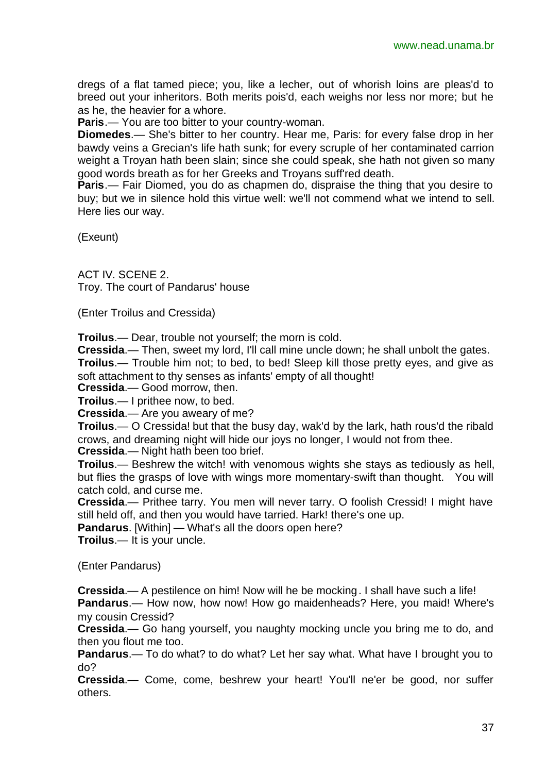dregs of a flat tamed piece; you, like a lecher, out of whorish loins are pleas'd to breed out your inheritors. Both merits pois'd, each weighs nor less nor more; but he as he, the heavier for a whore.

**Paris**.— You are too bitter to your country-woman.

**Diomedes**.— She's bitter to her country. Hear me, Paris: for every false drop in her bawdy veins a Grecian's life hath sunk; for every scruple of her contaminated carrion weight a Troyan hath been slain; since she could speak, she hath not given so many good words breath as for her Greeks and Troyans suff'red death.

**Paris**.— Fair Diomed, you do as chapmen do, dispraise the thing that you desire to buy; but we in silence hold this virtue well: we'll not commend what we intend to sell. Here lies our way.

(Exeunt)

ACT IV. SCENE 2. Troy. The court of Pandarus' house

(Enter Troilus and Cressida)

**Troilus**.— Dear, trouble not yourself; the morn is cold.

**Cressida**.— Then, sweet my lord, I'll call mine uncle down; he shall unbolt the gates.

**Troilus.**— Trouble him not; to bed, to bed! Sleep kill those pretty eyes, and give as soft attachment to thy senses as infants' empty of all thought!

**Cressida**.— Good morrow, then.

**Troilus**.— I prithee now, to bed.

**Cressida**.— Are you aweary of me?

**Troilus**.— O Cressida! but that the busy day, wak'd by the lark, hath rous'd the ribald crows, and dreaming night will hide our joys no longer, I would not from thee.

**Cressida**.— Night hath been too brief.

**Troilus**.— Beshrew the witch! with venomous wights she stays as tediously as hell, but flies the grasps of love with wings more momentary-swift than thought. You will catch cold, and curse me.

**Cressida**.— Prithee tarry. You men will never tarry. O foolish Cressid! I might have still held off, and then you would have tarried. Hark! there's one up.

**Pandarus**. [Within] — What's all the doors open here?

**Troilus**.— It is your uncle.

(Enter Pandarus)

**Cressida**.— A pestilence on him! Now will he be mocking. I shall have such a life!

**Pandarus**.— How now, how now! How go maidenheads? Here, you maid! Where's my cousin Cressid?

**Cressida**.— Go hang yourself, you naughty mocking uncle you bring me to do, and then you flout me too.

**Pandarus**.— To do what? to do what? Let her say what. What have I brought you to do?

**Cressida**.— Come, come, beshrew your heart! You'll ne'er be good, nor suffer others.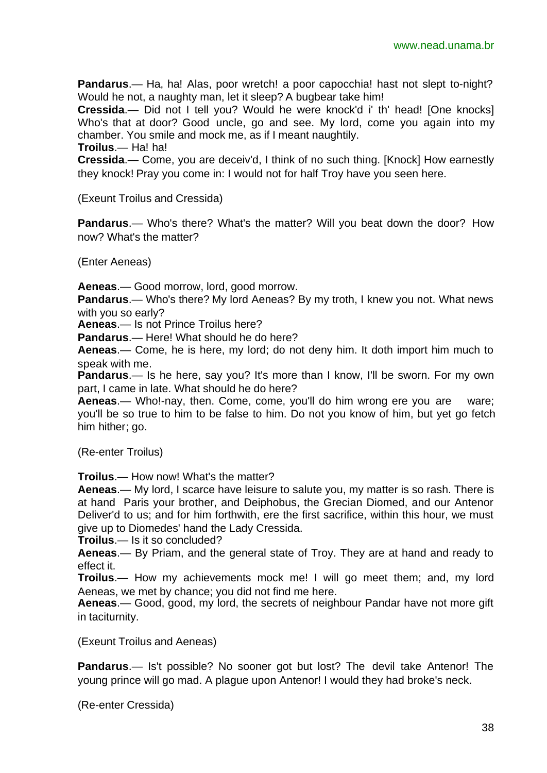**Pandarus**.— Ha, ha! Alas, poor wretch! a poor capocchia! hast not slept to-night? Would he not, a naughty man, let it sleep? A bugbear take him!

**Cressida**.— Did not I tell you? Would he were knock'd i' th' head! [One knocks] Who's that at door? Good uncle, go and see. My lord, come you again into my chamber. You smile and mock me, as if I meant naughtily.

**Troilus**.— Ha! ha!

**Cressida**.— Come, you are deceiv'd, I think of no such thing. [Knock] How earnestly they knock! Pray you come in: I would not for half Troy have you seen here.

(Exeunt Troilus and Cressida)

**Pandarus**.— Who's there? What's the matter? Will you beat down the door? How now? What's the matter?

(Enter Aeneas)

**Aeneas**.— Good morrow, lord, good morrow.

**Pandarus**.— Who's there? My lord Aeneas? By my troth, I knew you not. What news with you so early?

**Aeneas**.— Is not Prince Troilus here?

**Pandarus**.— Here! What should he do here?

**Aeneas**.— Come, he is here, my lord; do not deny him. It doth import him much to speak with me.

**Pandarus.**— Is he here, say you? It's more than I know, I'll be sworn. For my own part, I came in late. What should he do here?

**Aeneas**.— Who!-nay, then. Come, come, you'll do him wrong ere you are ware; you'll be so true to him to be false to him. Do not you know of him, but yet go fetch him hither; go.

(Re-enter Troilus)

**Troilus**.— How now! What's the matter?

**Aeneas**.— My lord, I scarce have leisure to salute you, my matter is so rash. There is at hand Paris your brother, and Deiphobus, the Grecian Diomed, and our Antenor Deliver'd to us; and for him forthwith, ere the first sacrifice, within this hour, we must give up to Diomedes' hand the Lady Cressida.

**Troilus**.— Is it so concluded?

**Aeneas**.— By Priam, and the general state of Troy. They are at hand and ready to effect it.

**Troilus**.— How my achievements mock me! I will go meet them; and, my lord Aeneas, we met by chance; you did not find me here.

**Aeneas**.— Good, good, my lord, the secrets of neighbour Pandar have not more gift in taciturnity.

(Exeunt Troilus and Aeneas)

**Pandarus**.— Is't possible? No sooner got but lost? The devil take Antenor! The young prince will go mad. A plague upon Antenor! I would they had broke's neck.

(Re-enter Cressida)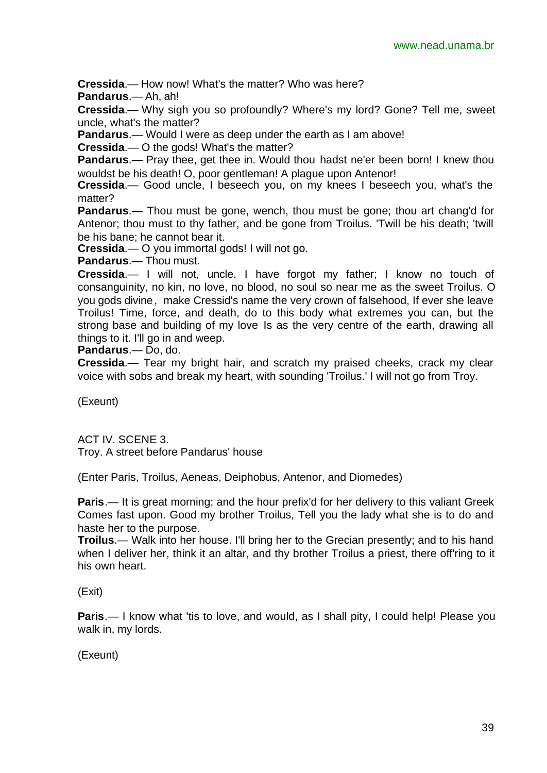**Cressida**.— How now! What's the matter? Who was here?

**Pandarus**.— Ah, ah!

**Cressida**.— Why sigh you so profoundly? Where's my lord? Gone? Tell me, sweet uncle, what's the matter?

**Pandarus**.— Would I were as deep under the earth as I am above!

**Cressida**.— O the gods! What's the matter?

**Pandarus**.— Pray thee, get thee in. Would thou hadst ne'er been born! I knew thou wouldst be his death! O, poor gentleman! A plague upon Antenor!

**Cressida**.— Good uncle, I beseech you, on my knees I beseech you, what's the matter?

**Pandarus**.— Thou must be gone, wench, thou must be gone; thou art chang'd for Antenor; thou must to thy father, and be gone from Troilus. 'Twill be his death; 'twill be his bane; he cannot bear it.

**Cressida**.— O you immortal gods! I will not go.

**Pandarus**.— Thou must.

**Cressida**.— I will not, uncle. I have forgot my father; I know no touch of consanguinity, no kin, no love, no blood, no soul so near me as the sweet Troilus. O you gods divine, make Cressid's name the very crown of falsehood, If ever she leave Troilus! Time, force, and death, do to this body what extremes you can, but the strong base and building of my love Is as the very centre of the earth, drawing all things to it. I'll go in and weep.

**Pandarus**.— Do, do.

**Cressida**.— Tear my bright hair, and scratch my praised cheeks, crack my clear voice with sobs and break my heart, with sounding 'Troilus.' I will not go from Troy.

(Exeunt)

ACT IV. SCENE 3. Troy. A street before Pandarus' house

(Enter Paris, Troilus, Aeneas, Deiphobus, Antenor, and Diomedes)

**Paris**.— It is great morning; and the hour prefix'd for her delivery to this valiant Greek Comes fast upon. Good my brother Troilus, Tell you the lady what she is to do and haste her to the purpose.

**Troilus.**— Walk into her house. I'll bring her to the Grecian presently; and to his hand when I deliver her, think it an altar, and thy brother Troilus a priest, there off'ring to it his own heart.

(Exit)

**Paris.**— I know what 'tis to love, and would, as I shall pity, I could help! Please you walk in, my lords.

(Exeunt)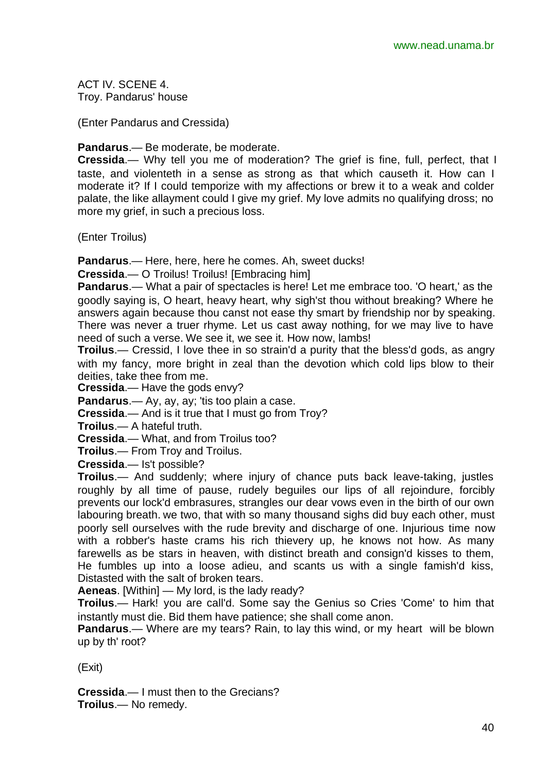ACT IV. SCENE 4. Troy. Pandarus' house

(Enter Pandarus and Cressida)

**Pandarus**.— Be moderate, be moderate.

**Cressida**.— Why tell you me of moderation? The grief is fine, full, perfect, that I taste, and violenteth in a sense as strong as that which causeth it. How can I moderate it? If I could temporize with my affections or brew it to a weak and colder palate, the like allayment could I give my grief. My love admits no qualifying dross; no more my grief, in such a precious loss.

(Enter Troilus)

**Pandarus**.— Here, here, here he comes. Ah, sweet ducks!

**Cressida**.— O Troilus! Troilus! [Embracing him]

**Pandarus**.— What a pair of spectacles is here! Let me embrace too. 'O heart,' as the goodly saying is, O heart, heavy heart, why sigh'st thou without breaking? Where he answers again because thou canst not ease thy smart by friendship nor by speaking. There was never a truer rhyme. Let us cast away nothing, for we may live to have need of such a verse. We see it, we see it. How now, lambs!

**Troilus**.— Cressid, I love thee in so strain'd a purity that the bless'd gods, as angry with my fancy, more bright in zeal than the devotion which cold lips blow to their deities, take thee from me.

**Cressida**.— Have the gods envy?

**Pandarus**.— Ay, ay, ay; 'tis too plain a case.

**Cressida**.— And is it true that I must go from Troy?

**Troilus**.— A hateful truth.

**Cressida**.— What, and from Troilus too?

**Troilus**.— From Troy and Troilus.

**Cressida**.— Is't possible?

**Troilus**.— And suddenly; where injury of chance puts back leave-taking, justles roughly by all time of pause, rudely beguiles our lips of all rejoindure, forcibly prevents our lock'd embrasures, strangles our dear vows even in the birth of our own labouring breath. we two, that with so many thousand sighs did buy each other, must poorly sell ourselves with the rude brevity and discharge of one. Injurious time now with a robber's haste crams his rich thievery up, he knows not how. As many farewells as be stars in heaven, with distinct breath and consign'd kisses to them, He fumbles up into a loose adieu, and scants us with a single famish'd kiss, Distasted with the salt of broken tears.

**Aeneas**. [Within] — My lord, is the lady ready?

**Troilus**.— Hark! you are call'd. Some say the Genius so Cries 'Come' to him that instantly must die. Bid them have patience; she shall come anon.

**Pandarus**.— Where are my tears? Rain, to lay this wind, or my heart will be blown up by th' root?

(Exit)

**Cressida**.— I must then to the Grecians? **Troilus**.— No remedy.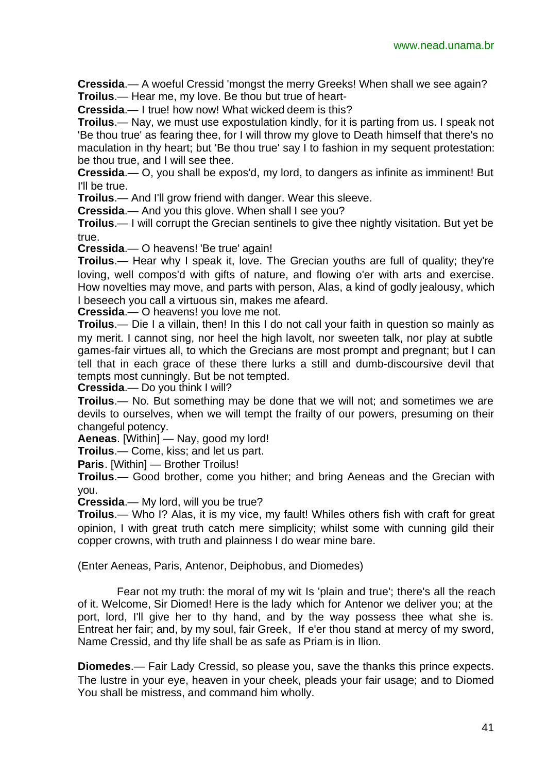**Cressida**.— A woeful Cressid 'mongst the merry Greeks! When shall we see again? **Troilus**.— Hear me, my love. Be thou but true of heart-

**Cressida**.— I true! how now! What wicked deem is this?

**Troilus**.— Nay, we must use expostulation kindly, for it is parting from us. I speak not 'Be thou true' as fearing thee, for I will throw my glove to Death himself that there's no maculation in thy heart; but 'Be thou true' say I to fashion in my sequent protestation: be thou true, and I will see thee.

**Cressida**.— O, you shall be expos'd, my lord, to dangers as infinite as imminent! But I'll be true.

**Troilus**.— And I'll grow friend with danger. Wear this sleeve.

**Cressida**.— And you this glove. When shall I see you?

**Troilus**.— I will corrupt the Grecian sentinels to give thee nightly visitation. But yet be true.

**Cressida**.— O heavens! 'Be true' again!

**Troilus.**— Hear why I speak it, love. The Grecian youths are full of quality; they're loving, well compos'd with gifts of nature, and flowing o'er with arts and exercise. How novelties may move, and parts with person, Alas, a kind of godly jealousy, which I beseech you call a virtuous sin, makes me afeard.

**Cressida**.— O heavens! you love me not.

**Troilus**.— Die I a villain, then! In this I do not call your faith in question so mainly as my merit. I cannot sing, nor heel the high lavolt, nor sweeten talk, nor play at subtle games-fair virtues all, to which the Grecians are most prompt and pregnant; but I can tell that in each grace of these there lurks a still and dumb-discoursive devil that tempts most cunningly. But be not tempted.

**Cressida**.— Do you think I will?

**Troilus**.— No. But something may be done that we will not; and sometimes we are devils to ourselves, when we will tempt the frailty of our powers, presuming on their changeful potency.

**Aeneas**. [Within] — Nay, good my lord!

**Troilus**.— Come, kiss; and let us part.

**Paris**. [Within] — Brother Troilus!

**Troilus**.— Good brother, come you hither; and bring Aeneas and the Grecian with you.

**Cressida**.— My lord, will you be true?

**Troilus**.— Who I? Alas, it is my vice, my fault! Whiles others fish with craft for great opinion, I with great truth catch mere simplicity; whilst some with cunning gild their copper crowns, with truth and plainness I do wear mine bare.

(Enter Aeneas, Paris, Antenor, Deiphobus, and Diomedes)

Fear not my truth: the moral of my wit Is 'plain and true'; there's all the reach of it. Welcome, Sir Diomed! Here is the lady which for Antenor we deliver you; at the port, lord, I'll give her to thy hand, and by the way possess thee what she is. Entreat her fair; and, by my soul, fair Greek, If e'er thou stand at mercy of my sword, Name Cressid, and thy life shall be as safe as Priam is in Ilion.

**Diomedes**.— Fair Lady Cressid, so please you, save the thanks this prince expects. The lustre in your eye, heaven in your cheek, pleads your fair usage; and to Diomed You shall be mistress, and command him wholly.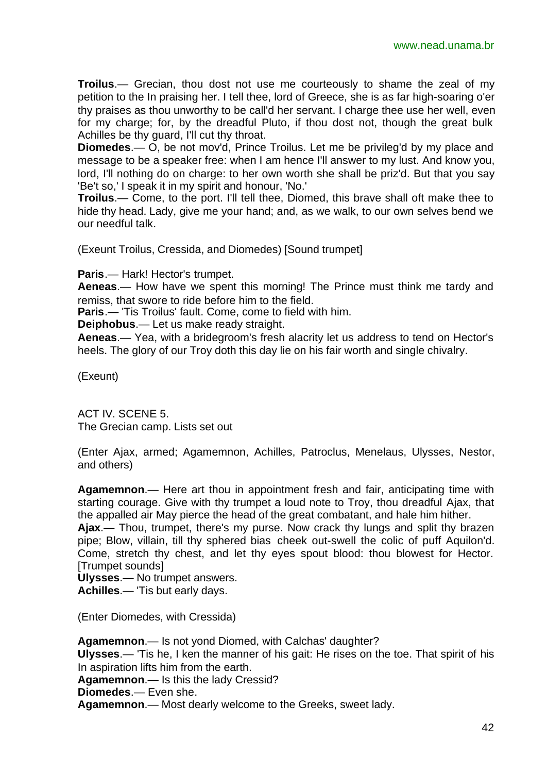**Troilus**.— Grecian, thou dost not use me courteously to shame the zeal of my petition to the In praising her. I tell thee, lord of Greece, she is as far high-soaring o'er thy praises as thou unworthy to be call'd her servant. I charge thee use her well, even for my charge; for, by the dreadful Pluto, if thou dost not, though the great bulk Achilles be thy guard, I'll cut thy throat.

**Diomedes**.— O, be not mov'd, Prince Troilus. Let me be privileg'd by my place and message to be a speaker free: when I am hence I'll answer to my lust. And know you, lord, I'll nothing do on charge: to her own worth she shall be priz'd. But that you say 'Be't so,' I speak it in my spirit and honour, 'No.'

**Troilus**.— Come, to the port. I'll tell thee, Diomed, this brave shall oft make thee to hide thy head. Lady, give me your hand; and, as we walk, to our own selves bend we our needful talk.

(Exeunt Troilus, Cressida, and Diomedes) [Sound trumpet]

**Paris**.— Hark! Hector's trumpet.

**Aeneas**.— How have we spent this morning! The Prince must think me tardy and remiss, that swore to ride before him to the field.

**Paris**.— 'Tis Troilus' fault. Come, come to field with him.

**Deiphobus**.— Let us make ready straight.

**Aeneas**.— Yea, with a bridegroom's fresh alacrity let us address to tend on Hector's heels. The glory of our Troy doth this day lie on his fair worth and single chivalry.

(Exeunt)

ACT IV. SCENE 5. The Grecian camp. Lists set out

(Enter Ajax, armed; Agamemnon, Achilles, Patroclus, Menelaus, Ulysses, Nestor, and others)

**Agamemnon**.— Here art thou in appointment fresh and fair, anticipating time with starting courage. Give with thy trumpet a loud note to Troy, thou dreadful Ajax, that the appalled air May pierce the head of the great combatant, and hale him hither. **Ajax**.— Thou, trumpet, there's my purse. Now crack thy lungs and split thy brazen pipe; Blow, villain, till thy sphered bias cheek out-swell the colic of puff Aquilon'd. Come, stretch thy chest, and let thy eyes spout blood: thou blowest for Hector.

[Trumpet sounds] **Ulysses**.— No trumpet answers.

**Achilles**.— 'Tis but early days.

(Enter Diomedes, with Cressida)

**Agamemnon**.— Is not yond Diomed, with Calchas' daughter? **Ulysses**.— 'Tis he, I ken the manner of his gait: He rises on the toe. That spirit of his In aspiration lifts him from the earth. **Agamemnon**.— Is this the lady Cressid?

**Diomedes**.— Even she.

**Agamemnon**.— Most dearly welcome to the Greeks, sweet lady.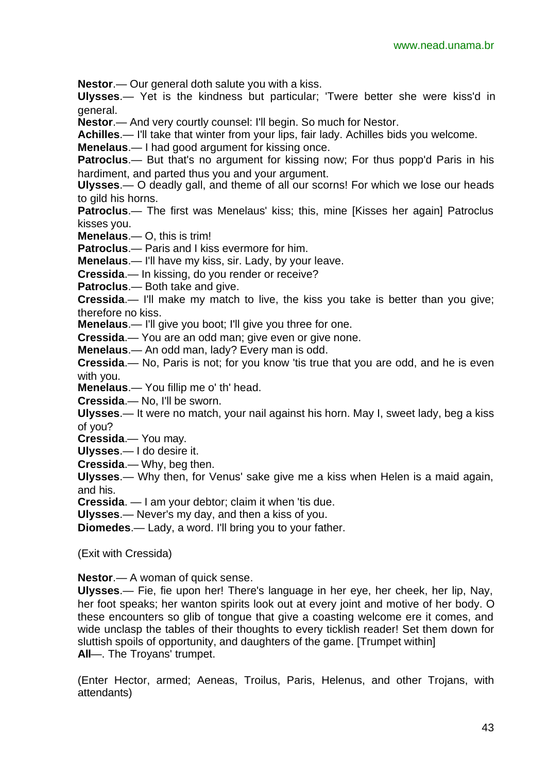**Nestor**.— Our general doth salute you with a kiss.

**Ulysses**.— Yet is the kindness but particular; 'Twere better she were kiss'd in general.

**Nestor**.— And very courtly counsel: I'll begin. So much for Nestor.

**Achilles**.— I'll take that winter from your lips, fair lady. Achilles bids you welcome.

**Menelaus**.— I had good argument for kissing once.

**Patroclus.**— But that's no argument for kissing now; For thus popp'd Paris in his hardiment, and parted thus you and your argument.

**Ulysses**.— O deadly gall, and theme of all our scorns! For which we lose our heads to gild his horns.

**Patroclus**.— The first was Menelaus' kiss; this, mine [Kisses her again] Patroclus kisses you.

**Menelaus**.— O, this is trim!

**Patroclus**.— Paris and I kiss evermore for him.

**Menelaus**.— I'll have my kiss, sir. Lady, by your leave.

**Cressida**.— In kissing, do you render or receive?

**Patroclus**.— Both take and give.

**Cressida**.— I'll make my match to live, the kiss you take is better than you give; therefore no kiss.

**Menelaus**.— I'll give you boot; I'll give you three for one.

**Cressida**.— You are an odd man; give even or give none.

**Menelaus**.— An odd man, lady? Every man is odd.

**Cressida**.— No, Paris is not; for you know 'tis true that you are odd, and he is even with you.

**Menelaus**.— You fillip me o' th' head.

**Cressida**.— No, I'll be sworn.

**Ulysses**.— It were no match, your nail against his horn. May I, sweet lady, beg a kiss of you?

**Cressida**.— You may.

**Ulysses**.— I do desire it.

**Cressida**.— Why, beg then.

**Ulysses**.— Why then, for Venus' sake give me a kiss when Helen is a maid again, and his.

**Cressida**. — I am your debtor; claim it when 'tis due.

**Ulysses**.— Never's my day, and then a kiss of you.

**Diomedes**.— Lady, a word. I'll bring you to your father.

(Exit with Cressida)

**Nestor**.— A woman of quick sense.

**Ulysses**.— Fie, fie upon her! There's language in her eye, her cheek, her lip, Nay, her foot speaks; her wanton spirits look out at every joint and motive of her body. O these encounters so glib of tongue that give a coasting welcome ere it comes, and wide unclasp the tables of their thoughts to every ticklish reader! Set them down for sluttish spoils of opportunity, and daughters of the game. [Trumpet within] **All**—. The Troyans' trumpet.

(Enter Hector, armed; Aeneas, Troilus, Paris, Helenus, and other Trojans, with attendants)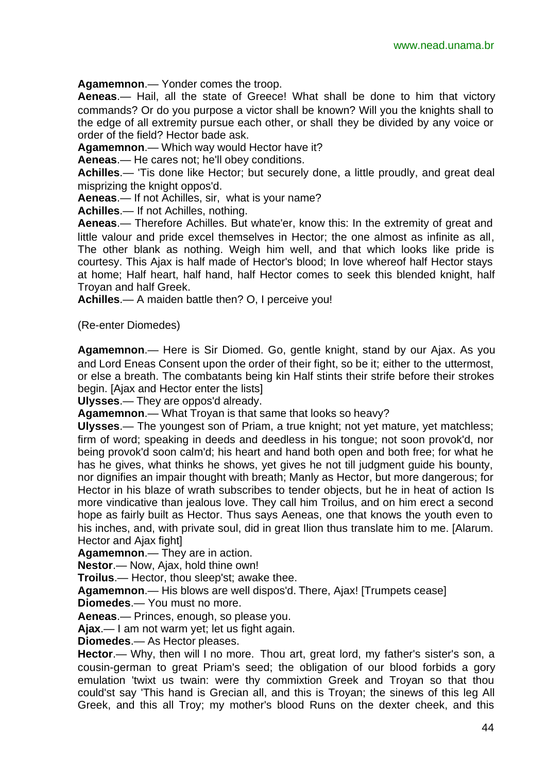**Agamemnon**.— Yonder comes the troop.

**Aeneas**.— Hail, all the state of Greece! What shall be done to him that victory commands? Or do you purpose a victor shall be known? Will you the knights shall to the edge of all extremity pursue each other, or shall they be divided by any voice or order of the field? Hector bade ask.

**Agamemnon**.— Which way would Hector have it?

**Aeneas**.— He cares not; he'll obey conditions.

**Achilles**.— 'Tis done like Hector; but securely done, a little proudly, and great deal misprizing the knight oppos'd.

**Aeneas**.— If not Achilles, sir, what is your name?

**Achilles**.— If not Achilles, nothing.

**Aeneas**.— Therefore Achilles. But whate'er, know this: In the extremity of great and little valour and pride excel themselves in Hector; the one almost as infinite as all, The other blank as nothing. Weigh him well, and that which looks like pride is courtesy. This Ajax is half made of Hector's blood; In love whereof half Hector stays at home; Half heart, half hand, half Hector comes to seek this blended knight, half Troyan and half Greek.

**Achilles**.— A maiden battle then? O, I perceive you!

(Re-enter Diomedes)

**Agamemnon**.— Here is Sir Diomed. Go, gentle knight, stand by our Ajax. As you and Lord Eneas Consent upon the order of their fight, so be it; either to the uttermost, or else a breath. The combatants being kin Half stints their strife before their strokes begin. [Ajax and Hector enter the lists]

**Ulysses**.— They are oppos'd already.

**Agamemnon**.— What Troyan is that same that looks so heavy?

**Ulysses**.— The youngest son of Priam, a true knight; not yet mature, yet matchless; firm of word; speaking in deeds and deedless in his tongue; not soon provok'd, nor being provok'd soon calm'd; his heart and hand both open and both free; for what he has he gives, what thinks he shows, yet gives he not till judgment guide his bounty, nor dignifies an impair thought with breath; Manly as Hector, but more dangerous; for Hector in his blaze of wrath subscribes to tender objects, but he in heat of action Is more vindicative than jealous love. They call him Troilus, and on him erect a second hope as fairly built as Hector. Thus says Aeneas, one that knows the youth even to his inches, and, with private soul, did in great Ilion thus translate him to me. [Alarum. Hector and Ajax fight]

**Agamemnon**.— They are in action.

**Nestor**.— Now, Ajax, hold thine own!

**Troilus**.— Hector, thou sleep'st; awake thee.

**Agamemnon**.— His blows are well dispos'd. There, Ajax! [Trumpets cease]

**Diomedes**.— You must no more.

**Aeneas**.— Princes, enough, so please you.

**Ajax**.— I am not warm yet; let us fight again.

**Diomedes**.— As Hector pleases.

**Hector.**— Why, then will I no more. Thou art, great lord, my father's sister's son, a cousin-german to great Priam's seed; the obligation of our blood forbids a gory emulation 'twixt us twain: were thy commixtion Greek and Troyan so that thou could'st say 'This hand is Grecian all, and this is Troyan; the sinews of this leg All Greek, and this all Troy; my mother's blood Runs on the dexter cheek, and this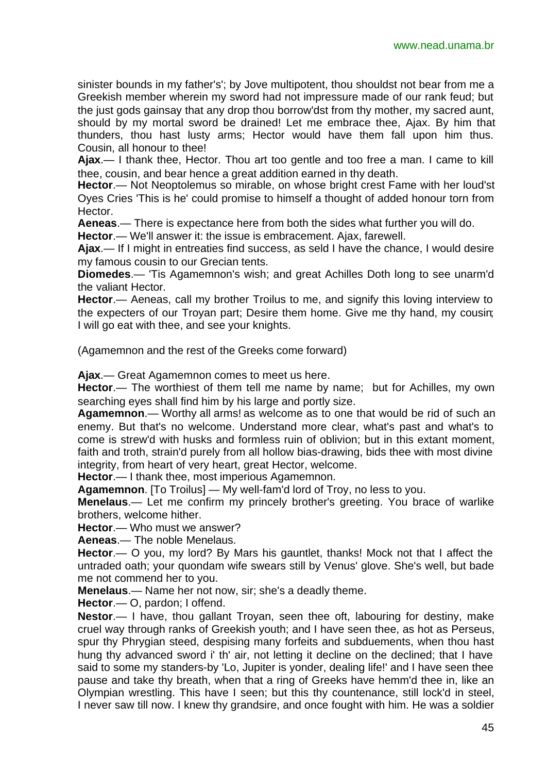sinister bounds in my father's'; by Jove multipotent, thou shouldst not bear from me a Greekish member wherein my sword had not impressure made of our rank feud; but the just gods gainsay that any drop thou borrow'dst from thy mother, my sacred aunt, should by my mortal sword be drained! Let me embrace thee, Ajax. By him that thunders, thou hast lusty arms; Hector would have them fall upon him thus. Cousin, all honour to thee!

**Ajax**.— I thank thee, Hector. Thou art too gentle and too free a man. I came to kill thee, cousin, and bear hence a great addition earned in thy death.

**Hector**.— Not Neoptolemus so mirable, on whose bright crest Fame with her loud'st Oyes Cries 'This is he' could promise to himself a thought of added honour torn from Hector.

**Aeneas**.— There is expectance here from both the sides what further you will do.

**Hector**.— We'll answer it: the issue is embracement. Ajax, farewell.

**Ajax**.— If I might in entreaties find success, as seld I have the chance, I would desire my famous cousin to our Grecian tents.

**Diomedes**.— 'Tis Agamemnon's wish; and great Achilles Doth long to see unarm'd the valiant Hector.

**Hector**.— Aeneas, call my brother Troilus to me, and signify this loving interview to the expecters of our Troyan part; Desire them home. Give me thy hand, my cousin; I will go eat with thee, and see your knights.

(Agamemnon and the rest of the Greeks come forward)

**Ajax**.— Great Agamemnon comes to meet us here.

**Hector.**— The worthiest of them tell me name by name; but for Achilles, my own searching eyes shall find him by his large and portly size.

**Agamemnon**.— Worthy all arms! as welcome as to one that would be rid of such an enemy. But that's no welcome. Understand more clear, what's past and what's to come is strew'd with husks and formless ruin of oblivion; but in this extant moment, faith and troth, strain'd purely from all hollow bias-drawing, bids thee with most divine integrity, from heart of very heart, great Hector, welcome.

**Hector**.— I thank thee, most imperious Agamemnon.

**Agamemnon**. [To Troilus] — My well-fam'd lord of Troy, no less to you.

**Menelaus**.— Let me confirm my princely brother's greeting. You brace of warlike brothers, welcome hither.

**Hector**.— Who must we answer?

**Aeneas**.— The noble Menelaus.

**Hector**.— O you, my lord? By Mars his gauntlet, thanks! Mock not that I affect the untraded oath; your quondam wife swears still by Venus' glove. She's well, but bade me not commend her to you.

**Menelaus**.— Name her not now, sir; she's a deadly theme.

**Hector**.— O, pardon; I offend.

**Nestor.**— I have, thou gallant Troyan, seen thee oft, labouring for destiny, make cruel way through ranks of Greekish youth; and I have seen thee, as hot as Perseus, spur thy Phrygian steed, despising many forfeits and subduements, when thou hast hung thy advanced sword i' th' air, not letting it decline on the declined; that I have said to some my standers-by 'Lo, Jupiter is yonder, dealing life!' and I have seen thee pause and take thy breath, when that a ring of Greeks have hemm'd thee in, like an Olympian wrestling. This have I seen; but this thy countenance, still lock'd in steel, I never saw till now. I knew thy grandsire, and once fought with him. He was a soldier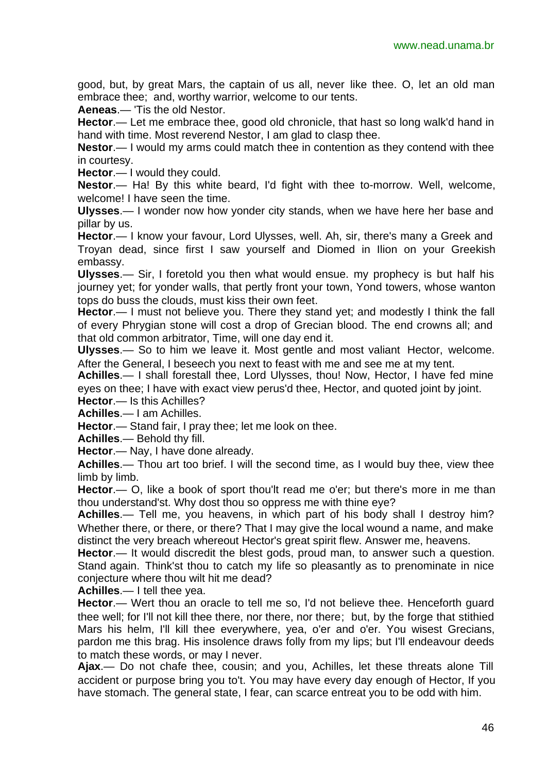good, but, by great Mars, the captain of us all, never like thee. O, let an old man embrace thee; and, worthy warrior, welcome to our tents.

**Aeneas**.— 'Tis the old Nestor.

**Hector**.— Let me embrace thee, good old chronicle, that hast so long walk'd hand in hand with time. Most reverend Nestor, I am glad to clasp thee.

**Nestor**.— I would my arms could match thee in contention as they contend with thee in courtesy.

**Hector**.— I would they could.

**Nestor**.— Ha! By this white beard, I'd fight with thee to-morrow. Well, welcome, welcome! I have seen the time.

**Ulysses**.— I wonder now how yonder city stands, when we have here her base and pillar by us.

**Hector**.— I know your favour, Lord Ulysses, well. Ah, sir, there's many a Greek and Troyan dead, since first I saw yourself and Diomed in Ilion on your Greekish embassy.

**Ulysses**.— Sir, I foretold you then what would ensue. my prophecy is but half his journey yet; for yonder walls, that pertly front your town, Yond towers, whose wanton tops do buss the clouds, must kiss their own feet.

**Hector.**— I must not believe you. There they stand yet; and modestly I think the fall of every Phrygian stone will cost a drop of Grecian blood. The end crowns all; and that old common arbitrator, Time, will one day end it.

**Ulysses**.— So to him we leave it. Most gentle and most valiant Hector, welcome. After the General, I beseech you next to feast with me and see me at my tent.

**Achilles**.— I shall forestall thee, Lord Ulysses, thou! Now, Hector, I have fed mine eyes on thee; I have with exact view perus'd thee, Hector, and quoted joint by joint. **Hector**.— Is this Achilles?

**Achilles**.— I am Achilles.

**Hector**.— Stand fair, I pray thee; let me look on thee.

**Achilles**.— Behold thy fill.

**Hector**.— Nay, I have done already.

**Achilles**.— Thou art too brief. I will the second time, as I would buy thee, view thee limb by limb.

**Hector**.— O, like a book of sport thou'lt read me o'er; but there's more in me than thou understand'st. Why dost thou so oppress me with thine eye?

**Achilles**.— Tell me, you heavens, in which part of his body shall I destroy him? Whether there, or there, or there? That I may give the local wound a name, and make distinct the very breach whereout Hector's great spirit flew. Answer me, heavens.

**Hector**.— It would discredit the blest gods, proud man, to answer such a question. Stand again. Think'st thou to catch my life so pleasantly as to prenominate in nice conjecture where thou wilt hit me dead?

**Achilles**.— I tell thee yea.

**Hector**.— Wert thou an oracle to tell me so, I'd not believe thee. Henceforth guard thee well; for I'll not kill thee there, nor there, nor there; but, by the forge that stithied Mars his helm, I'll kill thee everywhere, yea, o'er and o'er. You wisest Grecians, pardon me this brag. His insolence draws folly from my lips; but I'll endeavour deeds to match these words, or may I never.

**Ajax**.— Do not chafe thee, cousin; and you, Achilles, let these threats alone Till accident or purpose bring you to't. You may have every day enough of Hector, If you have stomach. The general state, I fear, can scarce entreat you to be odd with him.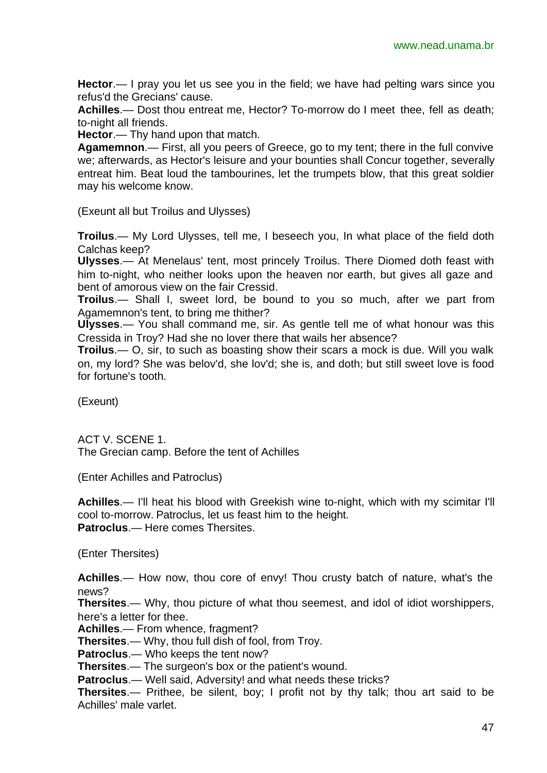**Hector**.— I pray you let us see you in the field; we have had pelting wars since you refus'd the Grecians' cause.

**Achilles**.— Dost thou entreat me, Hector? To-morrow do I meet thee, fell as death; to-night all friends.

**Hector**.— Thy hand upon that match.

**Agamemnon**.— First, all you peers of Greece, go to my tent; there in the full convive we; afterwards, as Hector's leisure and your bounties shall Concur together, severally entreat him. Beat loud the tambourines, let the trumpets blow, that this great soldier may his welcome know.

(Exeunt all but Troilus and Ulysses)

**Troilus**.— My Lord Ulysses, tell me, I beseech you, In what place of the field doth Calchas keep?

**Ulysses**.— At Menelaus' tent, most princely Troilus. There Diomed doth feast with him to-night, who neither looks upon the heaven nor earth, but gives all gaze and bent of amorous view on the fair Cressid.

**Troilus**.— Shall I, sweet lord, be bound to you so much, after we part from Agamemnon's tent, to bring me thither?

**Ulysses**.— You shall command me, sir. As gentle tell me of what honour was this Cressida in Troy? Had she no lover there that wails her absence?

**Troilus**.— O, sir, to such as boasting show their scars a mock is due. Will you walk on, my lord? She was belov'd, she lov'd; she is, and doth; but still sweet love is food for fortune's tooth.

(Exeunt)

ACT V. SCENE 1. The Grecian camp. Before the tent of Achilles

(Enter Achilles and Patroclus)

**Achilles**.— I'll heat his blood with Greekish wine to-night, which with my scimitar I'll cool to-morrow. Patroclus, let us feast him to the height. **Patroclus**.— Here comes Thersites.

(Enter Thersites)

**Achilles**.— How now, thou core of envy! Thou crusty batch of nature, what's the news?

**Thersites**.— Why, thou picture of what thou seemest, and idol of idiot worshippers, here's a letter for thee.

**Achilles**.— From whence, fragment?

**Thersites**.— Why, thou full dish of fool, from Troy.

**Patroclus**.— Who keeps the tent now?

**Thersites**.— The surgeon's box or the patient's wound.

**Patroclus**.— Well said, Adversity! and what needs these tricks?

**Thersites**.— Prithee, be silent, boy; I profit not by thy talk; thou art said to be Achilles' male varlet.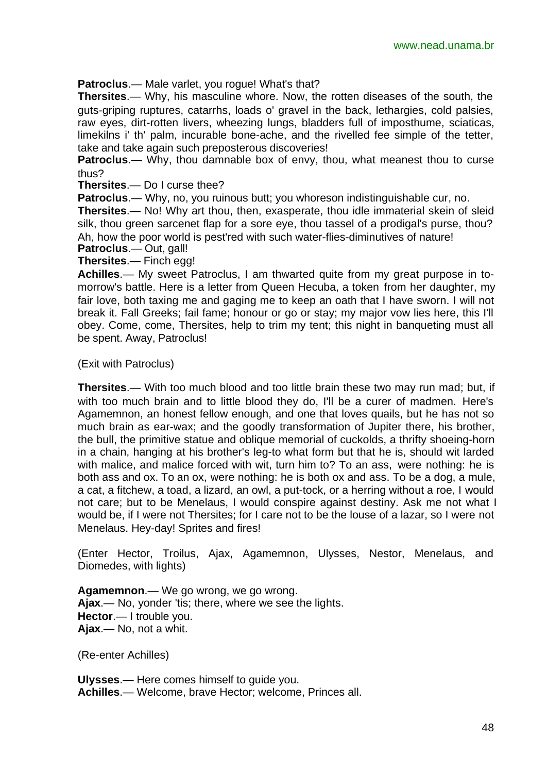**Patroclus**.— Male varlet, you rogue! What's that?

**Thersites**.— Why, his masculine whore. Now, the rotten diseases of the south, the guts-griping ruptures, catarrhs, loads o' gravel in the back, lethargies, cold palsies, raw eyes, dirt-rotten livers, wheezing lungs, bladders full of imposthume, sciaticas, limekilns i' th' palm, incurable bone-ache, and the rivelled fee simple of the tetter, take and take again such preposterous discoveries!

**Patroclus**.— Why, thou damnable box of envy, thou, what meanest thou to curse thus?

**Thersites**.— Do I curse thee?

**Patroclus**.— Why, no, you ruinous butt; you whoreson indistinguishable cur, no.

**Thersites**.— No! Why art thou, then, exasperate, thou idle immaterial skein of sleid silk, thou green sarcenet flap for a sore eye, thou tassel of a prodigal's purse, thou? Ah, how the poor world is pest'red with such water-flies-diminutives of nature!

**Patroclus**.— Out, gall!

**Thersites**.— Finch egg!

**Achilles**.— My sweet Patroclus, I am thwarted quite from my great purpose in tomorrow's battle. Here is a letter from Queen Hecuba, a token from her daughter, my fair love, both taxing me and gaging me to keep an oath that I have sworn. I will not break it. Fall Greeks; fail fame; honour or go or stay; my major vow lies here, this I'll obey. Come, come, Thersites, help to trim my tent; this night in banqueting must all be spent. Away, Patroclus!

(Exit with Patroclus)

**Thersites**.— With too much blood and too little brain these two may run mad; but, if with too much brain and to little blood they do, I'll be a curer of madmen. Here's Agamemnon, an honest fellow enough, and one that loves quails, but he has not so much brain as ear-wax; and the goodly transformation of Jupiter there, his brother, the bull, the primitive statue and oblique memorial of cuckolds, a thrifty shoeing-horn in a chain, hanging at his brother's leg-to what form but that he is, should wit larded with malice, and malice forced with wit, turn him to? To an ass, were nothing: he is both ass and ox. To an ox, were nothing: he is both ox and ass. To be a dog, a mule, a cat, a fitchew, a toad, a lizard, an owl, a put-tock, or a herring without a roe, I would not care; but to be Menelaus, I would conspire against destiny. Ask me not what I would be, if I were not Thersites; for I care not to be the louse of a lazar, so I were not Menelaus. Hey-day! Sprites and fires!

(Enter Hector, Troilus, Ajax, Agamemnon, Ulysses, Nestor, Menelaus, and Diomedes, with lights)

**Agamemnon**.— We go wrong, we go wrong. **Ajax**.— No, yonder 'tis; there, where we see the lights. **Hector**.— I trouble you. **Ajax**.— No, not a whit.

(Re-enter Achilles)

**Ulysses**.— Here comes himself to guide you. **Achilles**.— Welcome, brave Hector; welcome, Princes all.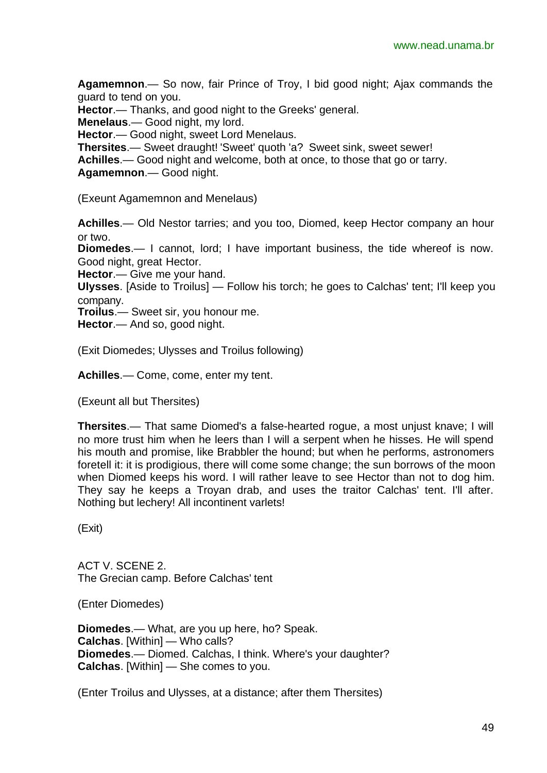**Agamemnon**.— So now, fair Prince of Troy, I bid good night; Ajax commands the guard to tend on you.

**Hector**.— Thanks, and good night to the Greeks' general.

**Menelaus**.— Good night, my lord.

**Hector**.— Good night, sweet Lord Menelaus.

**Thersites**.— Sweet draught! 'Sweet' quoth 'a? Sweet sink, sweet sewer!

**Achilles**.— Good night and welcome, both at once, to those that go or tarry.

**Agamemnon**.— Good night.

(Exeunt Agamemnon and Menelaus)

**Achilles**.— Old Nestor tarries; and you too, Diomed, keep Hector company an hour or two.

**Diomedes**.— I cannot, lord; I have important business, the tide whereof is now. Good night, great Hector.

**Hector**.— Give me your hand.

**Ulysses**. [Aside to Troilus] — Follow his torch; he goes to Calchas' tent; I'll keep you company.

**Troilus**.— Sweet sir, you honour me.

**Hector**.— And so, good night.

(Exit Diomedes; Ulysses and Troilus following)

**Achilles**.— Come, come, enter my tent.

(Exeunt all but Thersites)

**Thersites**.— That same Diomed's a false-hearted rogue, a most unjust knave; I will no more trust him when he leers than I will a serpent when he hisses. He will spend his mouth and promise, like Brabbler the hound; but when he performs, astronomers foretell it: it is prodigious, there will come some change; the sun borrows of the moon when Diomed keeps his word. I will rather leave to see Hector than not to dog him. They say he keeps a Troyan drab, and uses the traitor Calchas' tent. I'll after. Nothing but lechery! All incontinent varlets!

(Exit)

ACT V. SCENE 2. The Grecian camp. Before Calchas' tent

(Enter Diomedes)

**Diomedes**.— What, are you up here, ho? Speak. **Calchas**. [Within] — Who calls? **Diomedes**.— Diomed. Calchas, I think. Where's your daughter? **Calchas**. [Within] — She comes to you.

(Enter Troilus and Ulysses, at a distance; after them Thersites)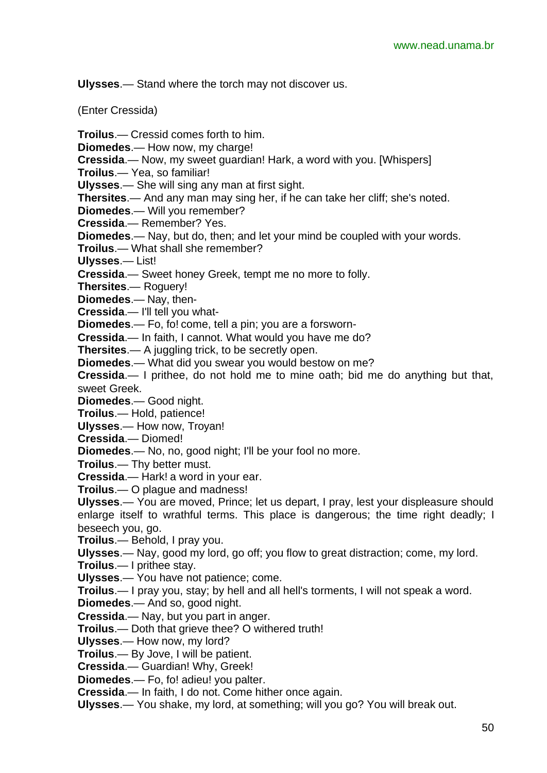**Ulysses**.— Stand where the torch may not discover us.

(Enter Cressida)

**Troilus**.— Cressid comes forth to him. **Diomedes**.— How now, my charge! **Cressida**.— Now, my sweet guardian! Hark, a word with you. [Whispers] **Troilus**.— Yea, so familiar! **Ulysses**.— She will sing any man at first sight. **Thersites**.— And any man may sing her, if he can take her cliff; she's noted. **Diomedes**.— Will you remember? **Cressida**.— Remember? Yes. **Diomedes**.— Nay, but do, then; and let your mind be coupled with your words. **Troilus**.— What shall she remember? **Ulysses**.— List! **Cressida**.— Sweet honey Greek, tempt me no more to folly. **Thersites**.— Roguery! **Diomedes**.— Nay, then-**Cressida**.— I'll tell you what-**Diomedes**.— Fo, fo! come, tell a pin; you are a forsworn-**Cressida**.— In faith, I cannot. What would you have me do? **Thersites**.— A juggling trick, to be secretly open. **Diomedes**.— What did you swear you would bestow on me? **Cressida**.— I prithee, do not hold me to mine oath; bid me do anything but that, sweet Greek. **Diomedes**.— Good night. **Troilus**.— Hold, patience! **Ulysses**.— How now, Troyan! **Cressida**.— Diomed! **Diomedes**.— No, no, good night; I'll be your fool no more. **Troilus**.— Thy better must. **Cressida**.— Hark! a word in your ear. **Troilus**.— O plague and madness! **Ulysses**.— You are moved, Prince; let us depart, I pray, lest your displeasure should

enlarge itself to wrathful terms. This place is dangerous; the time right deadly; I beseech you, go.

**Troilus**.— Behold, I pray you.

**Ulysses**.— Nay, good my lord, go off; you flow to great distraction; come, my lord.

**Troilus**.— I prithee stay.

**Ulysses**.— You have not patience; come.

**Troilus**.— I pray you, stay; by hell and all hell's torments, I will not speak a word.

**Diomedes**.— And so, good night.

**Cressida**.— Nay, but you part in anger.

**Troilus**.— Doth that grieve thee? O withered truth!

**Ulysses**.— How now, my lord?

**Troilus**.— By Jove, I will be patient.

**Cressida**.— Guardian! Why, Greek!

**Diomedes**.— Fo, fo! adieu! you palter.

**Cressida**.— In faith, I do not. Come hither once again.

**Ulysses**.— You shake, my lord, at something; will you go? You will break out.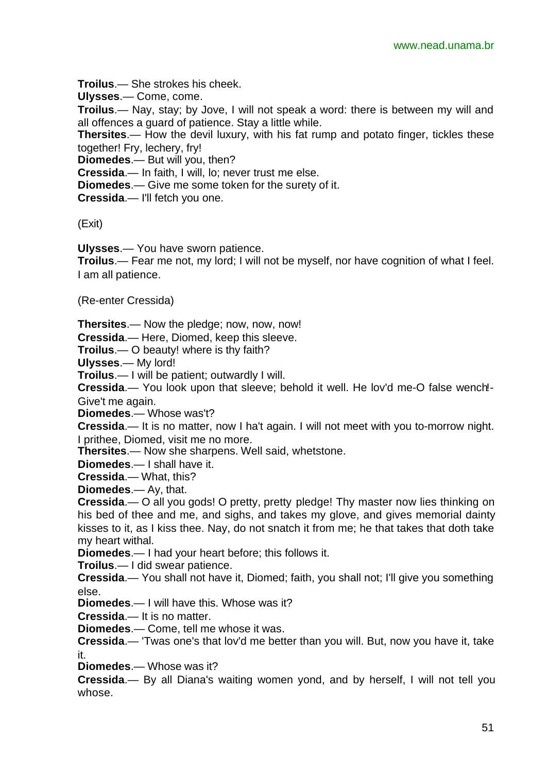**Troilus**.— She strokes his cheek.

**Ulysses**.— Come, come.

**Troilus**.— Nay, stay; by Jove, I will not speak a word: there is between my will and all offences a guard of patience. Stay a little while.

**Thersites**.— How the devil luxury, with his fat rump and potato finger, tickles these together! Fry, lechery, fry!

**Diomedes**.— But will you, then?

**Cressida**.— In faith, I will, lo; never trust me else.

**Diomedes**.— Give me some token for the surety of it.

**Cressida**.— I'll fetch you one.

(Exit)

**Ulysses**.— You have sworn patience.

**Troilus**.— Fear me not, my lord; I will not be myself, nor have cognition of what I feel. I am all patience.

(Re-enter Cressida)

**Thersites**.— Now the pledge; now, now, now!

**Cressida**.— Here, Diomed, keep this sleeve.

**Troilus**.— O beauty! where is thy faith?

**Ulysses**.— My lord!

**Troilus**.— I will be patient; outwardly I will.

**Cressida**.— You look upon that sleeve; behold it well. He lov'd me-O false wench!- Give't me again.

**Diomedes**.— Whose was't?

**Cressida**.— It is no matter, now I ha't again. I will not meet with you to-morrow night. I prithee, Diomed, visit me no more.

**Thersites**.— Now she sharpens. Well said, whetstone.

**Diomedes**.— I shall have it.

**Cressida**.— What, this?

**Diomedes**.— Ay, that.

**Cressida**.— O all you gods! O pretty, pretty pledge! Thy master now lies thinking on his bed of thee and me, and sighs, and takes my glove, and gives memorial dainty kisses to it, as I kiss thee. Nay, do not snatch it from me; he that takes that doth take my heart withal.

**Diomedes**.— I had your heart before; this follows it.

**Troilus**.— I did swear patience.

**Cressida**.— You shall not have it, Diomed; faith, you shall not; I'll give you something else.

**Diomedes**.— I will have this. Whose was it?

**Cressida**.— It is no matter.

**Diomedes**.— Come, tell me whose it was.

**Cressida**.— 'Twas one's that lov'd me better than you will. But, now you have it, take it.

**Diomedes**.— Whose was it?

**Cressida**.— By all Diana's waiting women yond, and by herself, I will not tell you whose.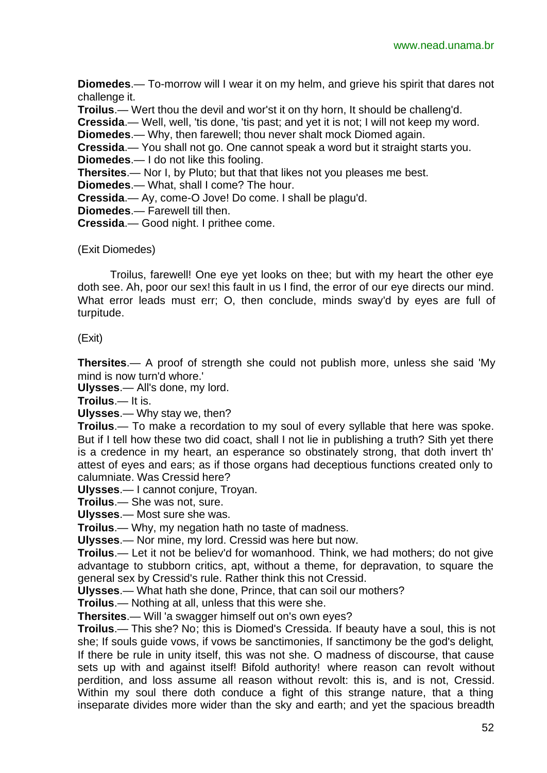**Diomedes**.— To-morrow will I wear it on my helm, and grieve his spirit that dares not challenge it.

**Troilus**.— Wert thou the devil and wor'st it on thy horn, It should be challeng'd.

**Cressida**.— Well, well, 'tis done, 'tis past; and yet it is not; I will not keep my word.

**Diomedes**.— Why, then farewell; thou never shalt mock Diomed again.

**Cressida**.— You shall not go. One cannot speak a word but it straight starts you. **Diomedes**.— I do not like this fooling.

**Thersites**.— Nor I, by Pluto; but that that likes not you pleases me best.

**Diomedes**.— What, shall I come? The hour.

**Cressida**.— Ay, come-O Jove! Do come. I shall be plagu'd.

**Diomedes**.— Farewell till then.

**Cressida**.— Good night. I prithee come.

(Exit Diomedes)

Troilus, farewell! One eye yet looks on thee; but with my heart the other eye doth see. Ah, poor our sex! this fault in us I find, the error of our eye directs our mind. What error leads must err; O, then conclude, minds sway'd by eyes are full of turpitude.

(Exit)

**Thersites**.— A proof of strength she could not publish more, unless she said 'My mind is now turn'd whore.'

**Ulysses**.— All's done, my lord.

**Troilus**.— It is.

**Ulysses**.— Why stay we, then?

**Troilus**.— To make a recordation to my soul of every syllable that here was spoke. But if I tell how these two did coact, shall I not lie in publishing a truth? Sith yet there is a credence in my heart, an esperance so obstinately strong, that doth invert th' attest of eyes and ears; as if those organs had deceptious functions created only to calumniate. Was Cressid here?

**Ulysses**.— I cannot conjure, Troyan.

**Troilus**.— She was not, sure.

**Ulysses**.— Most sure she was.

**Troilus**.— Why, my negation hath no taste of madness.

**Ulysses**.— Nor mine, my lord. Cressid was here but now.

**Troilus**.— Let it not be believ'd for womanhood. Think, we had mothers; do not give advantage to stubborn critics, apt, without a theme, for depravation, to square the general sex by Cressid's rule. Rather think this not Cressid.

**Ulysses**.— What hath she done, Prince, that can soil our mothers?

**Troilus**.— Nothing at all, unless that this were she.

**Thersites**.— Will 'a swagger himself out on's own eyes?

**Troilus**.— This she? No; this is Diomed's Cressida. If beauty have a soul, this is not she; If souls guide vows, if vows be sanctimonies, If sanctimony be the god's delight, If there be rule in unity itself, this was not she. O madness of discourse, that cause sets up with and against itself! Bifold authority! where reason can revolt without perdition, and loss assume all reason without revolt: this is, and is not, Cressid. Within my soul there doth conduce a fight of this strange nature, that a thing inseparate divides more wider than the sky and earth; and yet the spacious breadth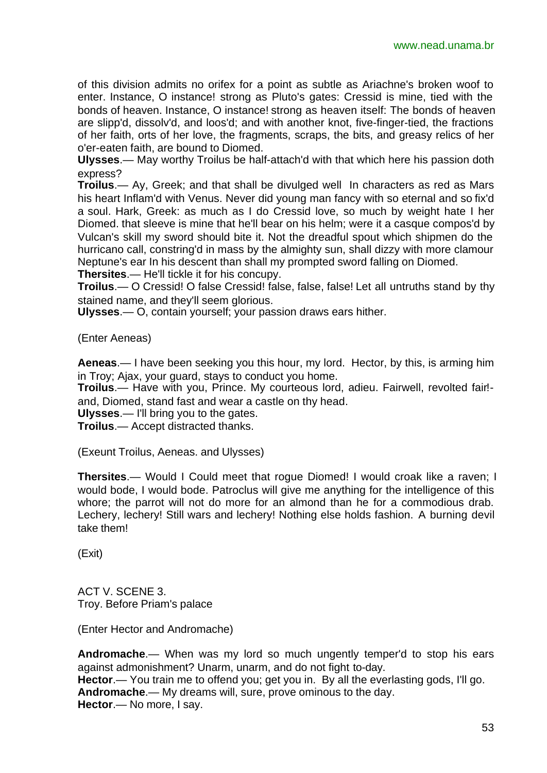of this division admits no orifex for a point as subtle as Ariachne's broken woof to enter. Instance, O instance! strong as Pluto's gates: Cressid is mine, tied with the bonds of heaven. Instance, O instance! strong as heaven itself: The bonds of heaven are slipp'd, dissolv'd, and loos'd; and with another knot, five-finger-tied, the fractions of her faith, orts of her love, the fragments, scraps, the bits, and greasy relics of her o'er-eaten faith, are bound to Diomed.

**Ulysses**.— May worthy Troilus be half-attach'd with that which here his passion doth express?

**Troilus**.— Ay, Greek; and that shall be divulged well In characters as red as Mars his heart Inflam'd with Venus. Never did young man fancy with so eternal and so fix'd a soul. Hark, Greek: as much as I do Cressid love, so much by weight hate I her Diomed. that sleeve is mine that he'll bear on his helm; were it a casque compos'd by Vulcan's skill my sword should bite it. Not the dreadful spout which shipmen do the hurricano call, constring'd in mass by the almighty sun, shall dizzy with more clamour Neptune's ear In his descent than shall my prompted sword falling on Diomed. **Thersites**.— He'll tickle it for his concupy.

**Troilus**.— O Cressid! O false Cressid! false, false, false! Let all untruths stand by thy stained name, and they'll seem glorious.

**Ulysses**.— O, contain yourself; your passion draws ears hither.

(Enter Aeneas)

**Aeneas**.— I have been seeking you this hour, my lord. Hector, by this, is arming him in Troy; Ajax, your guard, stays to conduct you home.

**Troilus**.— Have with you, Prince. My courteous lord, adieu. Fairwell, revolted fair! and, Diomed, stand fast and wear a castle on thy head.

**Ulysses**.— I'll bring you to the gates.

**Troilus**.— Accept distracted thanks.

(Exeunt Troilus, Aeneas. and Ulysses)

**Thersites**.— Would I Could meet that rogue Diomed! I would croak like a raven; I would bode, I would bode. Patroclus will give me anything for the intelligence of this whore; the parrot will not do more for an almond than he for a commodious drab. Lechery, lechery! Still wars and lechery! Nothing else holds fashion. A burning devil take them!

(Exit)

ACT V. SCENE 3. Troy. Before Priam's palace

(Enter Hector and Andromache)

**Andromache**.— When was my lord so much ungently temper'd to stop his ears against admonishment? Unarm, unarm, and do not fight to-day. **Hector**.— You train me to offend you; get you in. By all the everlasting gods, I'll go. **Andromache**.— My dreams will, sure, prove ominous to the day. **Hector**.— No more, I say.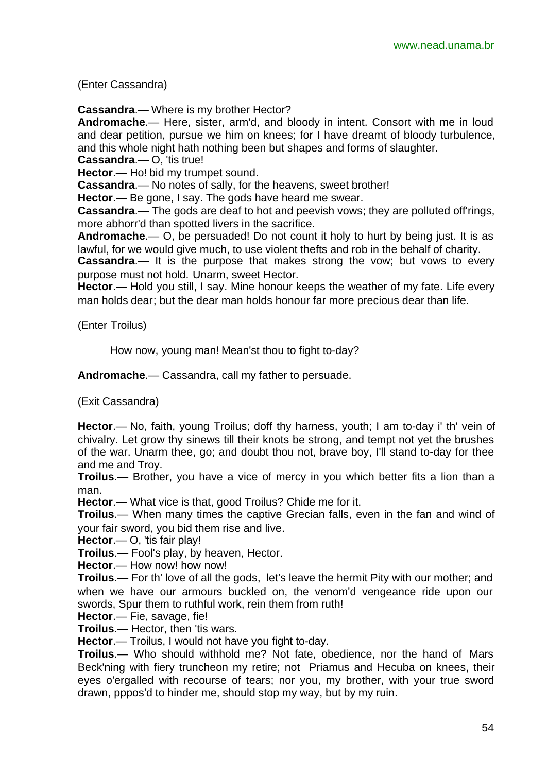(Enter Cassandra)

**Cassandra**.— Where is my brother Hector?

**Andromache**.— Here, sister, arm'd, and bloody in intent. Consort with me in loud and dear petition, pursue we him on knees; for I have dreamt of bloody turbulence, and this whole night hath nothing been but shapes and forms of slaughter.

**Cassandra**.— O, 'tis true!

**Hector**.— Ho! bid my trumpet sound.

**Cassandra**.— No notes of sally, for the heavens, sweet brother!

**Hector**.— Be gone, I say. The gods have heard me swear.

**Cassandra**.— The gods are deaf to hot and peevish vows; they are polluted off'rings, more abhorr'd than spotted livers in the sacrifice.

**Andromache**.— O, be persuaded! Do not count it holy to hurt by being just. It is as lawful, for we would give much, to use violent thefts and rob in the behalf of charity.

**Cassandra.**— It is the purpose that makes strong the vow; but vows to every purpose must not hold. Unarm, sweet Hector.

**Hector.**— Hold you still, I say. Mine honour keeps the weather of my fate. Life every man holds dear; but the dear man holds honour far more precious dear than life.

(Enter Troilus)

How now, young man! Mean'st thou to fight to-day?

**Andromache**.— Cassandra, call my father to persuade.

(Exit Cassandra)

**Hector**.— No, faith, young Troilus; doff thy harness, youth; I am to-day i' th' vein of chivalry. Let grow thy sinews till their knots be strong, and tempt not yet the brushes of the war. Unarm thee, go; and doubt thou not, brave boy, I'll stand to-day for thee and me and Troy.

**Troilus**.— Brother, you have a vice of mercy in you which better fits a lion than a man.

**Hector**.— What vice is that, good Troilus? Chide me for it.

**Troilus**.— When many times the captive Grecian falls, even in the fan and wind of your fair sword, you bid them rise and live.

**Hector**.— O, 'tis fair play!

**Troilus**.— Fool's play, by heaven, Hector.

**Hector**.— How now! how now!

**Troilus**.— For th' love of all the gods, let's leave the hermit Pity with our mother; and when we have our armours buckled on, the venom'd vengeance ride upon our swords, Spur them to ruthful work, rein them from ruth!

**Hector**.— Fie, savage, fie!

**Troilus**.— Hector, then 'tis wars.

**Hector**.— Troilus, I would not have you fight to-day.

**Troilus**.— Who should withhold me? Not fate, obedience, nor the hand of Mars Beck'ning with fiery truncheon my retire; not Priamus and Hecuba on knees, their eyes o'ergalled with recourse of tears; nor you, my brother, with your true sword drawn, pppos'd to hinder me, should stop my way, but by my ruin.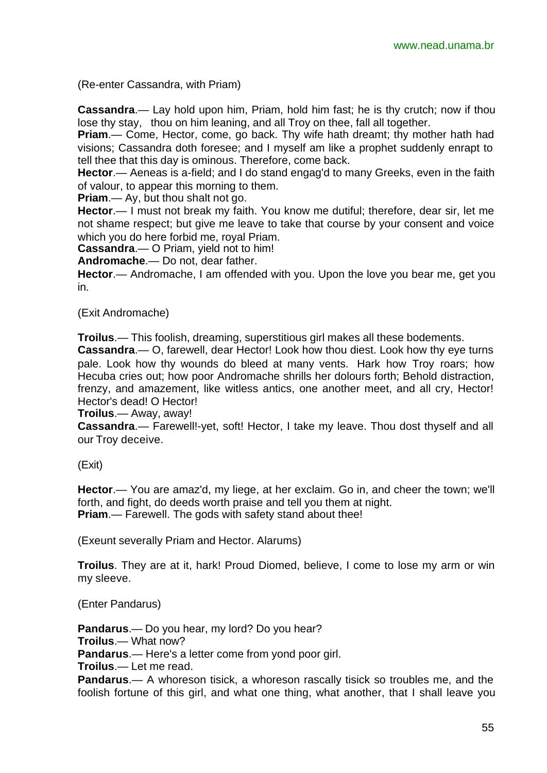(Re-enter Cassandra, with Priam)

**Cassandra**.— Lay hold upon him, Priam, hold him fast; he is thy crutch; now if thou lose thy stay, thou on him leaning, and all Troy on thee, fall all together.

**Priam**.— Come, Hector, come, go back. Thy wife hath dreamt; thy mother hath had visions; Cassandra doth foresee; and I myself am like a prophet suddenly enrapt to tell thee that this day is ominous. Therefore, come back.

**Hector**.— Aeneas is a-field; and I do stand engag'd to many Greeks, even in the faith of valour, to appear this morning to them.

**Priam**.— Ay, but thou shalt not go.

**Hector**.— I must not break my faith. You know me dutiful; therefore, dear sir, let me not shame respect; but give me leave to take that course by your consent and voice which you do here forbid me, royal Priam.

**Cassandra**.— O Priam, yield not to him!

**Andromache**.— Do not, dear father.

**Hector**.— Andromache, I am offended with you. Upon the love you bear me, get you in.

(Exit Andromache)

**Troilus**.— This foolish, dreaming, superstitious girl makes all these bodements.

**Cassandra**.— O, farewell, dear Hector! Look how thou diest. Look how thy eye turns pale. Look how thy wounds do bleed at many vents. Hark how Troy roars; how Hecuba cries out; how poor Andromache shrills her dolours forth; Behold distraction, frenzy, and amazement, like witless antics, one another meet, and all cry, Hector! Hector's dead! O Hector!

**Troilus**.— Away, away!

**Cassandra**.— Farewell!-yet, soft! Hector, I take my leave. Thou dost thyself and all our Troy deceive.

(Exit)

**Hector**.— You are amaz'd, my liege, at her exclaim. Go in, and cheer the town; we'll forth, and fight, do deeds worth praise and tell you them at night. **Priam**.— Farewell. The gods with safety stand about thee!

(Exeunt severally Priam and Hector. Alarums)

**Troilus**. They are at it, hark! Proud Diomed, believe, I come to lose my arm or win my sleeve.

(Enter Pandarus)

**Pandarus**.— Do you hear, my lord? Do you hear? **Troilus**.— What now? **Pandarus**.— Here's a letter come from yond poor girl. **Troilus**.— Let me read.

**Pandarus**.— A whoreson tisick, a whoreson rascally tisick so troubles me, and the foolish fortune of this girl, and what one thing, what another, that I shall leave you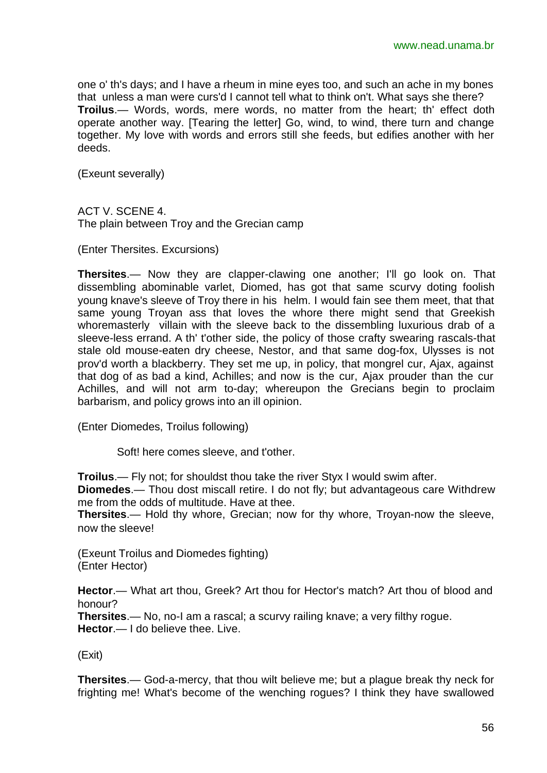one o' th's days; and I have a rheum in mine eyes too, and such an ache in my bones that unless a man were curs'd I cannot tell what to think on't. What says she there? **Troilus**.— Words, words, mere words, no matter from the heart; th' effect doth operate another way. [Tearing the letter] Go, wind, to wind, there turn and change together. My love with words and errors still she feeds, but edifies another with her deeds.

(Exeunt severally)

ACT V. SCENE 4. The plain between Troy and the Grecian camp

(Enter Thersites. Excursions)

**Thersites**.— Now they are clapper-clawing one another; I'll go look on. That dissembling abominable varlet, Diomed, has got that same scurvy doting foolish young knave's sleeve of Troy there in his helm. I would fain see them meet, that that same young Troyan ass that loves the whore there might send that Greekish whoremasterly villain with the sleeve back to the dissembling luxurious drab of a sleeve-less errand. A th' t'other side, the policy of those crafty swearing rascals-that stale old mouse-eaten dry cheese, Nestor, and that same dog-fox, Ulysses is not prov'd worth a blackberry. They set me up, in policy, that mongrel cur, Ajax, against that dog of as bad a kind, Achilles; and now is the cur, Ajax prouder than the cur Achilles, and will not arm to-day; whereupon the Grecians begin to proclaim barbarism, and policy grows into an ill opinion.

(Enter Diomedes, Troilus following)

Soft! here comes sleeve, and t'other.

**Troilus**.— Fly not; for shouldst thou take the river Styx I would swim after.

**Diomedes**.— Thou dost miscall retire. I do not fly; but advantageous care Withdrew me from the odds of multitude. Have at thee.

**Thersites**.— Hold thy whore, Grecian; now for thy whore, Troyan-now the sleeve, now the sleeve!

(Exeunt Troilus and Diomedes fighting) (Enter Hector)

**Hector**.— What art thou, Greek? Art thou for Hector's match? Art thou of blood and honour?

**Thersites**.— No, no-I am a rascal; a scurvy railing knave; a very filthy rogue. **Hector.**— I do believe thee. Live.

(Exit)

**Thersites**.— God-a-mercy, that thou wilt believe me; but a plague break thy neck for frighting me! What's become of the wenching rogues? I think they have swallowed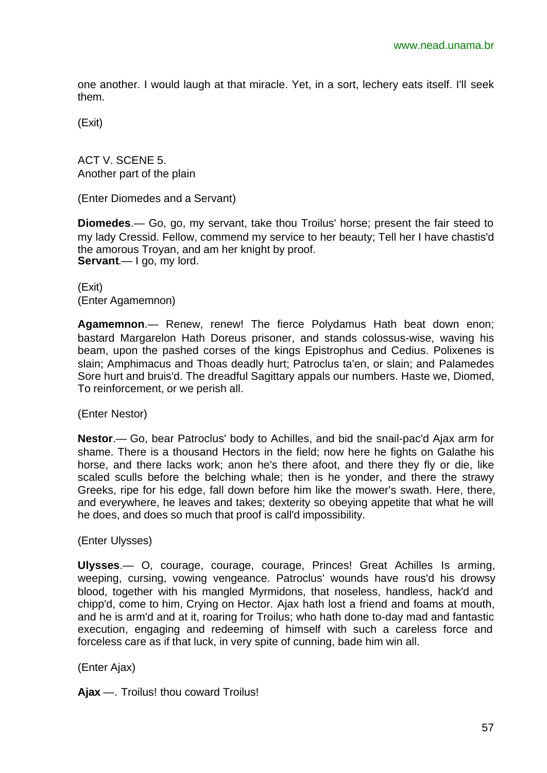one another. I would laugh at that miracle. Yet, in a sort, lechery eats itself. I'll seek them.

(Exit)

ACT V. SCENE 5. Another part of the plain

(Enter Diomedes and a Servant)

**Diomedes**.— Go, go, my servant, take thou Troilus' horse; present the fair steed to my lady Cressid. Fellow, commend my service to her beauty; Tell her I have chastis'd the amorous Troyan, and am her knight by proof. **Servant**.— I go, my lord.

(Exit) (Enter Agamemnon)

**Agamemnon**.— Renew, renew! The fierce Polydamus Hath beat down enon; bastard Margarelon Hath Doreus prisoner, and stands colossus-wise, waving his beam, upon the pashed corses of the kings Epistrophus and Cedius. Polixenes is slain; Amphimacus and Thoas deadly hurt; Patroclus ta'en, or slain; and Palamedes Sore hurt and bruis'd. The dreadful Sagittary appals our numbers. Haste we, Diomed, To reinforcement, or we perish all.

(Enter Nestor)

**Nestor**.— Go, bear Patroclus' body to Achilles, and bid the snail-pac'd Ajax arm for shame. There is a thousand Hectors in the field; now here he fights on Galathe his horse, and there lacks work; anon he's there afoot, and there they fly or die, like scaled sculls before the belching whale; then is he yonder, and there the strawy Greeks, ripe for his edge, fall down before him like the mower's swath. Here, there, and everywhere, he leaves and takes; dexterity so obeying appetite that what he will he does, and does so much that proof is call'd impossibility.

(Enter Ulysses)

**Ulysses**.— O, courage, courage, courage, Princes! Great Achilles Is arming, weeping, cursing, vowing vengeance. Patroclus' wounds have rous'd his drowsy blood, together with his mangled Myrmidons, that noseless, handless, hack'd and chipp'd, come to him, Crying on Hector. Ajax hath lost a friend and foams at mouth, and he is arm'd and at it, roaring for Troilus; who hath done to-day mad and fantastic execution, engaging and redeeming of himself with such a careless force and forceless care as if that luck, in very spite of cunning, bade him win all.

(Enter Ajax)

**Ajax** —. Troilus! thou coward Troilus!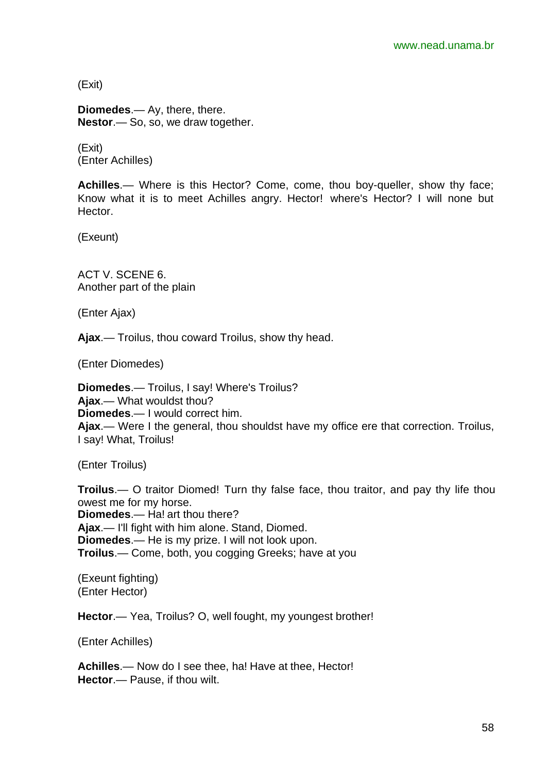(Exit)

**Diomedes**.— Ay, there, there. **Nestor**.— So, so, we draw together.

(Exit) (Enter Achilles)

**Achilles**.— Where is this Hector? Come, come, thou boy-queller, show thy face; Know what it is to meet Achilles angry. Hector! where's Hector? I will none but Hector.

(Exeunt)

ACT V. SCENE 6. Another part of the plain

(Enter Ajax)

**Ajax**.— Troilus, thou coward Troilus, show thy head.

(Enter Diomedes)

**Diomedes**.— Troilus, I say! Where's Troilus? **Ajax**.— What wouldst thou? **Diomedes**.— I would correct him. **Ajax**.— Were I the general, thou shouldst have my office ere that correction. Troilus, I say! What, Troilus!

(Enter Troilus)

**Troilus.**— O traitor Diomed! Turn thy false face, thou traitor, and pay thy life thou owest me for my horse. **Diomedes**.— Ha! art thou there? **Ajax**.— I'll fight with him alone. Stand, Diomed. **Diomedes**.— He is my prize. I will not look upon. **Troilus**.— Come, both, you cogging Greeks; have at you

(Exeunt fighting) (Enter Hector)

**Hector**.— Yea, Troilus? O, well fought, my youngest brother!

(Enter Achilles)

**Achilles**.— Now do I see thee, ha! Have at thee, Hector! **Hector**.— Pause, if thou wilt.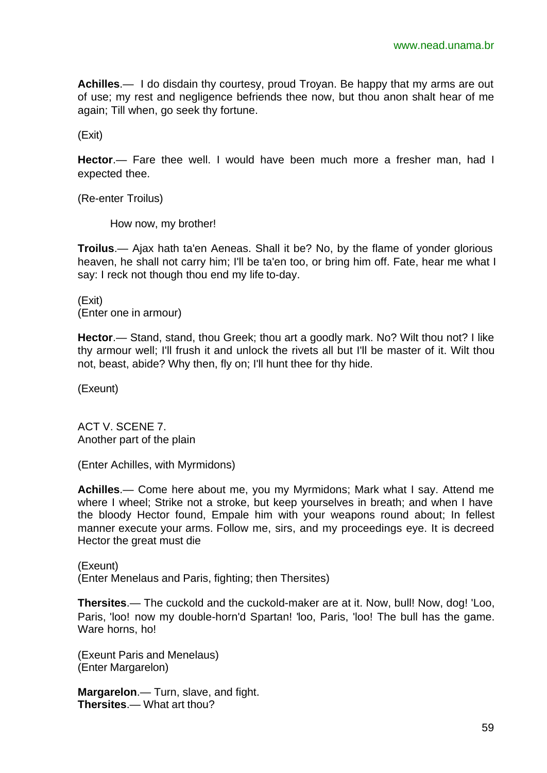**Achilles**.— I do disdain thy courtesy, proud Troyan. Be happy that my arms are out of use; my rest and negligence befriends thee now, but thou anon shalt hear of me again; Till when, go seek thy fortune.

(Exit)

**Hector**.— Fare thee well. I would have been much more a fresher man, had I expected thee.

(Re-enter Troilus)

How now, my brother!

**Troilus**.— Ajax hath ta'en Aeneas. Shall it be? No, by the flame of yonder glorious heaven, he shall not carry him; I'll be ta'en too, or bring him off. Fate, hear me what I say: I reck not though thou end my life to-day.

(Exit) (Enter one in armour)

**Hector**.— Stand, stand, thou Greek; thou art a goodly mark. No? Wilt thou not? I like thy armour well; I'll frush it and unlock the rivets all but I'll be master of it. Wilt thou not, beast, abide? Why then, fly on; I'll hunt thee for thy hide.

(Exeunt)

ACT V. SCENE 7. Another part of the plain

(Enter Achilles, with Myrmidons)

**Achilles**.— Come here about me, you my Myrmidons; Mark what I say. Attend me where I wheel; Strike not a stroke, but keep yourselves in breath; and when I have the bloody Hector found, Empale him with your weapons round about; In fellest manner execute your arms. Follow me, sirs, and my proceedings eye. It is decreed Hector the great must die

(Exeunt) (Enter Menelaus and Paris, fighting; then Thersites)

**Thersites**.— The cuckold and the cuckold-maker are at it. Now, bull! Now, dog! 'Loo, Paris, 'loo! now my double-horn'd Spartan! 'loo, Paris, 'loo! The bull has the game. Ware horns, ho!

(Exeunt Paris and Menelaus) (Enter Margarelon)

**Margarelon**.— Turn, slave, and fight. **Thersites**.— What art thou?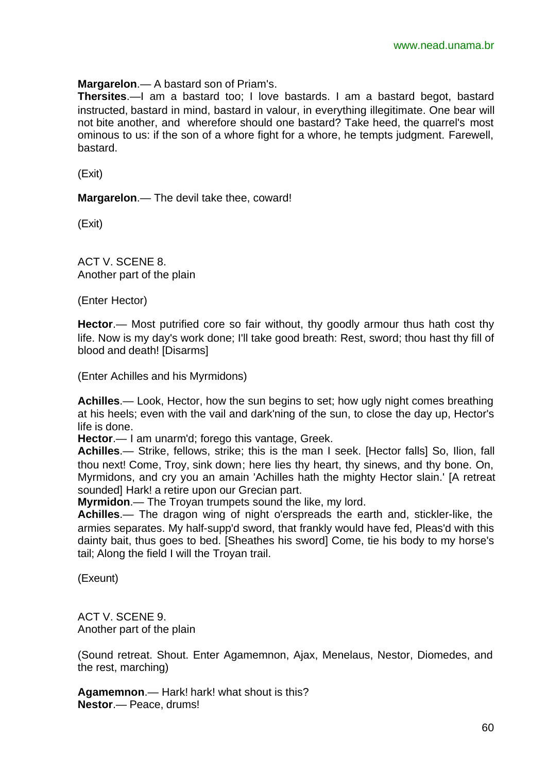**Margarelon**.— A bastard son of Priam's.

**Thersites**.—I am a bastard too; I love bastards. I am a bastard begot, bastard instructed, bastard in mind, bastard in valour, in everything illegitimate. One bear will not bite another, and wherefore should one bastard? Take heed, the quarrel's most ominous to us: if the son of a whore fight for a whore, he tempts judgment. Farewell, bastard.

(Exit)

**Margarelon**.— The devil take thee, coward!

(Exit)

ACT V. SCENE 8. Another part of the plain

(Enter Hector)

**Hector**.— Most putrified core so fair without, thy goodly armour thus hath cost thy life. Now is my day's work done; I'll take good breath: Rest, sword; thou hast thy fill of blood and death! [Disarms]

(Enter Achilles and his Myrmidons)

**Achilles**.— Look, Hector, how the sun begins to set; how ugly night comes breathing at his heels; even with the vail and dark'ning of the sun, to close the day up, Hector's life is done.

**Hector**.— I am unarm'd; forego this vantage, Greek.

**Achilles**.— Strike, fellows, strike; this is the man I seek. [Hector falls] So, Ilion, fall thou next! Come, Troy, sink down; here lies thy heart, thy sinews, and thy bone. On, Myrmidons, and cry you an amain 'Achilles hath the mighty Hector slain.' [A retreat sounded] Hark! a retire upon our Grecian part.

**Myrmidon**.— The Troyan trumpets sound the like, my lord.

**Achilles**.— The dragon wing of night o'erspreads the earth and, stickler-like, the armies separates. My half-supp'd sword, that frankly would have fed, Pleas'd with this dainty bait, thus goes to bed. [Sheathes his sword] Come, tie his body to my horse's tail; Along the field I will the Troyan trail.

(Exeunt)

ACT V. SCENE 9. Another part of the plain

(Sound retreat. Shout. Enter Agamemnon, Ajax, Menelaus, Nestor, Diomedes, and the rest, marching)

**Agamemnon**.— Hark! hark! what shout is this? **Nestor**.— Peace, drums!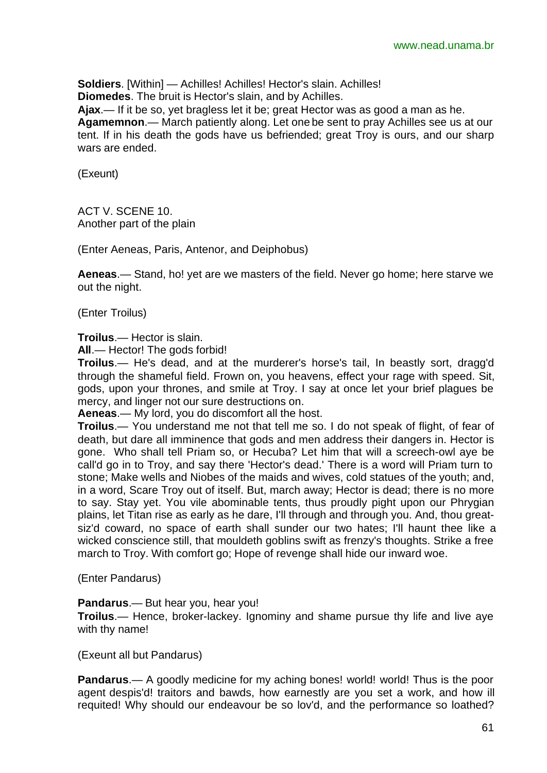**Soldiers**. [Within] — Achilles! Achilles! Hector's slain. Achilles! **Diomedes**. The bruit is Hector's slain, and by Achilles.

**Ajax**.— If it be so, yet bragless let it be; great Hector was as good a man as he. **Agamemnon**.— March patiently along. Let one be sent to pray Achilles see us at our tent. If in his death the gods have us befriended; great Troy is ours, and our sharp wars are ended.

(Exeunt)

ACT V. SCENE 10. Another part of the plain

(Enter Aeneas, Paris, Antenor, and Deiphobus)

**Aeneas**.— Stand, ho! yet are we masters of the field. Never go home; here starve we out the night.

(Enter Troilus)

**Troilus**.— Hector is slain.

**All**.— Hector! The gods forbid!

**Troilus**.— He's dead, and at the murderer's horse's tail, In beastly sort, dragg'd through the shameful field. Frown on, you heavens, effect your rage with speed. Sit, gods, upon your thrones, and smile at Troy. I say at once let your brief plagues be mercy, and linger not our sure destructions on.

**Aeneas**.— My lord, you do discomfort all the host.

**Troilus**.— You understand me not that tell me so. I do not speak of flight, of fear of death, but dare all imminence that gods and men address their dangers in. Hector is gone. Who shall tell Priam so, or Hecuba? Let him that will a screech-owl aye be call'd go in to Troy, and say there 'Hector's dead.' There is a word will Priam turn to stone; Make wells and Niobes of the maids and wives, cold statues of the youth; and, in a word, Scare Troy out of itself. But, march away; Hector is dead; there is no more to say. Stay yet. You vile abominable tents, thus proudly pight upon our Phrygian plains, let Titan rise as early as he dare, I'll through and through you. And, thou greatsiz'd coward, no space of earth shall sunder our two hates; I'll haunt thee like a wicked conscience still, that mouldeth goblins swift as frenzy's thoughts. Strike a free march to Troy. With comfort go; Hope of revenge shall hide our inward woe.

(Enter Pandarus)

**Pandarus**.— But hear you, hear you!

**Troilus**.— Hence, broker-lackey. Ignominy and shame pursue thy life and live aye with thy name!

(Exeunt all but Pandarus)

**Pandarus.**— A goodly medicine for my aching bones! world! world! Thus is the poor agent despis'd! traitors and bawds, how earnestly are you set a work, and how ill requited! Why should our endeavour be so lov'd, and the performance so loathed?